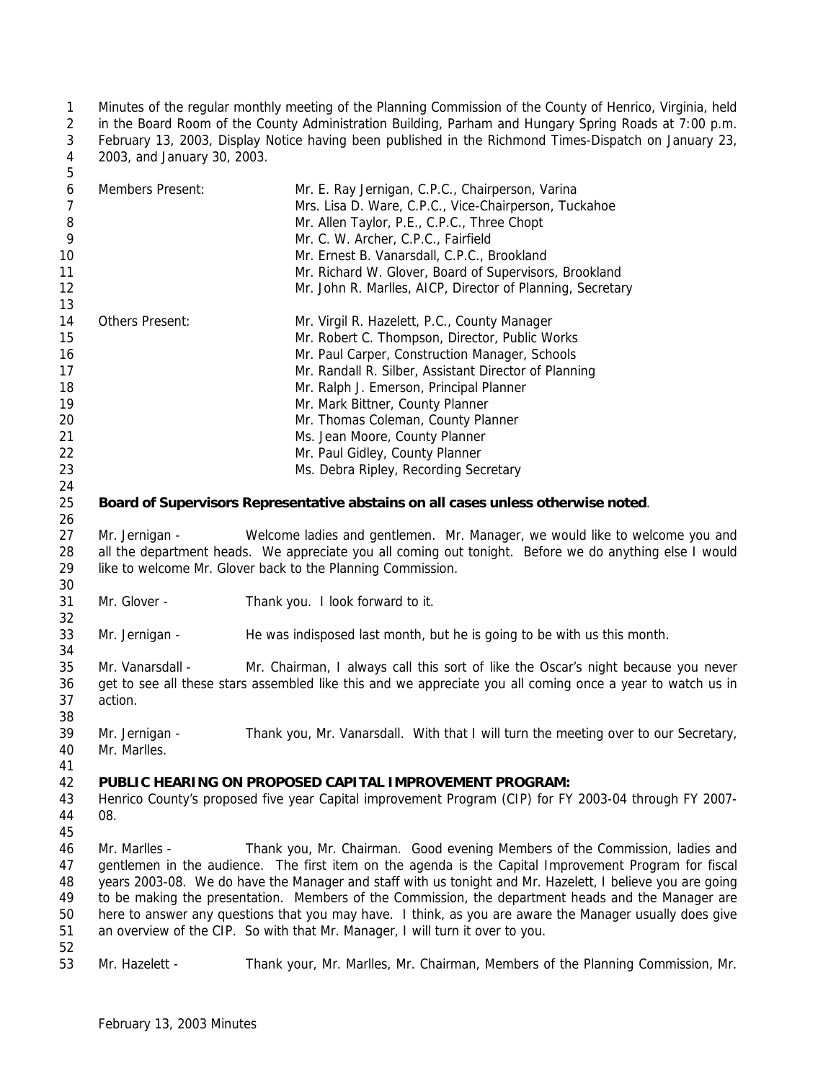Minutes of the regular monthly meeting of the Planning Commission of the County of Henrico, Virginia, held in the Board Room of the County Administration Building, Parham and Hungary Spring Roads at 7:00 p.m. February 13, 2003, Display Notice having been published in the Richmond Times-Dispatch on January 23, 2003, and January 30, 2003.  $\mathbf{r}$ 

| ◡        |                  |                                                                                                        |
|----------|------------------|--------------------------------------------------------------------------------------------------------|
| 6        | Members Present: | Mr. E. Ray Jernigan, C.P.C., Chairperson, Varina                                                       |
| 7        |                  | Mrs. Lisa D. Ware, C.P.C., Vice-Chairperson, Tuckahoe                                                  |
| 8        |                  | Mr. Allen Taylor, P.E., C.P.C., Three Chopt                                                            |
| 9        |                  | Mr. C. W. Archer, C.P.C., Fairfield                                                                    |
| 10       |                  | Mr. Ernest B. Vanarsdall, C.P.C., Brookland                                                            |
| 11       |                  | Mr. Richard W. Glover, Board of Supervisors, Brookland                                                 |
| 12       |                  | Mr. John R. Marlles, AICP, Director of Planning, Secretary                                             |
| 13<br>14 | Others Present:  | Mr. Virgil R. Hazelett, P.C., County Manager                                                           |
| 15       |                  | Mr. Robert C. Thompson, Director, Public Works                                                         |
| 16       |                  | Mr. Paul Carper, Construction Manager, Schools                                                         |
| 17       |                  | Mr. Randall R. Silber, Assistant Director of Planning                                                  |
| 18       |                  | Mr. Ralph J. Emerson, Principal Planner                                                                |
| 19       |                  | Mr. Mark Bittner, County Planner                                                                       |
| 20       |                  | Mr. Thomas Coleman, County Planner                                                                     |
| 21       |                  | Ms. Jean Moore, County Planner                                                                         |
| 22       |                  | Mr. Paul Gidley, County Planner                                                                        |
| 23       |                  | Ms. Debra Ripley, Recording Secretary                                                                  |
| 24       |                  |                                                                                                        |
| 25       |                  | Board of Supervisors Representative abstains on all cases unless otherwise noted.                      |
| 26       |                  |                                                                                                        |
| 27       | Mr. Jernigan -   | Welcome ladies and gentlemen. Mr. Manager, we would like to welcome you and                            |
| 28       |                  | all the department heads. We appreciate you all coming out tonight. Before we do anything else I would |
| 29       |                  | like to welcome Mr. Glover back to the Planning Commission.                                            |
| 30       |                  |                                                                                                        |

- Mr. Glover Thank you. I look forward to it.
- Mr. Jernigan He was indisposed last month, but he is going to be with us this month.

 Mr. Vanarsdall - Mr. Chairman, I always call this sort of like the Oscar's night because you never get to see all these stars assembled like this and we appreciate you all coming once a year to watch us in action.

 Mr. Jernigan - Thank you, Mr. Vanarsdall. With that I will turn the meeting over to our Secretary, Mr. Marlles.

## **PUBLIC HEARING ON PROPOSED CAPITAL IMPROVEMENT PROGRAM:**

- Henrico County's proposed five year Capital improvement Program (CIP) for FY 2003-04 through FY 2007- 08.
- Mr. Marlles Thank you, Mr. Chairman. Good evening Members of the Commission, ladies and gentlemen in the audience. The first item on the agenda is the Capital Improvement Program for fiscal years 2003-08. We do have the Manager and staff with us tonight and Mr. Hazelett, I believe you are going to be making the presentation. Members of the Commission, the department heads and the Manager are here to answer any questions that you may have. I think, as you are aware the Manager usually does give an overview of the CIP. So with that Mr. Manager, I will turn it over to you.
- Mr. Hazelett Thank your, Mr. Marlles, Mr. Chairman, Members of the Planning Commission, Mr.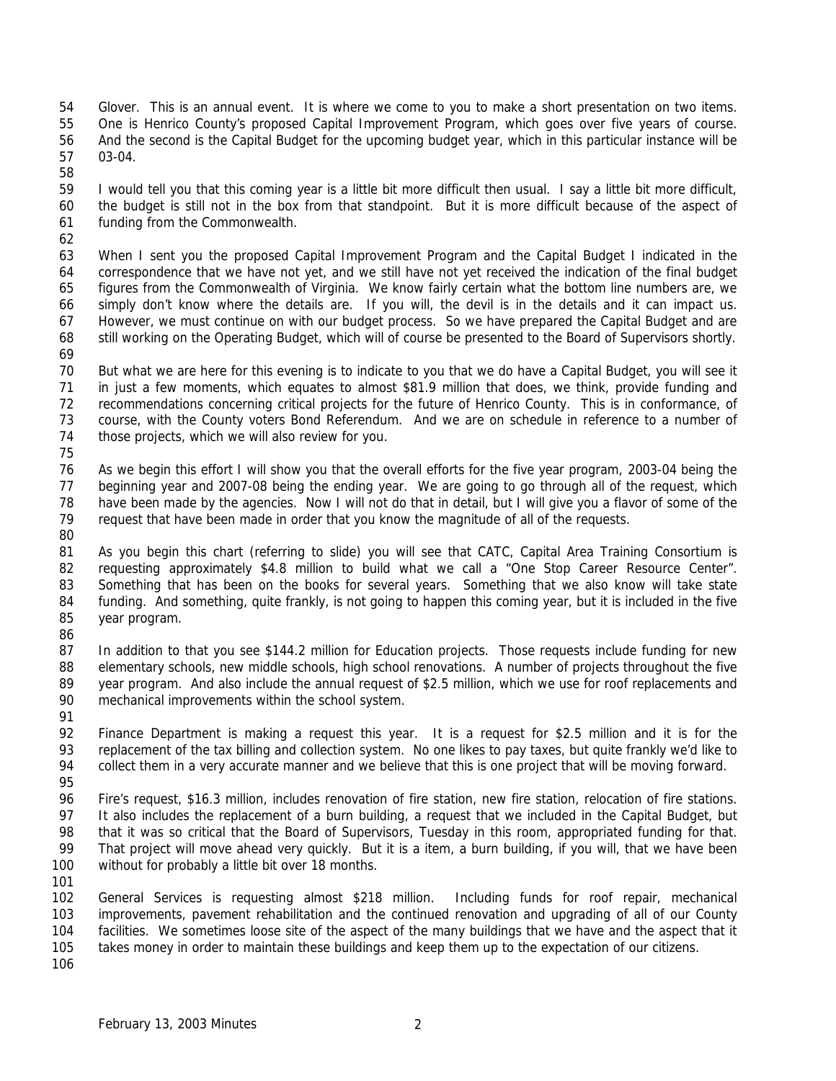- Glover. This is an annual event. It is where we come to you to make a short presentation on two items. One is Henrico County's proposed Capital Improvement Program, which goes over five years of course. And the second is the Capital Budget for the upcoming budget year, which in this particular instance will be 03-04.
- I would tell you that this coming year is a little bit more difficult then usual. I say a little bit more difficult, the budget is still not in the box from that standpoint. But it is more difficult because of the aspect of funding from the Commonwealth.
- 

 When I sent you the proposed Capital Improvement Program and the Capital Budget I indicated in the correspondence that we have not yet, and we still have not yet received the indication of the final budget figures from the Commonwealth of Virginia. We know fairly certain what the bottom line numbers are, we simply don't know where the details are. If you will, the devil is in the details and it can impact us. However, we must continue on with our budget process. So we have prepared the Capital Budget and are still working on the Operating Budget, which will of course be presented to the Board of Supervisors shortly. 

- But what we are here for this evening is to indicate to you that we do have a Capital Budget, you will see it in just a few moments, which equates to almost \$81.9 million that does, we think, provide funding and recommendations concerning critical projects for the future of Henrico County. This is in conformance, of course, with the County voters Bond Referendum. And we are on schedule in reference to a number of those projects, which we will also review for you.
- 

 As we begin this effort I will show you that the overall efforts for the five year program, 2003-04 being the beginning year and 2007-08 being the ending year. We are going to go through all of the request, which have been made by the agencies. Now I will not do that in detail, but I will give you a flavor of some of the request that have been made in order that you know the magnitude of all of the requests. 

- 81 As you begin this chart (referring to slide) you will see that CATC, Capital Area Training Consortium is requesting approximately \$4.8 million to build what we call a "One Stop Career Resource Center". Something that has been on the books for several years. Something that we also know will take state funding. And something, quite frankly, is not going to happen this coming year, but it is included in the five year program.
- 87 In addition to that you see \$144.2 million for Education projects. Those requests include funding for new 88 elementary schools, new middle schools, high school renovations. A number of projects throughout the five year program. And also include the annual request of \$2.5 million, which we use for roof replacements and mechanical improvements within the school system.
- Finance Department is making a request this year. It is a request for \$2.5 million and it is for the replacement of the tax billing and collection system. No one likes to pay taxes, but quite frankly we'd like to 94 collect them in a very accurate manner and we believe that this is one project that will be moving forward.
- Fire's request, \$16.3 million, includes renovation of fire station, new fire station, relocation of fire stations. It also includes the replacement of a burn building, a request that we included in the Capital Budget, but that it was so critical that the Board of Supervisors, Tuesday in this room, appropriated funding for that. 99 That project will move ahead very quickly. But it is a item, a burn building, if you will, that we have been without for probably a little bit over 18 months.
- 

 General Services is requesting almost \$218 million. Including funds for roof repair, mechanical improvements, pavement rehabilitation and the continued renovation and upgrading of all of our County facilities. We sometimes loose site of the aspect of the many buildings that we have and the aspect that it takes money in order to maintain these buildings and keep them up to the expectation of our citizens.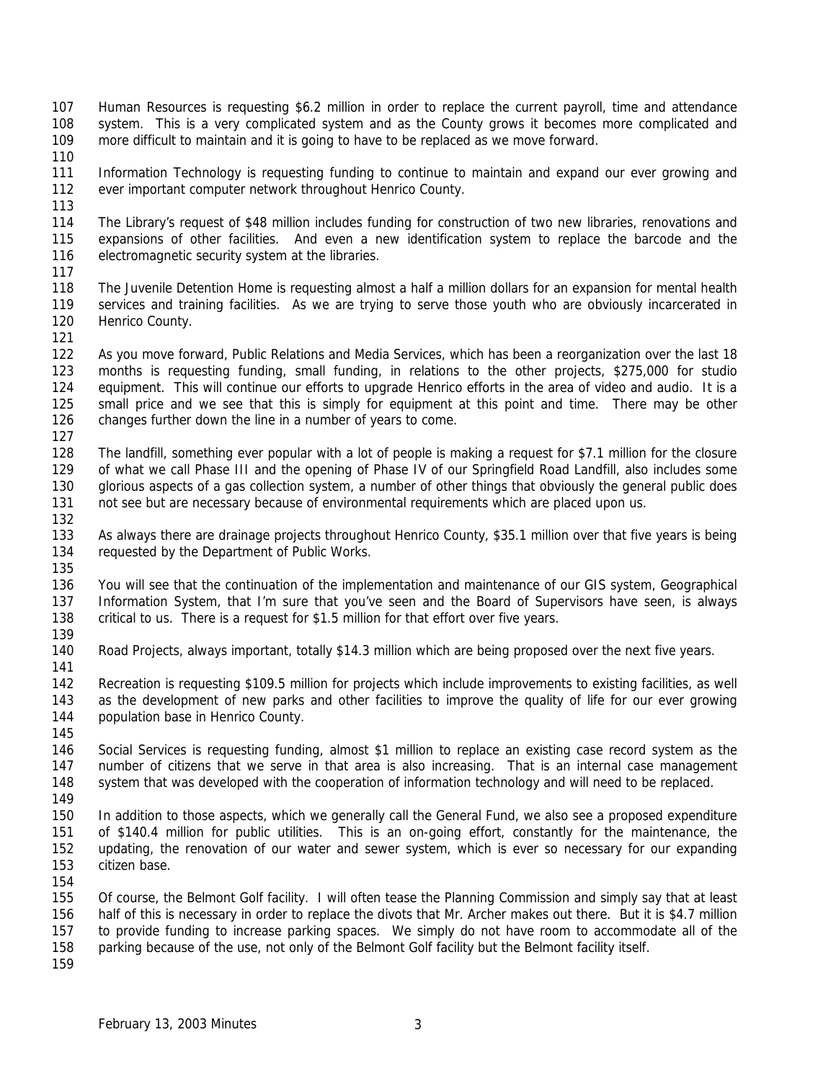- Human Resources is requesting \$6.2 million in order to replace the current payroll, time and attendance system. This is a very complicated system and as the County grows it becomes more complicated and more difficult to maintain and it is going to have to be replaced as we move forward.
- 

 Information Technology is requesting funding to continue to maintain and expand our ever growing and ever important computer network throughout Henrico County.

 The Library's request of \$48 million includes funding for construction of two new libraries, renovations and expansions of other facilities. And even a new identification system to replace the barcode and the electromagnetic security system at the libraries.

 The Juvenile Detention Home is requesting almost a half a million dollars for an expansion for mental health services and training facilities. As we are trying to serve those youth who are obviously incarcerated in Henrico County.

 As you move forward, Public Relations and Media Services, which has been a reorganization over the last 18 months is requesting funding, small funding, in relations to the other projects, \$275,000 for studio equipment. This will continue our efforts to upgrade Henrico efforts in the area of video and audio. It is a small price and we see that this is simply for equipment at this point and time. There may be other changes further down the line in a number of years to come.

 The landfill, something ever popular with a lot of people is making a request for \$7.1 million for the closure of what we call Phase III and the opening of Phase IV of our Springfield Road Landfill, also includes some glorious aspects of a gas collection system, a number of other things that obviously the general public does 131 not see but are necessary because of environmental requirements which are placed upon us.

 As always there are drainage projects throughout Henrico County, \$35.1 million over that five years is being requested by the Department of Public Works.

 You will see that the continuation of the implementation and maintenance of our GIS system, Geographical Information System, that I'm sure that you've seen and the Board of Supervisors have seen, is always critical to us. There is a request for \$1.5 million for that effort over five years.

Road Projects, always important, totally \$14.3 million which are being proposed over the next five years.

 Recreation is requesting \$109.5 million for projects which include improvements to existing facilities, as well as the development of new parks and other facilities to improve the quality of life for our ever growing 144 population base in Henrico County.

 Social Services is requesting funding, almost \$1 million to replace an existing case record system as the number of citizens that we serve in that area is also increasing. That is an internal case management system that was developed with the cooperation of information technology and will need to be replaced.

 In addition to those aspects, which we generally call the General Fund, we also see a proposed expenditure of \$140.4 million for public utilities. This is an on-going effort, constantly for the maintenance, the updating, the renovation of our water and sewer system, which is ever so necessary for our expanding citizen base.

 Of course, the Belmont Golf facility. I will often tease the Planning Commission and simply say that at least half of this is necessary in order to replace the divots that Mr. Archer makes out there. But it is \$4.7 million to provide funding to increase parking spaces. We simply do not have room to accommodate all of the parking because of the use, not only of the Belmont Golf facility but the Belmont facility itself.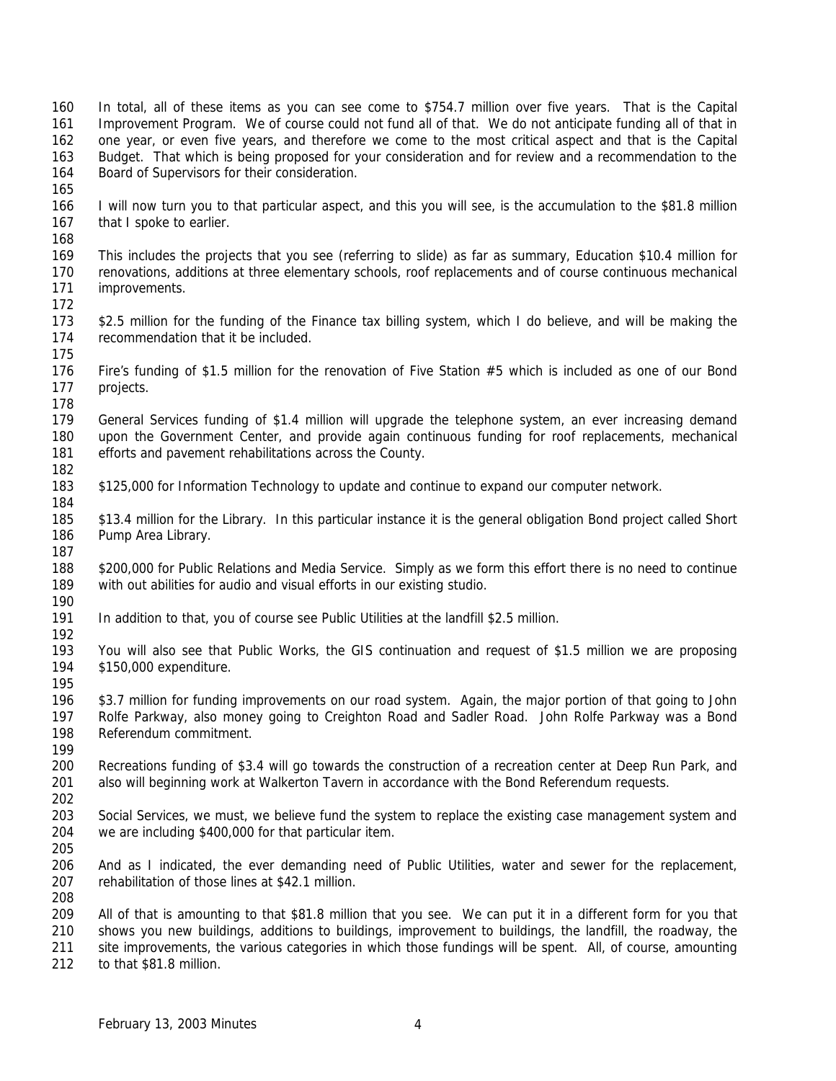In total, all of these items as you can see come to \$754.7 million over five years. That is the Capital Improvement Program. We of course could not fund all of that. We do not anticipate funding all of that in one year, or even five years, and therefore we come to the most critical aspect and that is the Capital Budget. That which is being proposed for your consideration and for review and a recommendation to the Board of Supervisors for their consideration.

- I will now turn you to that particular aspect, and this you will see, is the accumulation to the \$81.8 million 167 that I spoke to earlier.
- 

- This includes the projects that you see (referring to slide) as far as summary, Education \$10.4 million for renovations, additions at three elementary schools, roof replacements and of course continuous mechanical improvements.
- 
- \$2.5 million for the funding of the Finance tax billing system, which I do believe, and will be making the recommendation that it be included.
- Fire's funding of \$1.5 million for the renovation of Five Station #5 which is included as one of our Bond projects.
- 

 General Services funding of \$1.4 million will upgrade the telephone system, an ever increasing demand upon the Government Center, and provide again continuous funding for roof replacements, mechanical efforts and pavement rehabilitations across the County.

- \$125,000 for Information Technology to update and continue to expand our computer network.
- \$13.4 million for the Library. In this particular instance it is the general obligation Bond project called Short 186 Pump Area Library.
- \$200,000 for Public Relations and Media Service. Simply as we form this effort there is no need to continue with out abilities for audio and visual efforts in our existing studio.
- In addition to that, you of course see Public Utilities at the landfill \$2.5 million.
- 
- You will also see that Public Works, the GIS continuation and request of \$1.5 million we are proposing \$150,000 expenditure.
- \$3.7 million for funding improvements on our road system. Again, the major portion of that going to John Rolfe Parkway, also money going to Creighton Road and Sadler Road. John Rolfe Parkway was a Bond Referendum commitment.
- 
- Recreations funding of \$3.4 will go towards the construction of a recreation center at Deep Run Park, and also will beginning work at Walkerton Tavern in accordance with the Bond Referendum requests.
- Social Services, we must, we believe fund the system to replace the existing case management system and we are including \$400,000 for that particular item.
- And as I indicated, the ever demanding need of Public Utilities, water and sewer for the replacement, rehabilitation of those lines at \$42.1 million.
- All of that is amounting to that \$81.8 million that you see. We can put it in a different form for you that shows you new buildings, additions to buildings, improvement to buildings, the landfill, the roadway, the site improvements, the various categories in which those fundings will be spent. All, of course, amounting
- to that \$81.8 million.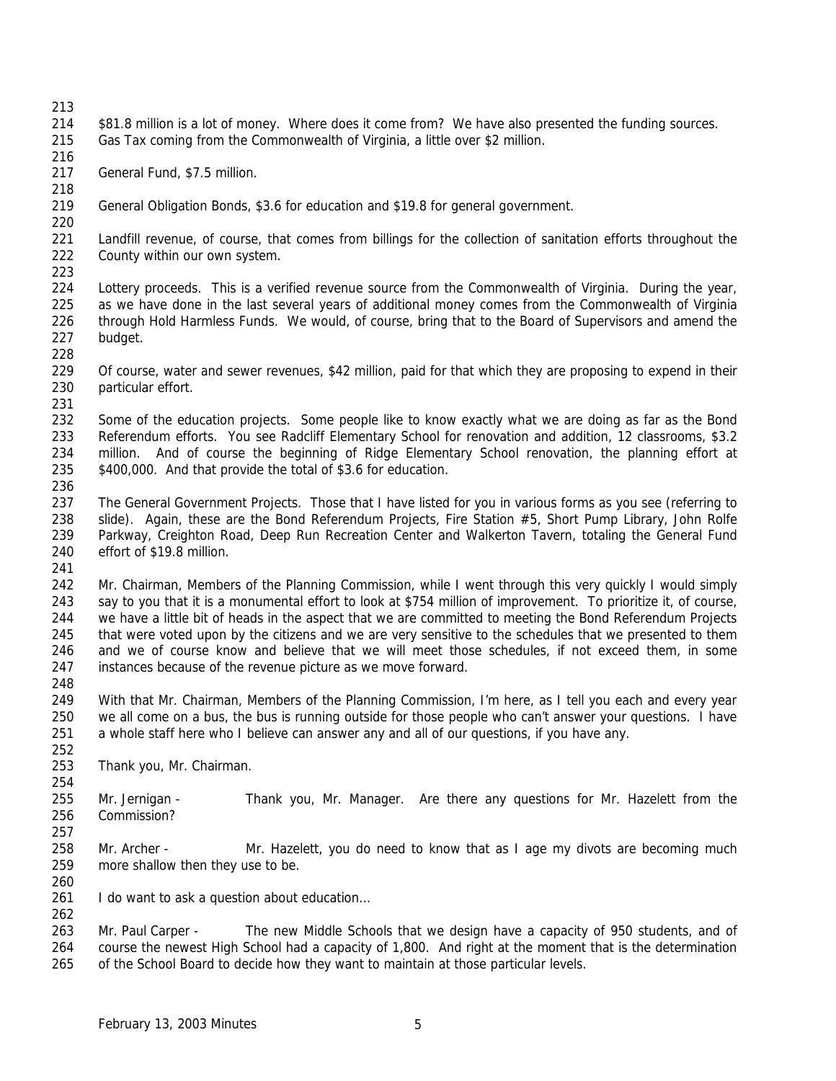- \$81.8 million is a lot of money. Where does it come from? We have also presented the funding sources. Gas Tax coming from the Commonwealth of Virginia, a little over \$2 million.
- General Fund, \$7.5 million.
- General Obligation Bonds, \$3.6 for education and \$19.8 for general government.
- Landfill revenue, of course, that comes from billings for the collection of sanitation efforts throughout the County within our own system.
- Lottery proceeds. This is a verified revenue source from the Commonwealth of Virginia. During the year, as we have done in the last several years of additional money comes from the Commonwealth of Virginia through Hold Harmless Funds. We would, of course, bring that to the Board of Supervisors and amend the budget.
- Of course, water and sewer revenues, \$42 million, paid for that which they are proposing to expend in their particular effort.
- 

- Some of the education projects. Some people like to know exactly what we are doing as far as the Bond Referendum efforts. You see Radcliff Elementary School for renovation and addition, 12 classrooms, \$3.2 million. And of course the beginning of Ridge Elementary School renovation, the planning effort at \$400,000. And that provide the total of \$3.6 for education.
- The General Government Projects. Those that I have listed for you in various forms as you see (referring to 238 slide). Again, these are the Bond Referendum Projects, Fire Station #5, Short Pump Library, John Rolfe Parkway, Creighton Road, Deep Run Recreation Center and Walkerton Tavern, totaling the General Fund effort of \$19.8 million.
- 
- Mr. Chairman, Members of the Planning Commission, while I went through this very quickly I would simply say to you that it is a monumental effort to look at \$754 million of improvement. To prioritize it, of course, we have a little bit of heads in the aspect that we are committed to meeting the Bond Referendum Projects 245 that were voted upon by the citizens and we are very sensitive to the schedules that we presented to them and we of course know and believe that we will meet those schedules, if not exceed them, in some instances because of the revenue picture as we move forward.
- With that Mr. Chairman, Members of the Planning Commission, I'm here, as I tell you each and every year we all come on a bus, the bus is running outside for those people who can't answer your questions. I have a whole staff here who I believe can answer any and all of our questions, if you have any.
- Thank you, Mr. Chairman.
- Mr. Jernigan Thank you, Mr. Manager. Are there any questions for Mr. Hazelett from the Commission?
- 258 Mr. Archer Mr. Hazelett, you do need to know that as I age my divots are becoming much more shallow then they use to be.
- 

- 261 I do want to ask a question about education...
- Mr. Paul Carper The new Middle Schools that we design have a capacity of 950 students, and of course the newest High School had a capacity of 1,800. And right at the moment that is the determination 265 of the School Board to decide how they want to maintain at those particular levels.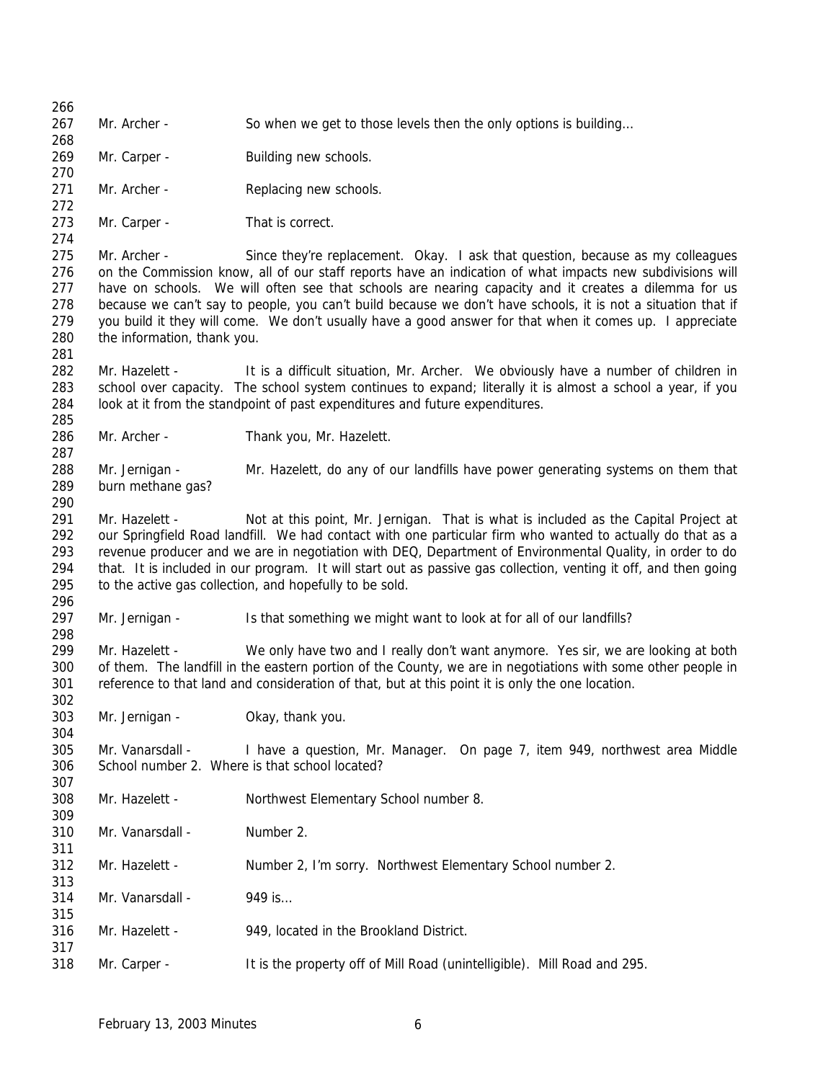| 266               |                             |                                                                                                                                                                                                                                                                                                     |
|-------------------|-----------------------------|-----------------------------------------------------------------------------------------------------------------------------------------------------------------------------------------------------------------------------------------------------------------------------------------------------|
| 267<br>268        | Mr. Archer -                | So when we get to those levels then the only options is building                                                                                                                                                                                                                                    |
| 269<br>270        | Mr. Carper -                | Building new schools.                                                                                                                                                                                                                                                                               |
| 271               | Mr. Archer -                | Replacing new schools.                                                                                                                                                                                                                                                                              |
| 272<br>273        | Mr. Carper -                | That is correct.                                                                                                                                                                                                                                                                                    |
| 274               |                             |                                                                                                                                                                                                                                                                                                     |
| 275<br>276<br>277 | Mr. Archer -                | Since they're replacement. Okay. I ask that question, because as my colleagues<br>on the Commission know, all of our staff reports have an indication of what impacts new subdivisions will<br>have on schools. We will often see that schools are nearing capacity and it creates a dilemma for us |
| 278<br>279        |                             | because we can't say to people, you can't build because we don't have schools, it is not a situation that if<br>you build it they will come. We don't usually have a good answer for that when it comes up. I appreciate                                                                            |
| 280<br>281        | the information, thank you. |                                                                                                                                                                                                                                                                                                     |
| 282               | Mr. Hazelett -              | It is a difficult situation, Mr. Archer. We obviously have a number of children in                                                                                                                                                                                                                  |
| 283<br>284        |                             | school over capacity. The school system continues to expand; literally it is almost a school a year, if you<br>look at it from the standpoint of past expenditures and future expenditures.                                                                                                         |
| 285               |                             |                                                                                                                                                                                                                                                                                                     |
| 286<br>287        | Mr. Archer -                | Thank you, Mr. Hazelett.                                                                                                                                                                                                                                                                            |
| 288               | Mr. Jernigan -              | Mr. Hazelett, do any of our landfills have power generating systems on them that                                                                                                                                                                                                                    |
| 289<br>290        | burn methane gas?           |                                                                                                                                                                                                                                                                                                     |
| 291               | Mr. Hazelett -              | Not at this point, Mr. Jernigan. That is what is included as the Capital Project at                                                                                                                                                                                                                 |
| 292               |                             | our Springfield Road landfill. We had contact with one particular firm who wanted to actually do that as a                                                                                                                                                                                          |
| 293<br>294        |                             | revenue producer and we are in negotiation with DEQ, Department of Environmental Quality, in order to do<br>that. It is included in our program. It will start out as passive gas collection, venting it off, and then going                                                                        |
| 295<br>296        |                             | to the active gas collection, and hopefully to be sold.                                                                                                                                                                                                                                             |
| 297<br>298        | Mr. Jernigan -              | Is that something we might want to look at for all of our landfills?                                                                                                                                                                                                                                |
| 299<br>300        | Mr. Hazelett -              | We only have two and I really don't want anymore. Yes sir, we are looking at both                                                                                                                                                                                                                   |
|                   |                             | of them. The landfill in the eastern portion of the County, we are in negotiations with some other people in                                                                                                                                                                                        |
| 301<br>302        |                             | reference to that land and consideration of that, but at this point it is only the one location.                                                                                                                                                                                                    |
| 303<br>304        | Mr. Jernigan -              | Okay, thank you.                                                                                                                                                                                                                                                                                    |
| 305               | Mr. Vanarsdall -            | I have a question, Mr. Manager. On page 7, item 949, northwest area Middle                                                                                                                                                                                                                          |
| 306               |                             | School number 2. Where is that school located?                                                                                                                                                                                                                                                      |
| 307               |                             |                                                                                                                                                                                                                                                                                                     |
| 308<br>309        | Mr. Hazelett -              | Northwest Elementary School number 8.                                                                                                                                                                                                                                                               |
| 310<br>311        | Mr. Vanarsdall -            | Number 2.                                                                                                                                                                                                                                                                                           |
| 312<br>313        | Mr. Hazelett -              | Number 2, I'm sorry. Northwest Elementary School number 2.                                                                                                                                                                                                                                          |
| 314<br>315        | Mr. Vanarsdall -            | 949 is                                                                                                                                                                                                                                                                                              |
| 316<br>317        | Mr. Hazelett -              | 949, located in the Brookland District.                                                                                                                                                                                                                                                             |
| 318               | Mr. Carper -                | It is the property off of Mill Road (unintelligible). Mill Road and 295.                                                                                                                                                                                                                            |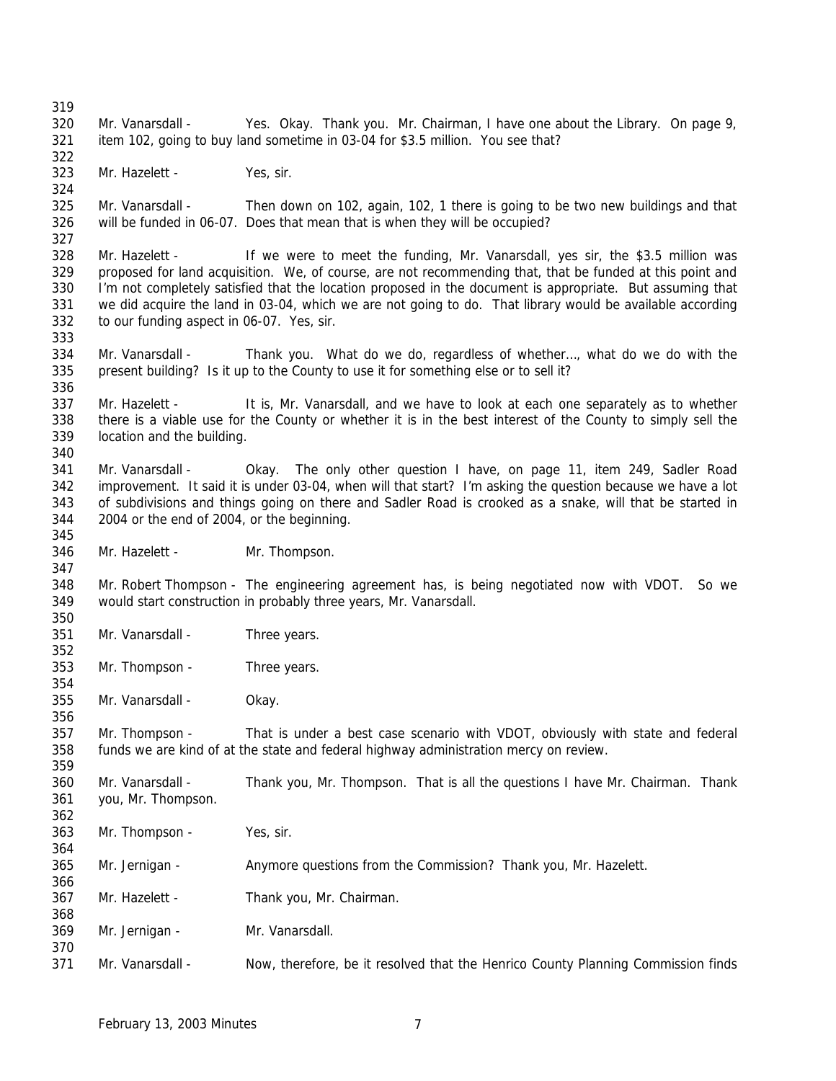Mr. Vanarsdall - Yes. Okay. Thank you. Mr. Chairman, I have one about the Library. On page 9, item 102, going to buy land sometime in 03-04 for \$3.5 million. You see that? Mr. Hazelett - Yes, sir. Mr. Vanarsdall - Then down on 102, again, 102, 1 there is going to be two new buildings and that will be funded in 06-07. Does that mean that is when they will be occupied? Mr. Hazelett - If we were to meet the funding, Mr. Vanarsdall, yes sir, the \$3.5 million was proposed for land acquisition. We, of course, are not recommending that, that be funded at this point and I'm not completely satisfied that the location proposed in the document is appropriate. But assuming that we did acquire the land in 03-04, which we are not going to do. That library would be available according to our funding aspect in 06-07. Yes, sir. Mr. Vanarsdall - Thank you. What do we do, regardless of whether…, what do we do with the present building? Is it up to the County to use it for something else or to sell it? 337 Mr. Hazelett - It is, Mr. Vanarsdall, and we have to look at each one separately as to whether there is a viable use for the County or whether it is in the best interest of the County to simply sell the location and the building. Mr. Vanarsdall - Okay. The only other question I have, on page 11, item 249, Sadler Road improvement. It said it is under 03-04, when will that start? I'm asking the question because we have a lot of subdivisions and things going on there and Sadler Road is crooked as a snake, will that be started in 2004 or the end of 2004, or the beginning. Mr. Hazelett - Mr. Thompson. Mr. Robert Thompson - The engineering agreement has, is being negotiated now with VDOT. So we would start construction in probably three years, Mr. Vanarsdall. Mr. Vanarsdall - Three years. Mr. Thompson - Three years. Mr. Vanarsdall - Okay. Mr. Thompson - That is under a best case scenario with VDOT, obviously with state and federal funds we are kind of at the state and federal highway administration mercy on review. Mr. Vanarsdall - Thank you, Mr. Thompson. That is all the questions I have Mr. Chairman. Thank you, Mr. Thompson. Mr. Thompson - Yes, sir. Mr. Jernigan - Anymore questions from the Commission? Thank you, Mr. Hazelett. Mr. Hazelett - Thank you, Mr. Chairman. Mr. Jernigan - Mr. Vanarsdall. Mr. Vanarsdall - Now, therefore, be it resolved that the Henrico County Planning Commission finds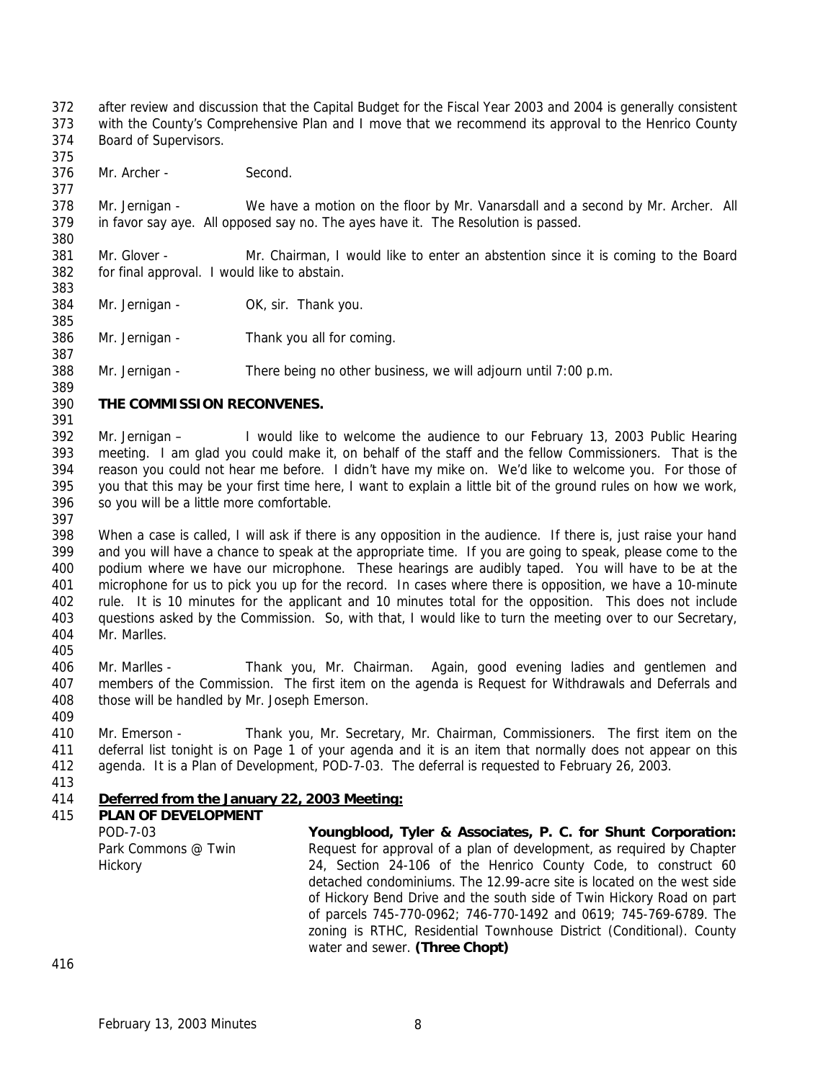after review and discussion that the Capital Budget for the Fiscal Year 2003 and 2004 is generally consistent with the County's Comprehensive Plan and I move that we recommend its approval to the Henrico County

 Board of Supervisors. 

Mr. Archer - Second.

 Mr. Jernigan - We have a motion on the floor by Mr. Vanarsdall and a second by Mr. Archer. All in favor say aye. All opposed say no. The ayes have it. The Resolution is passed.

 Mr. Glover - Mr. Chairman, I would like to enter an abstention since it is coming to the Board for final approval. I would like to abstain.

Mr. Jernigan - OK, sir. Thank you.

Mr. Jernigan - Thank you all for coming.

Mr. Jernigan - There being no other business, we will adjourn until 7:00 p.m.

## **THE COMMISSION RECONVENES.**

 Mr. Jernigan – I would like to welcome the audience to our February 13, 2003 Public Hearing meeting. I am glad you could make it, on behalf of the staff and the fellow Commissioners. That is the reason you could not hear me before. I didn't have my mike on. We'd like to welcome you. For those of you that this may be your first time here, I want to explain a little bit of the ground rules on how we work, so you will be a little more comfortable.

 When a case is called, I will ask if there is any opposition in the audience. If there is, just raise your hand and you will have a chance to speak at the appropriate time. If you are going to speak, please come to the podium where we have our microphone. These hearings are audibly taped. You will have to be at the microphone for us to pick you up for the record. In cases where there is opposition, we have a 10-minute rule. It is 10 minutes for the applicant and 10 minutes total for the opposition. This does not include questions asked by the Commission. So, with that, I would like to turn the meeting over to our Secretary, Mr. Marlles. 

 Mr. Marlles - Thank you, Mr. Chairman. Again, good evening ladies and gentlemen and members of the Commission. The first item on the agenda is Request for Withdrawals and Deferrals and those will be handled by Mr. Joseph Emerson.

 Mr. Emerson - Thank you, Mr. Secretary, Mr. Chairman, Commissioners. The first item on the deferral list tonight is on Page 1 of your agenda and it is an item that normally does not appear on this agenda. It is a Plan of Development, POD-7-03. The deferral is requested to February 26, 2003.

## *Deferred from the January 22, 2003 Meeting:*

 **PLAN OF DEVELOPMENT**  POD-7-03 Park Commons @ Twin Hickory **Youngblood, Tyler & Associates, P. C. for Shunt Corporation:** Request for approval of a plan of development, as required by Chapter 24, Section 24-106 of the Henrico County Code, to construct 60 detached condominiums. The 12.99-acre site is located on the west side of Hickory Bend Drive and the south side of Twin Hickory Road on part of parcels 745-770-0962; 746-770-1492 and 0619; 745-769-6789. The zoning is RTHC, Residential Townhouse District (Conditional). County water and sewer. **(Three Chopt)**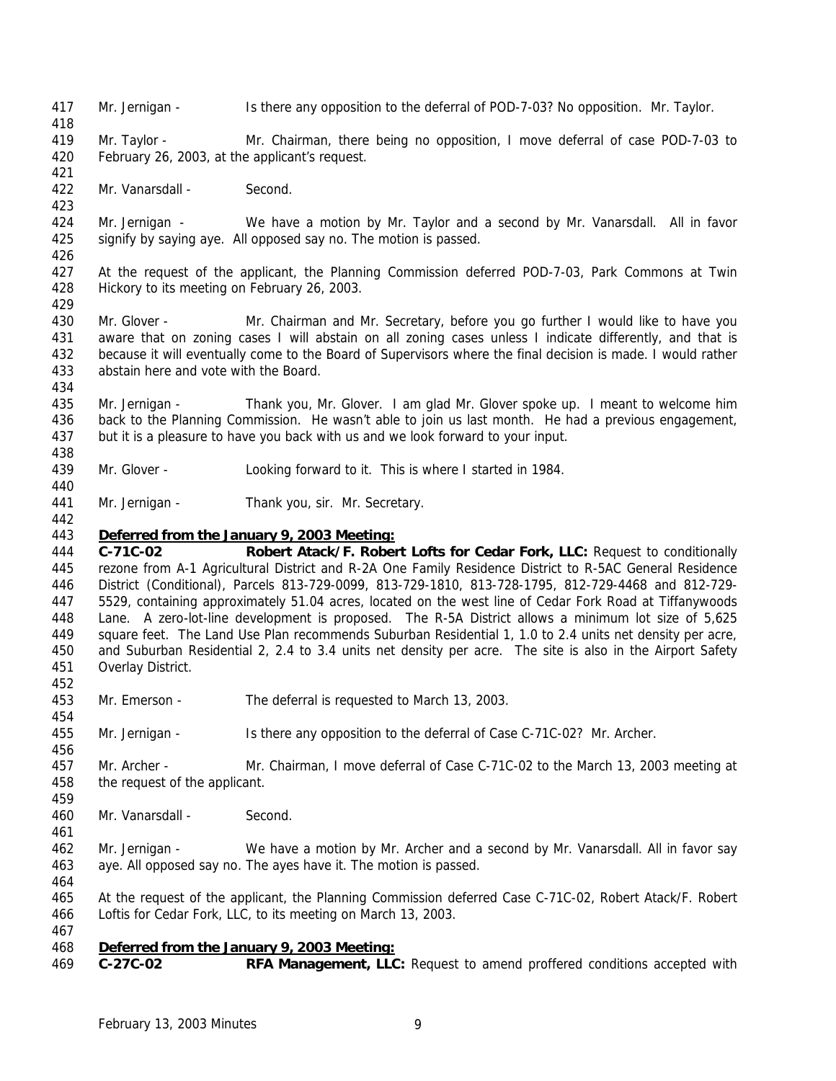- Mr. Jernigan Is there any opposition to the deferral of POD-7-03? No opposition. Mr. Taylor.
- Mr. Taylor Mr. Chairman, there being no opposition, I move deferral of case POD-7-03 to February 26, 2003, at the applicant's request.
- Mr. Vanarsdall Second.

 Mr. Jernigan - We have a motion by Mr. Taylor and a second by Mr. Vanarsdall. All in favor signify by saying aye. All opposed say no. The motion is passed.

- At the request of the applicant, the Planning Commission deferred POD-7-03, Park Commons at Twin Hickory to its meeting on February 26, 2003.
- 430 Mr. Glover Mr. Chairman and Mr. Secretary, before you go further I would like to have you aware that on zoning cases I will abstain on all zoning cases unless I indicate differently, and that is because it will eventually come to the Board of Supervisors where the final decision is made. I would rather abstain here and vote with the Board.
- Mr. Jernigan Thank you, Mr. Glover. I am glad Mr. Glover spoke up. I meant to welcome him back to the Planning Commission. He wasn't able to join us last month. He had a previous engagement, but it is a pleasure to have you back with us and we look forward to your input.
- Mr. Glover Looking forward to it. This is where I started in 1984.
- 441 Mr. Jernigan Thank you, sir. Mr. Secretary.

# *Deferred from the January 9, 2003 Meeting:*

 **C-71C-02 Robert Atack/F. Robert Lofts for Cedar Fork, LLC:** Request to conditionally rezone from A-1 Agricultural District and R-2A One Family Residence District to R-5AC General Residence District (Conditional), Parcels 813-729-0099, 813-729-1810, 813-728-1795, 812-729-4468 and 812-729- 5529, containing approximately 51.04 acres, located on the west line of Cedar Fork Road at Tiffanywoods Lane. A zero-lot-line development is proposed. The R-5A District allows a minimum lot size of 5,625 square feet. The Land Use Plan recommends Suburban Residential 1, 1.0 to 2.4 units net density per acre, and Suburban Residential 2, 2.4 to 3.4 units net density per acre. The site is also in the Airport Safety Overlay District. 

- Mr. Emerson The deferral is requested to March 13, 2003.
- Mr. Jernigan Is there any opposition to the deferral of Case C-71C-02? Mr. Archer.
- Mr. Archer Mr. Chairman, I move deferral of Case C-71C-02 to the March 13, 2003 meeting at the request of the applicant.
- Mr. Vanarsdall Second.
- Mr. Jernigan We have a motion by Mr. Archer and a second by Mr. Vanarsdall. All in favor say aye. All opposed say no. The ayes have it. The motion is passed.
- At the request of the applicant, the Planning Commission deferred Case C-71C-02, Robert Atack/F. Robert Loftis for Cedar Fork, LLC, to its meeting on March 13, 2003.
- 

# *Deferred from the January 9, 2003 Meeting:*

**C-27C-02 RFA Management, LLC:** Request to amend proffered conditions accepted with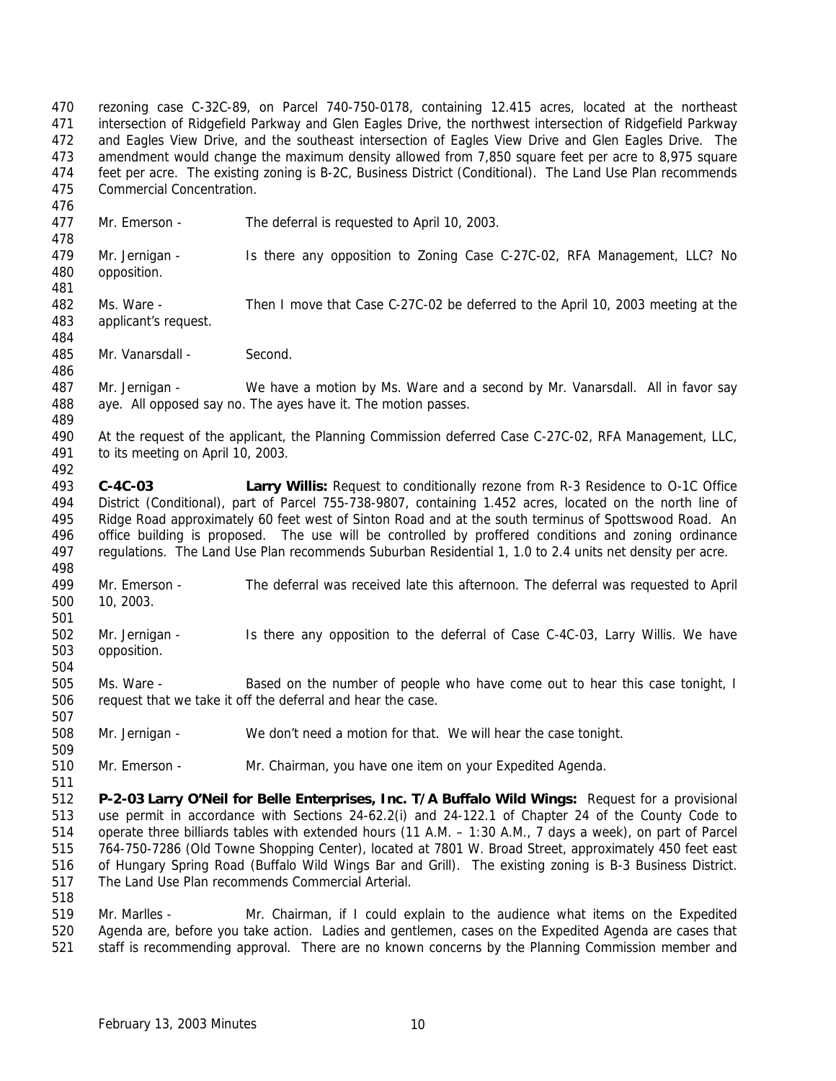rezoning case C-32C-89, on Parcel 740-750-0178, containing 12.415 acres, located at the northeast intersection of Ridgefield Parkway and Glen Eagles Drive, the northwest intersection of Ridgefield Parkway and Eagles View Drive, and the southeast intersection of Eagles View Drive and Glen Eagles Drive. The amendment would change the maximum density allowed from 7,850 square feet per acre to 8,975 square feet per acre. The existing zoning is B-2C, Business District (Conditional). The Land Use Plan recommends Commercial Concentration. Mr. Emerson - The deferral is requested to April 10, 2003. Mr. Jernigan - Is there any opposition to Zoning Case C-27C-02, RFA Management, LLC? No opposition. Ms. Ware - Then I move that Case C-27C-02 be deferred to the April 10, 2003 meeting at the applicant's request. Mr. Vanarsdall - Second. Mr. Jernigan - We have a motion by Ms. Ware and a second by Mr. Vanarsdall. All in favor say aye. All opposed say no. The ayes have it. The motion passes. At the request of the applicant, the Planning Commission deferred Case C-27C-02, RFA Management, LLC, to its meeting on April 10, 2003. **C-4C-03 Larry Willis:** Request to conditionally rezone from R-3 Residence to O-1C Office District (Conditional), part of Parcel 755-738-9807, containing 1.452 acres, located on the north line of Ridge Road approximately 60 feet west of Sinton Road and at the south terminus of Spottswood Road. An office building is proposed. The use will be controlled by proffered conditions and zoning ordinance regulations. The Land Use Plan recommends Suburban Residential 1, 1.0 to 2.4 units net density per acre. Mr. Emerson - The deferral was received late this afternoon. The deferral was requested to April 10, 2003. Mr. Jernigan - Is there any opposition to the deferral of Case C-4C-03, Larry Willis. We have opposition. Ms. Ware - Based on the number of people who have come out to hear this case tonight, I request that we take it off the deferral and hear the case. Mr. Jernigan - We don't need a motion for that. We will hear the case tonight. Mr. Emerson - Mr. Chairman, you have one item on your Expedited Agenda. **P-2-03 Larry O'Neil for Belle Enterprises, Inc. T/A Buffalo Wild Wings:** Request for a provisional use permit in accordance with Sections 24-62.2(i) and 24-122.1 of Chapter 24 of the County Code to operate three billiards tables with extended hours (11 A.M. – 1:30 A.M., 7 days a week), on part of Parcel 764-750-7286 (Old Towne Shopping Center), located at 7801 W. Broad Street, approximately 450 feet east of Hungary Spring Road (Buffalo Wild Wings Bar and Grill). The existing zoning is B-3 Business District. The Land Use Plan recommends Commercial Arterial. Mr. Marlles - Mr. Chairman, if I could explain to the audience what items on the Expedited

 Agenda are, before you take action. Ladies and gentlemen, cases on the Expedited Agenda are cases that staff is recommending approval. There are no known concerns by the Planning Commission member and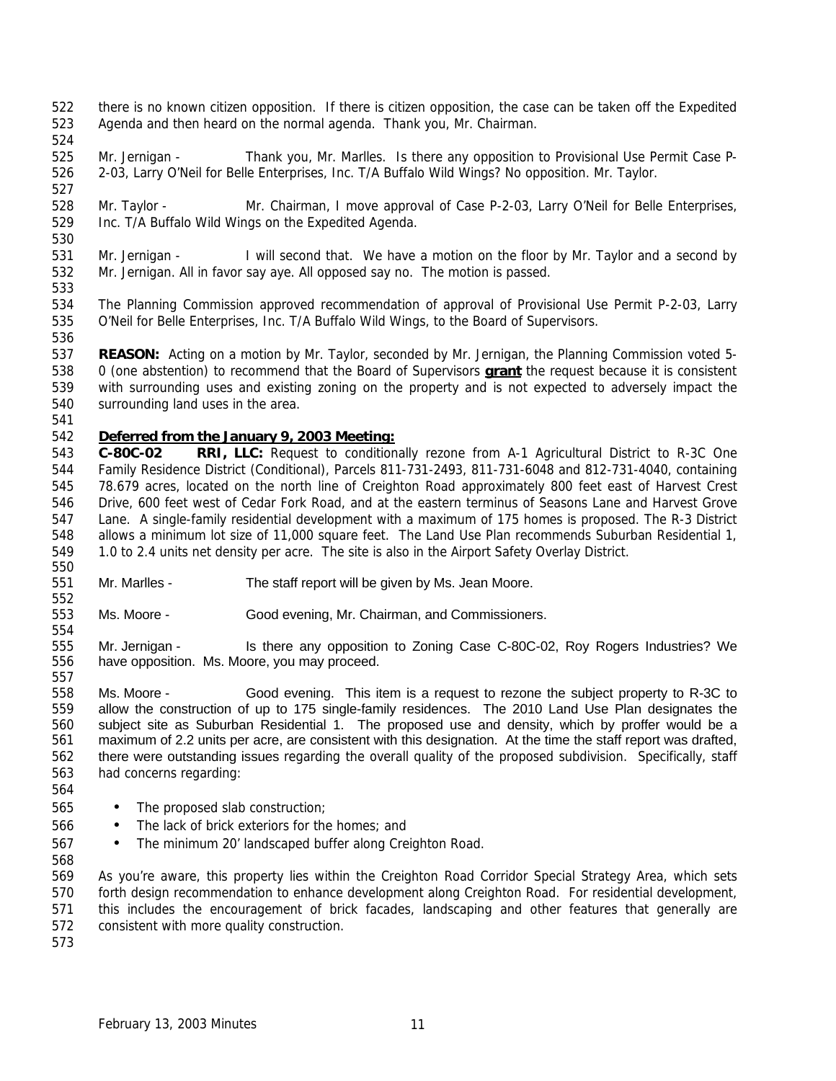- there is no known citizen opposition. If there is citizen opposition, the case can be taken off the Expedited Agenda and then heard on the normal agenda. Thank you, Mr. Chairman.
- 

- Mr. Jernigan Thank you, Mr. Marlles. Is there any opposition to Provisional Use Permit Case P- 2-03, Larry O'Neil for Belle Enterprises, Inc. T/A Buffalo Wild Wings? No opposition. Mr. Taylor.
- Mr. Taylor Mr. Chairman, I move approval of Case P-2-03, Larry O'Neil for Belle Enterprises, Inc. T/A Buffalo Wild Wings on the Expedited Agenda.
- Mr. Jernigan I will second that. We have a motion on the floor by Mr. Taylor and a second by Mr. Jernigan. All in favor say aye. All opposed say no. The motion is passed.
- The Planning Commission approved recommendation of approval of Provisional Use Permit P-2-03, Larry O'Neil for Belle Enterprises, Inc. T/A Buffalo Wild Wings, to the Board of Supervisors.
- **REASON:** Acting on a motion by Mr. Taylor, seconded by Mr. Jernigan, the Planning Commission voted 5- 0 (one abstention) to recommend that the Board of Supervisors **grant** the request because it is consistent with surrounding uses and existing zoning on the property and is not expected to adversely impact the surrounding land uses in the area.
- 

# *Deferred from the January 9, 2003 Meeting:*

- **C-80C-02 RRI, LLC:** Request to conditionally rezone from A-1 Agricultural District to R-3C One Family Residence District (Conditional), Parcels 811-731-2493, 811-731-6048 and 812-731-4040, containing 78.679 acres, located on the north line of Creighton Road approximately 800 feet east of Harvest Crest Drive, 600 feet west of Cedar Fork Road, and at the eastern terminus of Seasons Lane and Harvest Grove Lane. A single-family residential development with a maximum of 175 homes is proposed. The R-3 District allows a minimum lot size of 11,000 square feet. The Land Use Plan recommends Suburban Residential 1, 1.0 to 2.4 units net density per acre. The site is also in the Airport Safety Overlay District.
- Mr. Marlles - The staff report will be given by Ms. Jean Moore.
- Ms. Moore - Good evening, Mr. Chairman, and Commissioners.
- 555 Mr. Jernigan Is there any opposition to Zoning Case C-80C-02, Roy Rogers Industries? We have opposition. Ms. Moore, you may proceed.
- Ms. Moore Good evening. This item is a request to rezone the subject property to R-3C to allow the construction of up to 175 single-family residences. The 2010 Land Use Plan designates the subject site as Suburban Residential 1. The proposed use and density, which by proffer would be a maximum of 2.2 units per acre, are consistent with this designation. At the time the staff report was drafted, there were outstanding issues regarding the overall quality of the proposed subdivision. Specifically, staff had concerns regarding:
- 
- The proposed slab construction;
- The lack of brick exteriors for the homes; and
- The minimum 20' landscaped buffer along Creighton Road.
- 

 As you're aware, this property lies within the Creighton Road Corridor Special Strategy Area, which sets forth design recommendation to enhance development along Creighton Road. For residential development, this includes the encouragement of brick facades, landscaping and other features that generally are consistent with more quality construction.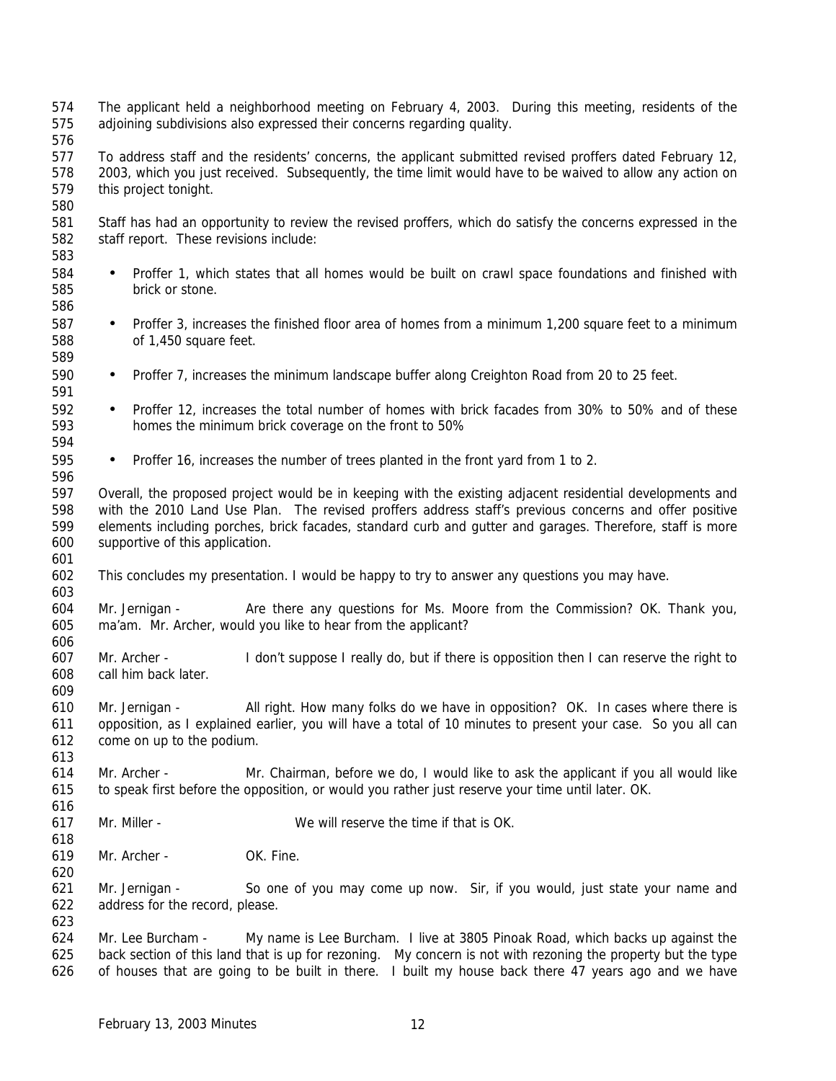The applicant held a neighborhood meeting on February 4, 2003. During this meeting, residents of the adjoining subdivisions also expressed their concerns regarding quality. To address staff and the residents' concerns, the applicant submitted revised proffers dated February 12, 2003, which you just received. Subsequently, the time limit would have to be waived to allow any action on this project tonight. Staff has had an opportunity to review the revised proffers, which do satisfy the concerns expressed in the staff report. These revisions include: • Proffer 1, which states that all homes would be built on crawl space foundations and finished with brick or stone. • Proffer 3, increases the finished floor area of homes from a minimum 1,200 square feet to a minimum of 1,450 square feet. • Proffer 7, increases the minimum landscape buffer along Creighton Road from 20 to 25 feet. • Proffer 12, increases the total number of homes with brick facades from 30% to 50% and of these homes the minimum brick coverage on the front to 50% • Proffer 16, increases the number of trees planted in the front yard from 1 to 2. Overall, the proposed project would be in keeping with the existing adjacent residential developments and with the 2010 Land Use Plan. The revised proffers address staff's previous concerns and offer positive elements including porches, brick facades, standard curb and gutter and garages. Therefore, staff is more supportive of this application. This concludes my presentation. I would be happy to try to answer any questions you may have. Mr. Jernigan - Are there any questions for Ms. Moore from the Commission? OK. Thank you, ma'am. Mr. Archer, would you like to hear from the applicant? Mr. Archer - I don't suppose I really do, but if there is opposition then I can reserve the right to call him back later. Mr. Jernigan - All right. How many folks do we have in opposition? OK. In cases where there is opposition, as I explained earlier, you will have a total of 10 minutes to present your case. So you all can come on up to the podium. Mr. Archer - Mr. Chairman, before we do, I would like to ask the applicant if you all would like to speak first before the opposition, or would you rather just reserve your time until later. OK. Mr. Miller - We will reserve the time if that is OK. Mr. Archer - OK. Fine. Mr. Jernigan - So one of you may come up now. Sir, if you would, just state your name and address for the record, please. Mr. Lee Burcham - My name is Lee Burcham. I live at 3805 Pinoak Road, which backs up against the back section of this land that is up for rezoning. My concern is not with rezoning the property but the type of houses that are going to be built in there. I built my house back there 47 years ago and we have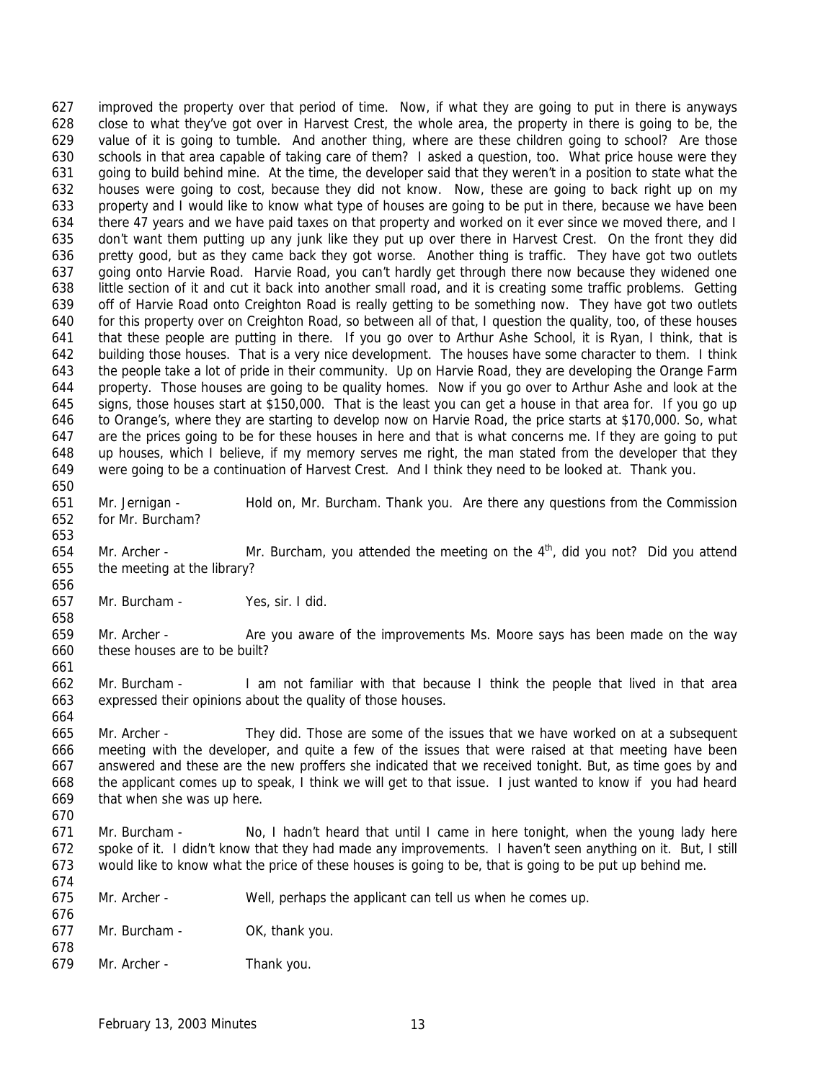improved the property over that period of time. Now, if what they are going to put in there is anyways close to what they've got over in Harvest Crest, the whole area, the property in there is going to be, the value of it is going to tumble. And another thing, where are these children going to school? Are those schools in that area capable of taking care of them? I asked a question, too. What price house were they going to build behind mine. At the time, the developer said that they weren't in a position to state what the houses were going to cost, because they did not know. Now, these are going to back right up on my property and I would like to know what type of houses are going to be put in there, because we have been there 47 years and we have paid taxes on that property and worked on it ever since we moved there, and I don't want them putting up any junk like they put up over there in Harvest Crest. On the front they did pretty good, but as they came back they got worse. Another thing is traffic. They have got two outlets going onto Harvie Road. Harvie Road, you can't hardly get through there now because they widened one little section of it and cut it back into another small road, and it is creating some traffic problems. Getting off of Harvie Road onto Creighton Road is really getting to be something now. They have got two outlets for this property over on Creighton Road, so between all of that, I question the quality, too, of these houses that these people are putting in there. If you go over to Arthur Ashe School, it is Ryan, I think, that is building those houses. That is a very nice development. The houses have some character to them. I think the people take a lot of pride in their community. Up on Harvie Road, they are developing the Orange Farm property. Those houses are going to be quality homes. Now if you go over to Arthur Ashe and look at the signs, those houses start at \$150,000. That is the least you can get a house in that area for. If you go up to Orange's, where they are starting to develop now on Harvie Road, the price starts at \$170,000. So, what are the prices going to be for these houses in here and that is what concerns me. If they are going to put up houses, which I believe, if my memory serves me right, the man stated from the developer that they were going to be a continuation of Harvest Crest. And I think they need to be looked at. Thank you. 

- Mr. Jernigan Hold on, Mr. Burcham. Thank you. Are there any questions from the Commission for Mr. Burcham?
- 654 Mr. Archer Mr. Burcham, you attended the meeting on the  $4<sup>th</sup>$ , did you not? Did you attend the meeting at the library?
- Mr. Burcham Yes, sir. I did.
- Mr. Archer Are you aware of the improvements Ms. Moore says has been made on the way these houses are to be built?
- Mr. Burcham I am not familiar with that because I think the people that lived in that area expressed their opinions about the quality of those houses.
- Mr. Archer They did. Those are some of the issues that we have worked on at a subsequent meeting with the developer, and quite a few of the issues that were raised at that meeting have been answered and these are the new proffers she indicated that we received tonight. But, as time goes by and the applicant comes up to speak, I think we will get to that issue. I just wanted to know if you had heard that when she was up here.
- 

- Mr. Burcham No, I hadn't heard that until I came in here tonight, when the young lady here spoke of it. I didn't know that they had made any improvements. I haven't seen anything on it. But, I still would like to know what the price of these houses is going to be, that is going to be put up behind me.
- Mr. Archer Well, perhaps the applicant can tell us when he comes up.
- Mr. Burcham OK, thank you.
- Mr. Archer - Thank you.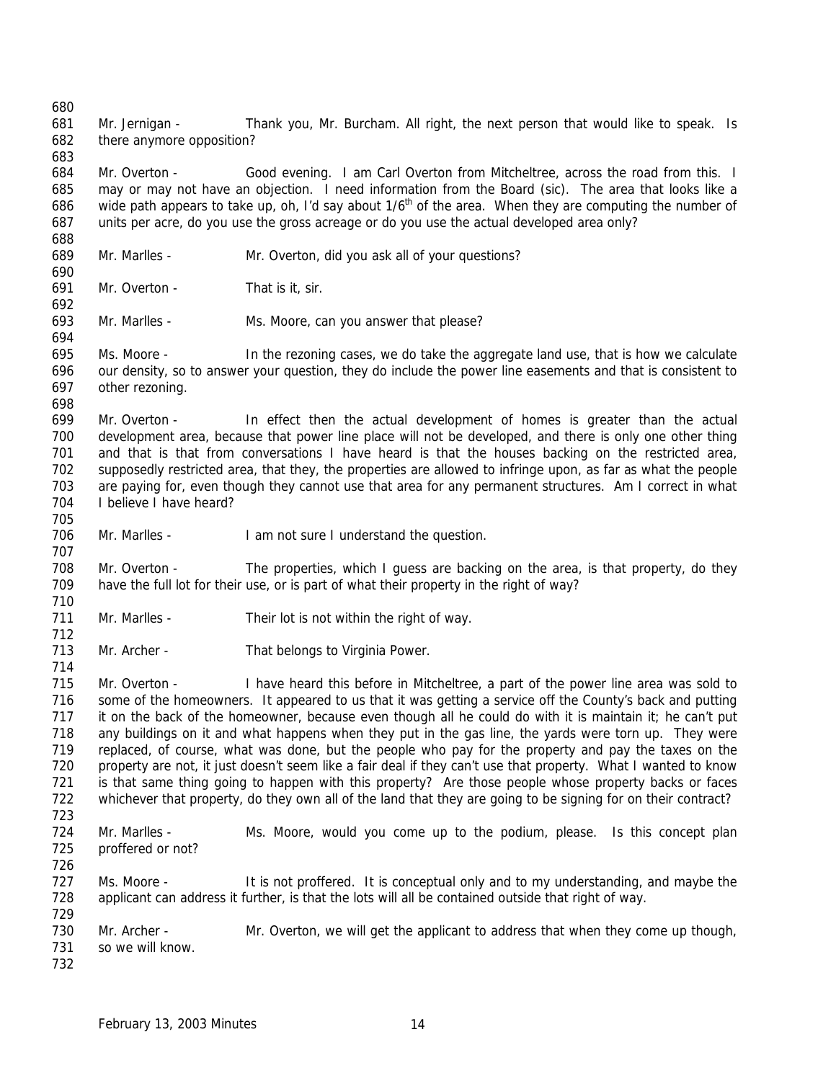Mr. Jernigan - Thank you, Mr. Burcham. All right, the next person that would like to speak. Is there anymore opposition? Mr. Overton - Good evening. I am Carl Overton from Mitcheltree, across the road from this. I may or may not have an objection. I need information from the Board (sic). The area that looks like a 686 wide path appears to take up, oh, I'd say about  $1/6<sup>th</sup>$  of the area. When they are computing the number of units per acre, do you use the gross acreage or do you use the actual developed area only? Mr. Marlles - Mr. Overton, did you ask all of your questions? Mr. Overton - That is it, sir. 693 Mr. Marlles - Ms. Moore, can you answer that please? Ms. Moore - In the rezoning cases, we do take the aggregate land use, that is how we calculate our density, so to answer your question, they do include the power line easements and that is consistent to other rezoning. Mr. Overton - In effect then the actual development of homes is greater than the actual development area, because that power line place will not be developed, and there is only one other thing and that is that from conversations I have heard is that the houses backing on the restricted area, supposedly restricted area, that they, the properties are allowed to infringe upon, as far as what the people are paying for, even though they cannot use that area for any permanent structures. Am I correct in what I believe I have heard? Mr. Marlles - I am not sure I understand the question. 708 Mr. Overton - The properties, which I guess are backing on the area, is that property, do they have the full lot for their use, or is part of what their property in the right of way? Mr. Marlles - Their lot is not within the right of way. Mr. Archer - That belongs to Virginia Power. 

 Mr. Overton - I have heard this before in Mitcheltree, a part of the power line area was sold to some of the homeowners. It appeared to us that it was getting a service off the County's back and putting it on the back of the homeowner, because even though all he could do with it is maintain it; he can't put any buildings on it and what happens when they put in the gas line, the yards were torn up. They were replaced, of course, what was done, but the people who pay for the property and pay the taxes on the 720 property are not, it just doesn't seem like a fair deal if they can't use that property. What I wanted to know is that same thing going to happen with this property? Are those people whose property backs or faces whichever that property, do they own all of the land that they are going to be signing for on their contract? 

- Mr. Marlles Ms. Moore, would you come up to the podium, please. Is this concept plan proffered or not?
- Ms. Moore - It is not proffered. It is conceptual only and to my understanding, and maybe the applicant can address it further, is that the lots will all be contained outside that right of way.

 730 Mr. Archer - Mr. Overton, we will get the applicant to address that when they come up though, so we will know.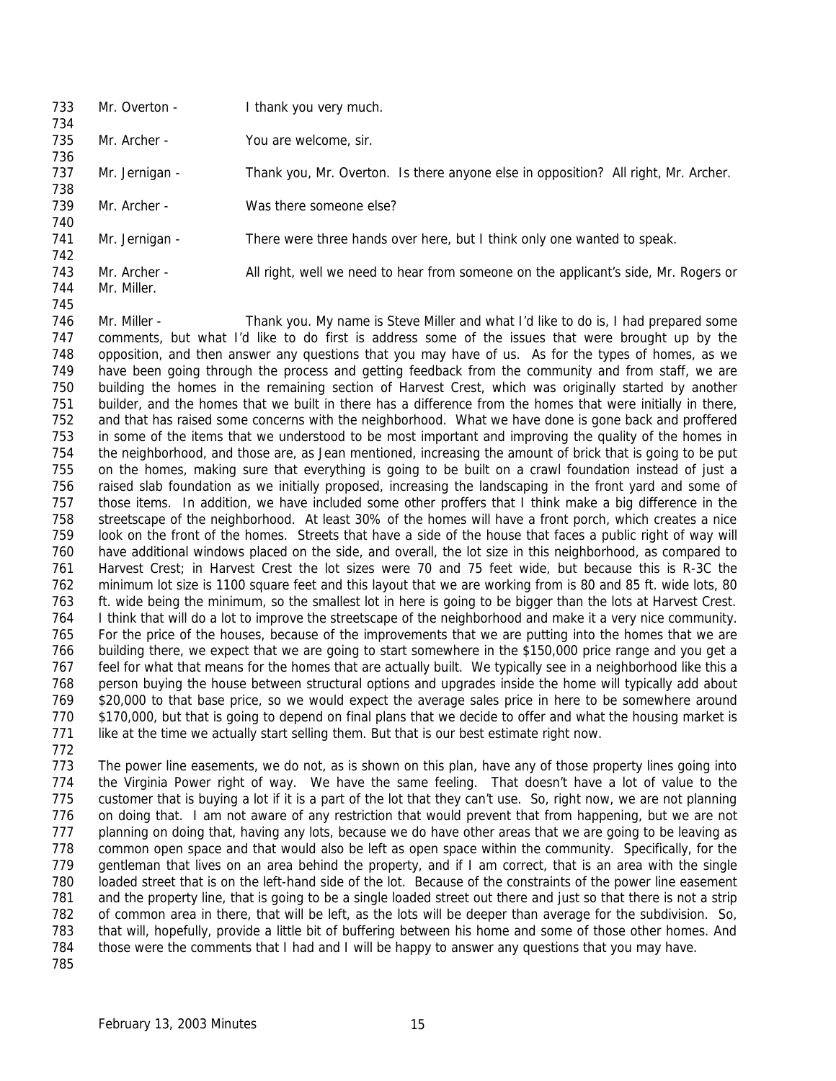733 Mr. Overton - I thank you very much. Mr. Archer - You are welcome, sir. 737 Mr. Jernigan - Thank you, Mr. Overton. Is there anyone else in opposition? All right, Mr. Archer. Mr. Archer - Was there someone else? Mr. Jernigan - There were three hands over here, but I think only one wanted to speak. Mr. Archer - All right, well we need to hear from someone on the applicant's side, Mr. Rogers or Mr. Miller. 

 Mr. Miller - Thank you. My name is Steve Miller and what I'd like to do is, I had prepared some comments, but what I'd like to do first is address some of the issues that were brought up by the opposition, and then answer any questions that you may have of us. As for the types of homes, as we have been going through the process and getting feedback from the community and from staff, we are building the homes in the remaining section of Harvest Crest, which was originally started by another builder, and the homes that we built in there has a difference from the homes that were initially in there, and that has raised some concerns with the neighborhood. What we have done is gone back and proffered in some of the items that we understood to be most important and improving the quality of the homes in the neighborhood, and those are, as Jean mentioned, increasing the amount of brick that is going to be put on the homes, making sure that everything is going to be built on a crawl foundation instead of just a raised slab foundation as we initially proposed, increasing the landscaping in the front yard and some of those items. In addition, we have included some other proffers that I think make a big difference in the streetscape of the neighborhood. At least 30% of the homes will have a front porch, which creates a nice look on the front of the homes. Streets that have a side of the house that faces a public right of way will have additional windows placed on the side, and overall, the lot size in this neighborhood, as compared to Harvest Crest; in Harvest Crest the lot sizes were 70 and 75 feet wide, but because this is R-3C the minimum lot size is 1100 square feet and this layout that we are working from is 80 and 85 ft. wide lots, 80 ft. wide being the minimum, so the smallest lot in here is going to be bigger than the lots at Harvest Crest. I think that will do a lot to improve the streetscape of the neighborhood and make it a very nice community. For the price of the houses, because of the improvements that we are putting into the homes that we are building there, we expect that we are going to start somewhere in the \$150,000 price range and you get a feel for what that means for the homes that are actually built. We typically see in a neighborhood like this a person buying the house between structural options and upgrades inside the home will typically add about \$20,000 to that base price, so we would expect the average sales price in here to be somewhere around \$170,000, but that is going to depend on final plans that we decide to offer and what the housing market is like at the time we actually start selling them. But that is our best estimate right now.

 The power line easements, we do not, as is shown on this plan, have any of those property lines going into the Virginia Power right of way. We have the same feeling. That doesn't have a lot of value to the customer that is buying a lot if it is a part of the lot that they can't use. So, right now, we are not planning on doing that. I am not aware of any restriction that would prevent that from happening, but we are not planning on doing that, having any lots, because we do have other areas that we are going to be leaving as common open space and that would also be left as open space within the community. Specifically, for the gentleman that lives on an area behind the property, and if I am correct, that is an area with the single loaded street that is on the left-hand side of the lot. Because of the constraints of the power line easement and the property line, that is going to be a single loaded street out there and just so that there is not a strip of common area in there, that will be left, as the lots will be deeper than average for the subdivision. So, that will, hopefully, provide a little bit of buffering between his home and some of those other homes. And those were the comments that I had and I will be happy to answer any questions that you may have.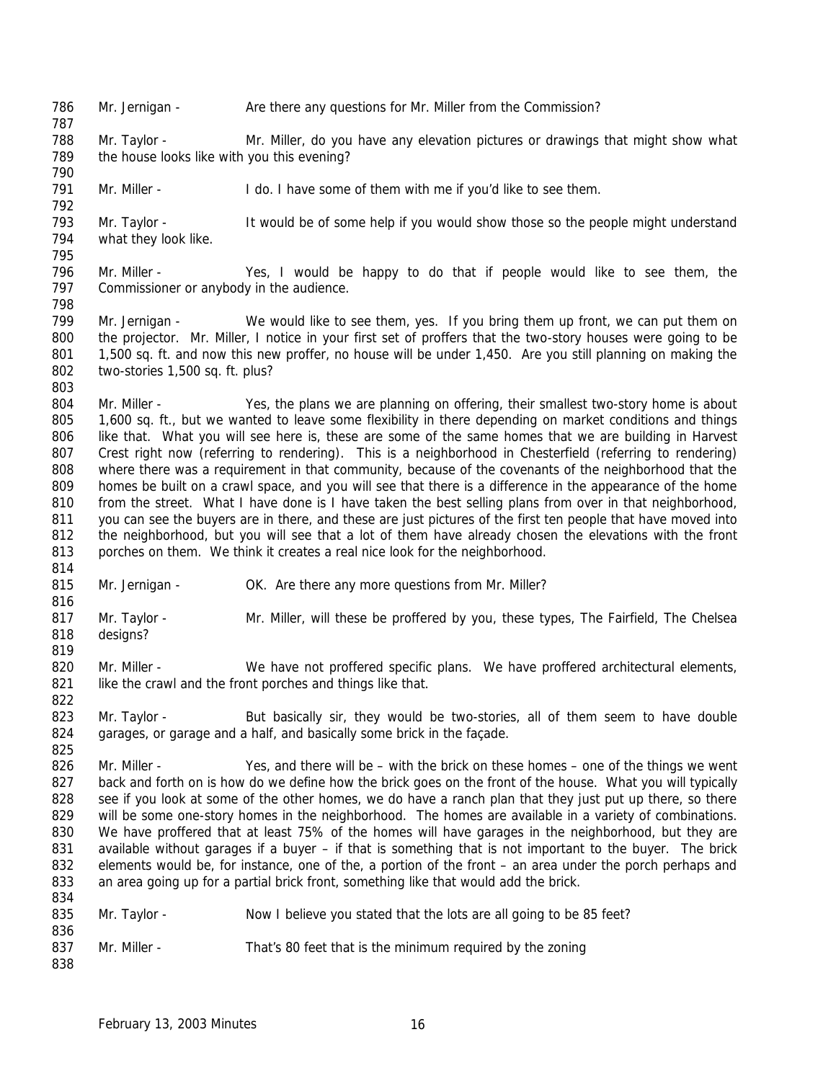786 Mr. Jernigan - Are there any questions for Mr. Miller from the Commission?

 Mr. Taylor - Mr. Miller, do you have any elevation pictures or drawings that might show what 789 the house looks like with you this evening?

791 Mr. Miller - I do. I have some of them with me if you'd like to see them.

793 Mr. Taylor - It would be of some help if you would show those so the people might understand what they look like. 

 Mr. Miller - Yes, I would be happy to do that if people would like to see them, the 797 Commissioner or anybody in the audience. 

799 Mr. Jernigan - We would like to see them, yes. If you bring them up front, we can put them on the projector. Mr. Miller, I notice in your first set of proffers that the two-story houses were going to be 1,500 sq. ft. and now this new proffer, no house will be under 1,450. Are you still planning on making the two-stories 1,500 sq. ft. plus?

804 Mr. Miller - Yes, the plans we are planning on offering, their smallest two-story home is about 805 1,600 sq. ft., but we wanted to leave some flexibility in there depending on market conditions and things like that. What you will see here is, these are some of the same homes that we are building in Harvest Crest right now (referring to rendering). This is a neighborhood in Chesterfield (referring to rendering) where there was a requirement in that community, because of the covenants of the neighborhood that the homes be built on a crawl space, and you will see that there is a difference in the appearance of the home 810 from the street. What I have done is I have taken the best selling plans from over in that neighborhood, you can see the buyers are in there, and these are just pictures of the first ten people that have moved into the neighborhood, but you will see that a lot of them have already chosen the elevations with the front porches on them. We think it creates a real nice look for the neighborhood.

815 Mr. Jernigan - OK. Are there any more questions from Mr. Miller?

 817 Mr. Taylor - Mr. Miller, will these be proffered by you, these types, The Fairfield, The Chelsea designs? 

820 Mr. Miller - We have not proffered specific plans. We have proffered architectural elements, 821 like the crawl and the front porches and things like that. 

823 Mr. Taylor - But basically sir, they would be two-stories, all of them seem to have double 824 garages, or garage and a half, and basically some brick in the façade. 

826 Mr. Miller - Yes, and there will be – with the brick on these homes – one of the things we went 827 back and forth on is how do we define how the brick goes on the front of the house. What you will typically 828 see if you look at some of the other homes, we do have a ranch plan that they just put up there, so there will be some one-story homes in the neighborhood. The homes are available in a variety of combinations. We have proffered that at least 75% of the homes will have garages in the neighborhood, but they are available without garages if a buyer – if that is something that is not important to the buyer. The brick elements would be, for instance, one of the, a portion of the front – an area under the porch perhaps and an area going up for a partial brick front, something like that would add the brick. 

| 835 | Mr. Taylor - | Now I believe you stated that the lots are all going to be 85 feet? |
|-----|--------------|---------------------------------------------------------------------|
| 836 |              |                                                                     |
| 837 | Mr. Miller - | That's 80 feet that is the minimum required by the zoning           |
| 838 |              |                                                                     |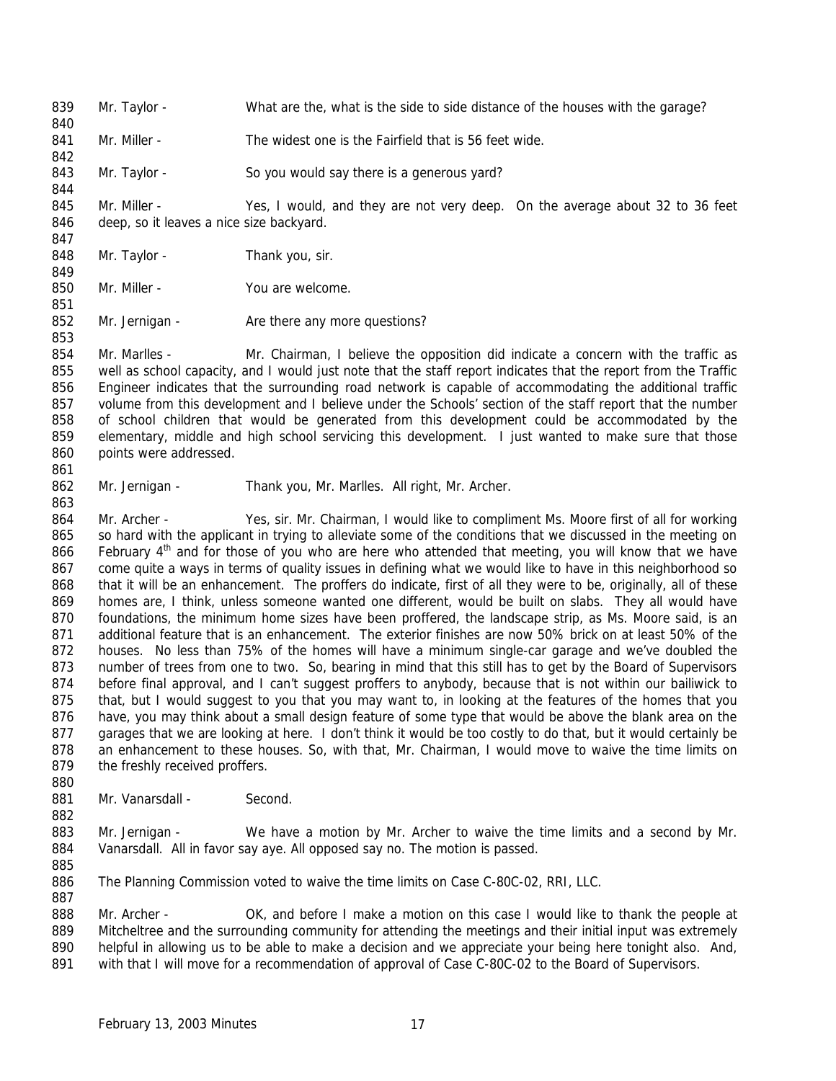Mr. Taylor - What are the, what is the side to side distance of the houses with the garage? Mr. Miller - The widest one is the Fairfield that is 56 feet wide. 843 Mr. Taylor - So you would say there is a generous yard? Mr. Miller - Yes, I would, and they are not very deep. On the average about 32 to 36 feet 846 deep, so it leaves a nice size backyard. 848 Mr. Taylor - Thank you, sir. Mr. Miller - You are welcome. 852 Mr. Jernigan - Are there any more questions? 854 Mr. Marlles - Mr. Chairman, I believe the opposition did indicate a concern with the traffic as well as school capacity, and I would just note that the staff report indicates that the report from the Traffic Engineer indicates that the surrounding road network is capable of accommodating the additional traffic volume from this development and I believe under the Schools' section of the staff report that the number of school children that would be generated from this development could be accommodated by the elementary, middle and high school servicing this development. I just wanted to make sure that those points were addressed. Mr. Jernigan - Thank you, Mr. Marlles. All right, Mr. Archer. Mr. Archer - Yes, sir. Mr. Chairman, I would like to compliment Ms. Moore first of all for working so hard with the applicant in trying to alleviate some of the conditions that we discussed in the meeting on 866 February 4<sup>th</sup> and for those of you who are here who attended that meeting, you will know that we have

 come quite a ways in terms of quality issues in defining what we would like to have in this neighborhood so 868 that it will be an enhancement. The proffers do indicate, first of all they were to be, originally, all of these homes are, I think, unless someone wanted one different, would be built on slabs. They all would have foundations, the minimum home sizes have been proffered, the landscape strip, as Ms. Moore said, is an additional feature that is an enhancement. The exterior finishes are now 50% brick on at least 50% of the houses. No less than 75% of the homes will have a minimum single-car garage and we've doubled the number of trees from one to two. So, bearing in mind that this still has to get by the Board of Supervisors 874 before final approval, and I can't suggest proffers to anybody, because that is not within our bailiwick to 875 that, but I would suggest to you that you may want to, in looking at the features of the homes that you have, you may think about a small design feature of some type that would be above the blank area on the garages that we are looking at here. I don't think it would be too costly to do that, but it would certainly be 878 an enhancement to these houses. So, with that, Mr. Chairman, I would move to waive the time limits on the freshly received proffers.

881 Mr. Vanarsdall - Second.

883 Mr. Jernigan - We have a motion by Mr. Archer to waive the time limits and a second by Mr. Vanarsdall. All in favor say aye. All opposed say no. The motion is passed.

 The Planning Commission voted to waive the time limits on Case C-80C-02, RRI, LLC. 

888 Mr. Archer - OK, and before I make a motion on this case I would like to thank the people at 889 Mitcheltree and the surrounding community for attending the meetings and their initial input was extremely helpful in allowing us to be able to make a decision and we appreciate your being here tonight also. And, 891 with that I will move for a recommendation of approval of Case C-80C-02 to the Board of Supervisors.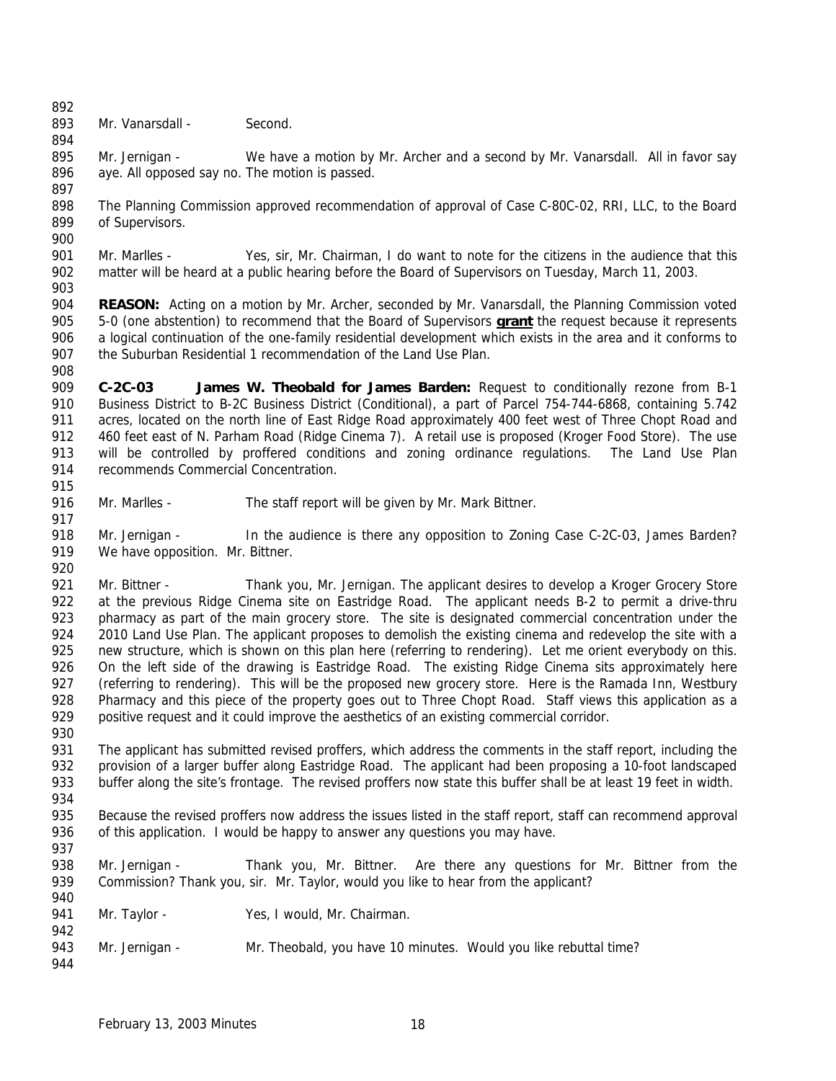893 Mr. Vanarsdall - Second.

895 Mr. Jernigan - We have a motion by Mr. Archer and a second by Mr. Vanarsdall. All in favor say aye. All opposed say no. The motion is passed. 

- The Planning Commission approved recommendation of approval of Case C-80C-02, RRI, LLC, to the Board of Supervisors.
- Mr. Marlles Yes, sir, Mr. Chairman, I do want to note for the citizens in the audience that this matter will be heard at a public hearing before the Board of Supervisors on Tuesday, March 11, 2003.
- **REASON:** Acting on a motion by Mr. Archer, seconded by Mr. Vanarsdall, the Planning Commission voted 5-0 (one abstention) to recommend that the Board of Supervisors **grant** the request because it represents a logical continuation of the one-family residential development which exists in the area and it conforms to 907 the Suburban Residential 1 recommendation of the Land Use Plan.
- **C-2C-03 James W. Theobald for James Barden:** Request to conditionally rezone from B-1 Business District to B-2C Business District (Conditional), a part of Parcel 754-744-6868, containing 5.742 911 acres, located on the north line of East Ridge Road approximately 400 feet west of Three Chopt Road and 912 460 feet east of N. Parham Road (Ridge Cinema 7). A retail use is proposed (Kroger Food Store). The use will be controlled by proffered conditions and zoning ordinance regulations. The Land Use Plan recommends Commercial Concentration.
- 916 Mr. Marlles The staff report will be given by Mr. Mark Bittner.
- Mr. Jernigan In the audience is there any opposition to Zoning Case C-2C-03, James Barden? 919 We have opposition. Mr. Bittner.
- 921 Mr. Bittner Thank you, Mr. Jernigan. The applicant desires to develop a Kroger Grocery Store 922 at the previous Ridge Cinema site on Eastridge Road. The applicant needs B-2 to permit a drive-thru pharmacy as part of the main grocery store. The site is designated commercial concentration under the 924 2010 Land Use Plan. The applicant proposes to demolish the existing cinema and redevelop the site with a new structure, which is shown on this plan here (referring to rendering). Let me orient everybody on this. 926 On the left side of the drawing is Eastridge Road. The existing Ridge Cinema sits approximately here 927 (referring to rendering). This will be the proposed new grocery store. Here is the Ramada Inn, Westbury 928 Pharmacy and this piece of the property goes out to Three Chopt Road. Staff views this application as a 929 positive request and it could improve the aesthetics of an existing commercial corridor.
- The applicant has submitted revised proffers, which address the comments in the staff report, including the provision of a larger buffer along Eastridge Road. The applicant had been proposing a 10-foot landscaped buffer along the site's frontage. The revised proffers now state this buffer shall be at least 19 feet in width.
- Because the revised proffers now address the issues listed in the staff report, staff can recommend approval 936 of this application. I would be happy to answer any questions you may have.
- Mr. Jernigan Thank you, Mr. Bittner. Are there any questions for Mr. Bittner from the Commission? Thank you, sir. Mr. Taylor, would you like to hear from the applicant?
- 941 Mr. Taylor Yes, I would, Mr. Chairman.
- Mr. Jernigan Mr. Theobald, you have 10 minutes. Would you like rebuttal time?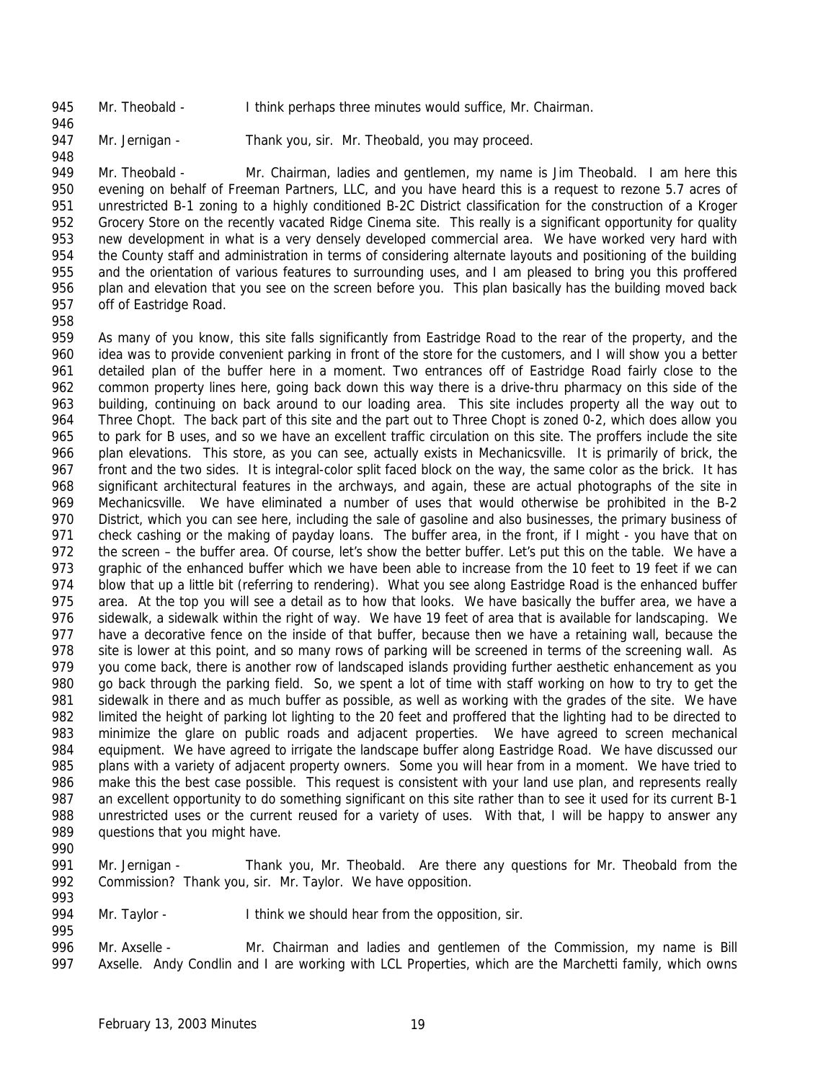Mr. Theobald - I think perhaps three minutes would suffice, Mr. Chairman.

947 Mr. Jernigan - Thank you, sir. Mr. Theobald, you may proceed.

949 Mr. Theobald - Mr. Chairman, ladies and gentlemen, my name is Jim Theobald. I am here this evening on behalf of Freeman Partners, LLC, and you have heard this is a request to rezone 5.7 acres of unrestricted B-1 zoning to a highly conditioned B-2C District classification for the construction of a Kroger Grocery Store on the recently vacated Ridge Cinema site. This really is a significant opportunity for quality new development in what is a very densely developed commercial area. We have worked very hard with the County staff and administration in terms of considering alternate layouts and positioning of the building and the orientation of various features to surrounding uses, and I am pleased to bring you this proffered 956 plan and elevation that you see on the screen before you. This plan basically has the building moved back off of Eastridge Road.

 As many of you know, this site falls significantly from Eastridge Road to the rear of the property, and the idea was to provide convenient parking in front of the store for the customers, and I will show you a better detailed plan of the buffer here in a moment. Two entrances off of Eastridge Road fairly close to the common property lines here, going back down this way there is a drive-thru pharmacy on this side of the building, continuing on back around to our loading area. This site includes property all the way out to 964 Three Chopt. The back part of this site and the part out to Three Chopt is zoned 0-2, which does allow you to park for B uses, and so we have an excellent traffic circulation on this site. The proffers include the site plan elevations. This store, as you can see, actually exists in Mechanicsville. It is primarily of brick, the front and the two sides. It is integral-color split faced block on the way, the same color as the brick. It has significant architectural features in the archways, and again, these are actual photographs of the site in Mechanicsville. We have eliminated a number of uses that would otherwise be prohibited in the B-2 District, which you can see here, including the sale of gasoline and also businesses, the primary business of 971 check cashing or the making of payday loans. The buffer area, in the front, if I might - you have that on the screen – the buffer area. Of course, let's show the better buffer. Let's put this on the table. We have a graphic of the enhanced buffer which we have been able to increase from the 10 feet to 19 feet if we can 974 blow that up a little bit (referring to rendering). What you see along Eastridge Road is the enhanced buffer area. At the top you will see a detail as to how that looks. We have basically the buffer area, we have a sidewalk, a sidewalk within the right of way. We have 19 feet of area that is available for landscaping. We have a decorative fence on the inside of that buffer, because then we have a retaining wall, because the 978 site is lower at this point, and so many rows of parking will be screened in terms of the screening wall. As you come back, there is another row of landscaped islands providing further aesthetic enhancement as you go back through the parking field. So, we spent a lot of time with staff working on how to try to get the sidewalk in there and as much buffer as possible, as well as working with the grades of the site. We have limited the height of parking lot lighting to the 20 feet and proffered that the lighting had to be directed to minimize the glare on public roads and adjacent properties. We have agreed to screen mechanical equipment. We have agreed to irrigate the landscape buffer along Eastridge Road. We have discussed our 985 plans with a variety of adjacent property owners. Some you will hear from in a moment. We have tried to make this the best case possible. This request is consistent with your land use plan, and represents really an excellent opportunity to do something significant on this site rather than to see it used for its current B-1 unrestricted uses or the current reused for a variety of uses. With that, I will be happy to answer any questions that you might have.

 Mr. Jernigan - Thank you, Mr. Theobald. Are there any questions for Mr. Theobald from the 992 Commission? Thank you, sir. Mr. Taylor. We have opposition. 

994 Mr. Taylor - I think we should hear from the opposition, sir. 

 Mr. Axselle - Mr. Chairman and ladies and gentlemen of the Commission, my name is Bill 997 Axselle. Andy Condlin and I are working with LCL Properties, which are the Marchetti family, which owns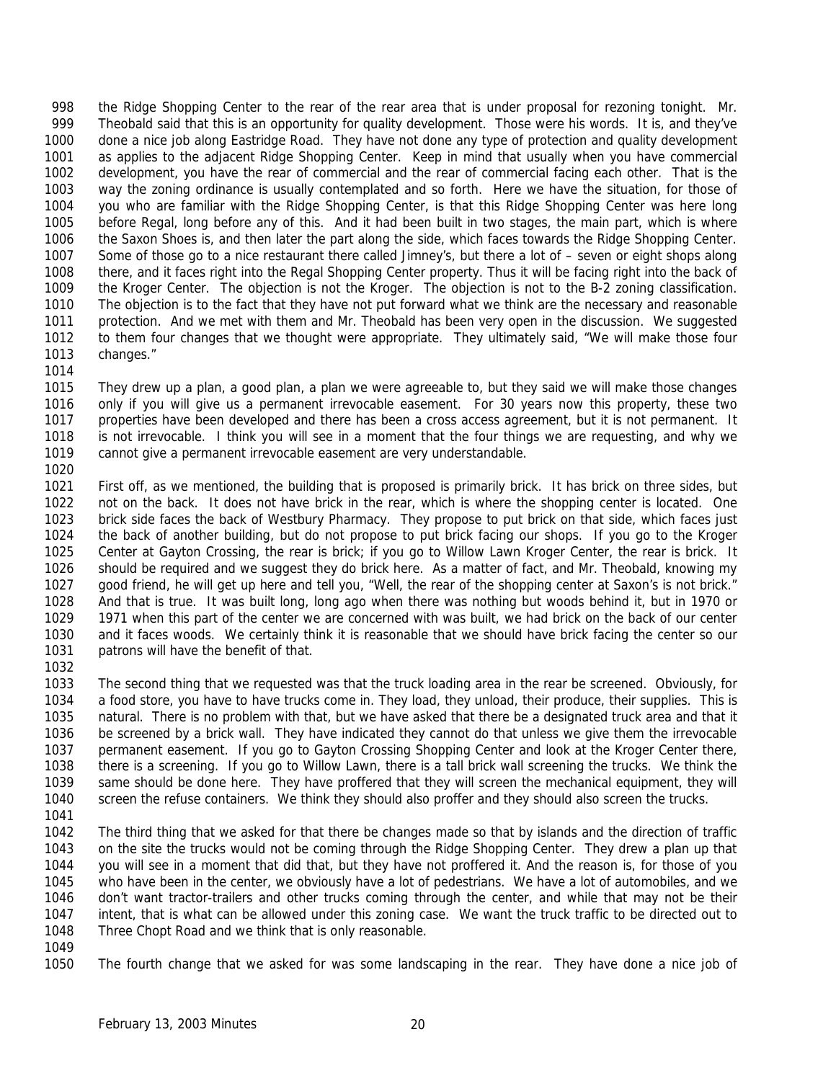the Ridge Shopping Center to the rear of the rear area that is under proposal for rezoning tonight. Mr. Theobald said that this is an opportunity for quality development. Those were his words. It is, and they've done a nice job along Eastridge Road. They have not done any type of protection and quality development as applies to the adjacent Ridge Shopping Center. Keep in mind that usually when you have commercial development, you have the rear of commercial and the rear of commercial facing each other. That is the way the zoning ordinance is usually contemplated and so forth. Here we have the situation, for those of you who are familiar with the Ridge Shopping Center, is that this Ridge Shopping Center was here long before Regal, long before any of this. And it had been built in two stages, the main part, which is where the Saxon Shoes is, and then later the part along the side, which faces towards the Ridge Shopping Center. Some of those go to a nice restaurant there called Jimney's, but there a lot of – seven or eight shops along there, and it faces right into the Regal Shopping Center property. Thus it will be facing right into the back of the Kroger Center. The objection is not the Kroger. The objection is not to the B-2 zoning classification. The objection is to the fact that they have not put forward what we think are the necessary and reasonable protection. And we met with them and Mr. Theobald has been very open in the discussion. We suggested to them four changes that we thought were appropriate. They ultimately said, "We will make those four changes."

 They drew up a plan, a good plan, a plan we were agreeable to, but they said we will make those changes only if you will give us a permanent irrevocable easement. For 30 years now this property, these two properties have been developed and there has been a cross access agreement, but it is not permanent. It is not irrevocable. I think you will see in a moment that the four things we are requesting, and why we cannot give a permanent irrevocable easement are very understandable. 

 First off, as we mentioned, the building that is proposed is primarily brick. It has brick on three sides, but not on the back. It does not have brick in the rear, which is where the shopping center is located. One brick side faces the back of Westbury Pharmacy. They propose to put brick on that side, which faces just the back of another building, but do not propose to put brick facing our shops. If you go to the Kroger Center at Gayton Crossing, the rear is brick; if you go to Willow Lawn Kroger Center, the rear is brick. It should be required and we suggest they do brick here. As a matter of fact, and Mr. Theobald, knowing my 1027 good friend, he will get up here and tell you, "Well, the rear of the shopping center at Saxon's is not brick." And that is true. It was built long, long ago when there was nothing but woods behind it, but in 1970 or 1971 when this part of the center we are concerned with was built, we had brick on the back of our center and it faces woods. We certainly think it is reasonable that we should have brick facing the center so our patrons will have the benefit of that.

 The second thing that we requested was that the truck loading area in the rear be screened. Obviously, for a food store, you have to have trucks come in. They load, they unload, their produce, their supplies. This is natural. There is no problem with that, but we have asked that there be a designated truck area and that it be screened by a brick wall. They have indicated they cannot do that unless we give them the irrevocable permanent easement. If you go to Gayton Crossing Shopping Center and look at the Kroger Center there, there is a screening. If you go to Willow Lawn, there is a tall brick wall screening the trucks. We think the same should be done here. They have proffered that they will screen the mechanical equipment, they will screen the refuse containers. We think they should also proffer and they should also screen the trucks.

 The third thing that we asked for that there be changes made so that by islands and the direction of traffic on the site the trucks would not be coming through the Ridge Shopping Center. They drew a plan up that you will see in a moment that did that, but they have not proffered it. And the reason is, for those of you who have been in the center, we obviously have a lot of pedestrians. We have a lot of automobiles, and we don't want tractor-trailers and other trucks coming through the center, and while that may not be their intent, that is what can be allowed under this zoning case. We want the truck traffic to be directed out to Three Chopt Road and we think that is only reasonable.

The fourth change that we asked for was some landscaping in the rear. They have done a nice job of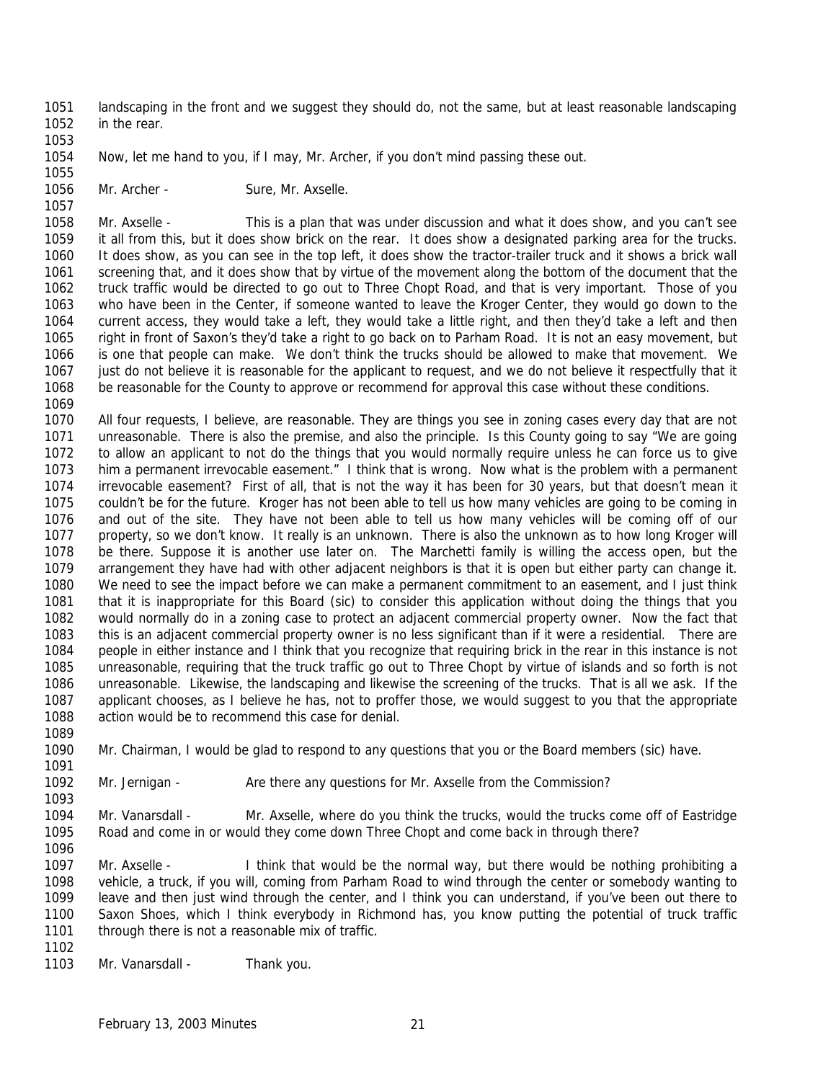- landscaping in the front and we suggest they should do, not the same, but at least reasonable landscaping in the rear.
- Now, let me hand to you, if I may, Mr. Archer, if you don't mind passing these out.
- 1056 Mr. Archer Sure, Mr. Axselle.

 Mr. Axselle - This is a plan that was under discussion and what it does show, and you can't see it all from this, but it does show brick on the rear. It does show a designated parking area for the trucks. It does show, as you can see in the top left, it does show the tractor-trailer truck and it shows a brick wall screening that, and it does show that by virtue of the movement along the bottom of the document that the truck traffic would be directed to go out to Three Chopt Road, and that is very important. Those of you who have been in the Center, if someone wanted to leave the Kroger Center, they would go down to the current access, they would take a left, they would take a little right, and then they'd take a left and then right in front of Saxon's they'd take a right to go back on to Parham Road. It is not an easy movement, but is one that people can make. We don't think the trucks should be allowed to make that movement. We 1067 just do not believe it is reasonable for the applicant to request, and we do not believe it respectfully that it be reasonable for the County to approve or recommend for approval this case without these conditions.

- All four requests, I believe, are reasonable. They are things you see in zoning cases every day that are not unreasonable. There is also the premise, and also the principle. Is this County going to say "We are going to allow an applicant to not do the things that you would normally require unless he can force us to give him a permanent irrevocable easement." I think that is wrong. Now what is the problem with a permanent irrevocable easement? First of all, that is not the way it has been for 30 years, but that doesn't mean it couldn't be for the future. Kroger has not been able to tell us how many vehicles are going to be coming in and out of the site. They have not been able to tell us how many vehicles will be coming off of our property, so we don't know. It really is an unknown. There is also the unknown as to how long Kroger will be there. Suppose it is another use later on. The Marchetti family is willing the access open, but the arrangement they have had with other adjacent neighbors is that it is open but either party can change it. We need to see the impact before we can make a permanent commitment to an easement, and I just think that it is inappropriate for this Board (sic) to consider this application without doing the things that you would normally do in a zoning case to protect an adjacent commercial property owner. Now the fact that this is an adjacent commercial property owner is no less significant than if it were a residential. There are people in either instance and I think that you recognize that requiring brick in the rear in this instance is not unreasonable, requiring that the truck traffic go out to Three Chopt by virtue of islands and so forth is not unreasonable. Likewise, the landscaping and likewise the screening of the trucks. That is all we ask. If the applicant chooses, as I believe he has, not to proffer those, we would suggest to you that the appropriate action would be to recommend this case for denial.
- Mr. Chairman, I would be glad to respond to any questions that you or the Board members (sic) have.
- Mr. Jernigan Are there any questions for Mr. Axselle from the Commission?
- Mr. Vanarsdall Mr. Axselle, where do you think the trucks, would the trucks come off of Eastridge Road and come in or would they come down Three Chopt and come back in through there?
- Mr. Axselle I think that would be the normal way, but there would be nothing prohibiting a vehicle, a truck, if you will, coming from Parham Road to wind through the center or somebody wanting to leave and then just wind through the center, and I think you can understand, if you've been out there to Saxon Shoes, which I think everybody in Richmond has, you know putting the potential of truck traffic through there is not a reasonable mix of traffic.
- 1103 Mr. Vanarsdall Thank you.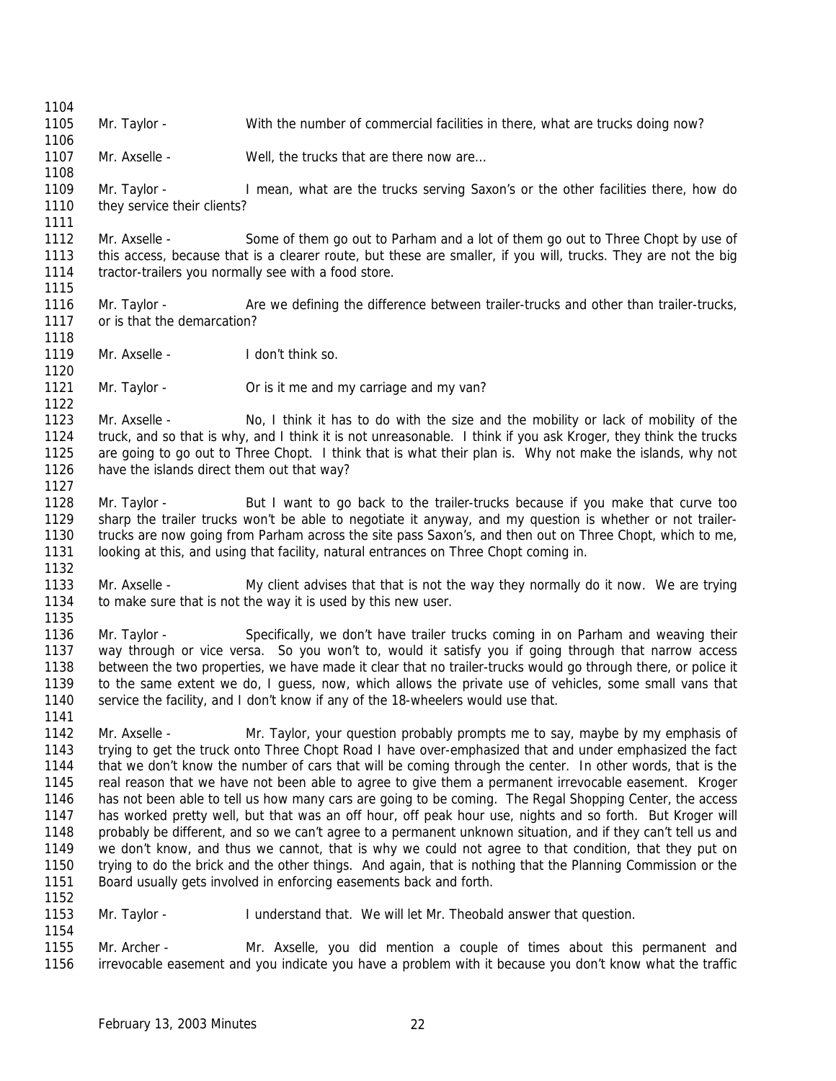Mr. Taylor - With the number of commercial facilities in there, what are trucks doing now? 

1107 Mr. Axselle - Well, the trucks that are there now are...

 Mr. Taylor - I mean, what are the trucks serving Saxon's or the other facilities there, how do 1110 they service their clients?

 Mr. Axselle - Some of them go out to Parham and a lot of them go out to Three Chopt by use of this access, because that is a clearer route, but these are smaller, if you will, trucks. They are not the big tractor-trailers you normally see with a food store.

 Mr. Taylor - Are we defining the difference between trailer-trucks and other than trailer-trucks, or is that the demarcation?

1119 Mr. Axselle - I don't think so.

Mr. Taylor - Or is it me and my carriage and my van?

 Mr. Axselle - No, I think it has to do with the size and the mobility or lack of mobility of the truck, and so that is why, and I think it is not unreasonable. I think if you ask Kroger, they think the trucks are going to go out to Three Chopt. I think that is what their plan is. Why not make the islands, why not have the islands direct them out that way?

1128 Mr. Taylor - But I want to go back to the trailer-trucks because if you make that curve too sharp the trailer trucks won't be able to negotiate it anyway, and my question is whether or not trailer- trucks are now going from Parham across the site pass Saxon's, and then out on Three Chopt, which to me, looking at this, and using that facility, natural entrances on Three Chopt coming in. 

 Mr. Axselle - My client advises that that is not the way they normally do it now. We are trying to make sure that is not the way it is used by this new user. 

 Mr. Taylor - Specifically, we don't have trailer trucks coming in on Parham and weaving their way through or vice versa. So you won't to, would it satisfy you if going through that narrow access between the two properties, we have made it clear that no trailer-trucks would go through there, or police it to the same extent we do, I guess, now, which allows the private use of vehicles, some small vans that service the facility, and I don't know if any of the 18-wheelers would use that.

 Mr. Axselle - Mr. Taylor, your question probably prompts me to say, maybe by my emphasis of trying to get the truck onto Three Chopt Road I have over-emphasized that and under emphasized the fact that we don't know the number of cars that will be coming through the center. In other words, that is the real reason that we have not been able to agree to give them a permanent irrevocable easement. Kroger has not been able to tell us how many cars are going to be coming. The Regal Shopping Center, the access has worked pretty well, but that was an off hour, off peak hour use, nights and so forth. But Kroger will probably be different, and so we can't agree to a permanent unknown situation, and if they can't tell us and we don't know, and thus we cannot, that is why we could not agree to that condition, that they put on trying to do the brick and the other things. And again, that is nothing that the Planning Commission or the Board usually gets involved in enforcing easements back and forth. 

 Mr. Taylor - I understand that. We will let Mr. Theobald answer that question. 

 Mr. Archer - Mr. Axselle, you did mention a couple of times about this permanent and irrevocable easement and you indicate you have a problem with it because you don't know what the traffic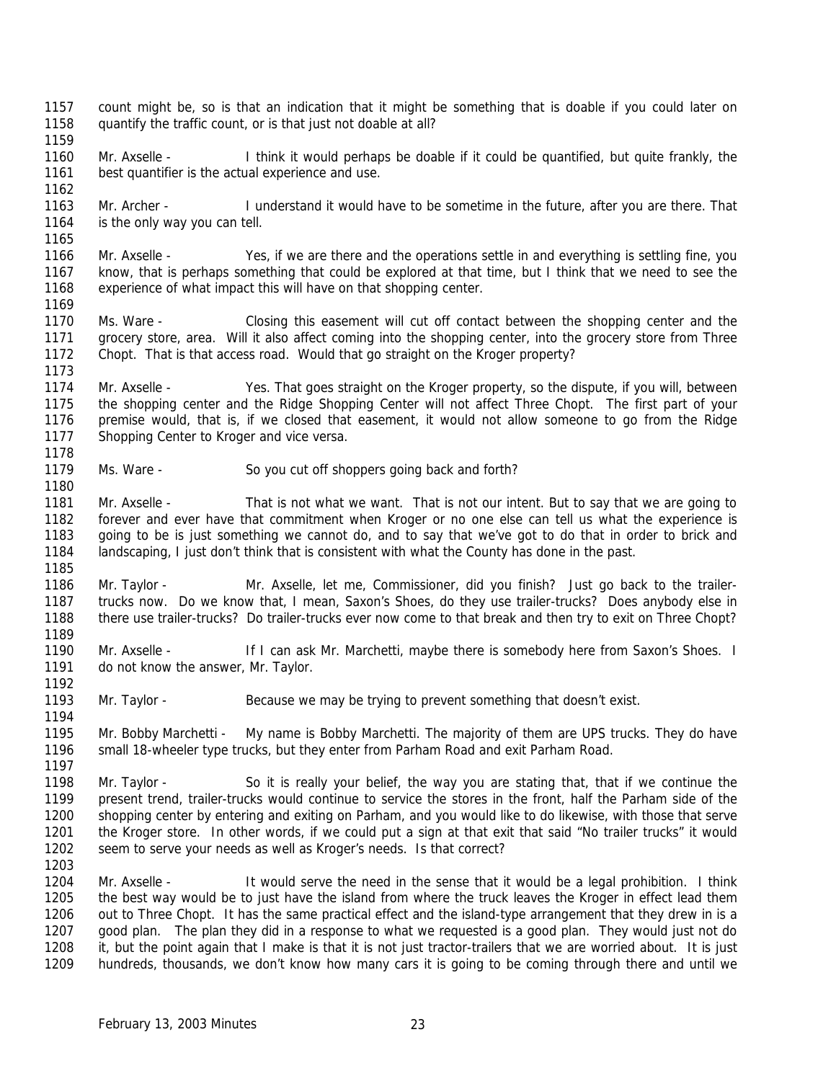- count might be, so is that an indication that it might be something that is doable if you could later on 1158 guantify the traffic count, or is that just not doable at all?
- Mr. Axselle I think it would perhaps be doable if it could be quantified, but quite frankly, the best quantifier is the actual experience and use.
- 1163 Mr. Archer I understand it would have to be sometime in the future, after you are there. That 1164 is the only way vou can tell. is the only way you can tell.
- 1166 Mr. Axselle Yes, if we are there and the operations settle in and everything is settling fine, you know, that is perhaps something that could be explored at that time, but I think that we need to see the experience of what impact this will have on that shopping center.
- Ms. Ware Closing this easement will cut off contact between the shopping center and the grocery store, area. Will it also affect coming into the shopping center, into the grocery store from Three Chopt. That is that access road. Would that go straight on the Kroger property?
- Mr. Axselle Yes. That goes straight on the Kroger property, so the dispute, if you will, between the shopping center and the Ridge Shopping Center will not affect Three Chopt. The first part of your premise would, that is, if we closed that easement, it would not allow someone to go from the Ridge 1177 Shopping Center to Kroger and vice versa.
- 1179 Ms. Ware So you cut off shoppers going back and forth?
- Mr. Axselle That is not what we want. That is not our intent. But to say that we are going to forever and ever have that commitment when Kroger or no one else can tell us what the experience is going to be is just something we cannot do, and to say that we've got to do that in order to brick and landscaping, I just don't think that is consistent with what the County has done in the past.
- Mr. Taylor - Mr. Axselle, let me, Commissioner, did you finish? Just go back to the trailer- trucks now. Do we know that, I mean, Saxon's Shoes, do they use trailer-trucks? Does anybody else in there use trailer-trucks? Do trailer-trucks ever now come to that break and then try to exit on Three Chopt?
- Mr. Axselle If I can ask Mr. Marchetti, maybe there is somebody here from Saxon's Shoes. I 1191 do not know the answer, Mr. Taylor.
- Mr. Taylor Because we may be trying to prevent something that doesn't exist.
- Mr. Bobby Marchetti My name is Bobby Marchetti. The majority of them are UPS trucks. They do have small 18-wheeler type trucks, but they enter from Parham Road and exit Parham Road.
- Mr. Taylor So it is really your belief, the way you are stating that, that if we continue the present trend, trailer-trucks would continue to service the stores in the front, half the Parham side of the shopping center by entering and exiting on Parham, and you would like to do likewise, with those that serve the Kroger store. In other words, if we could put a sign at that exit that said "No trailer trucks" it would seem to serve your needs as well as Kroger's needs. Is that correct?
- 

 Mr. Axselle - It would serve the need in the sense that it would be a legal prohibition. I think the best way would be to just have the island from where the truck leaves the Kroger in effect lead them out to Three Chopt. It has the same practical effect and the island-type arrangement that they drew in is a good plan. The plan they did in a response to what we requested is a good plan. They would just not do it, but the point again that I make is that it is not just tractor-trailers that we are worried about. It is just hundreds, thousands, we don't know how many cars it is going to be coming through there and until we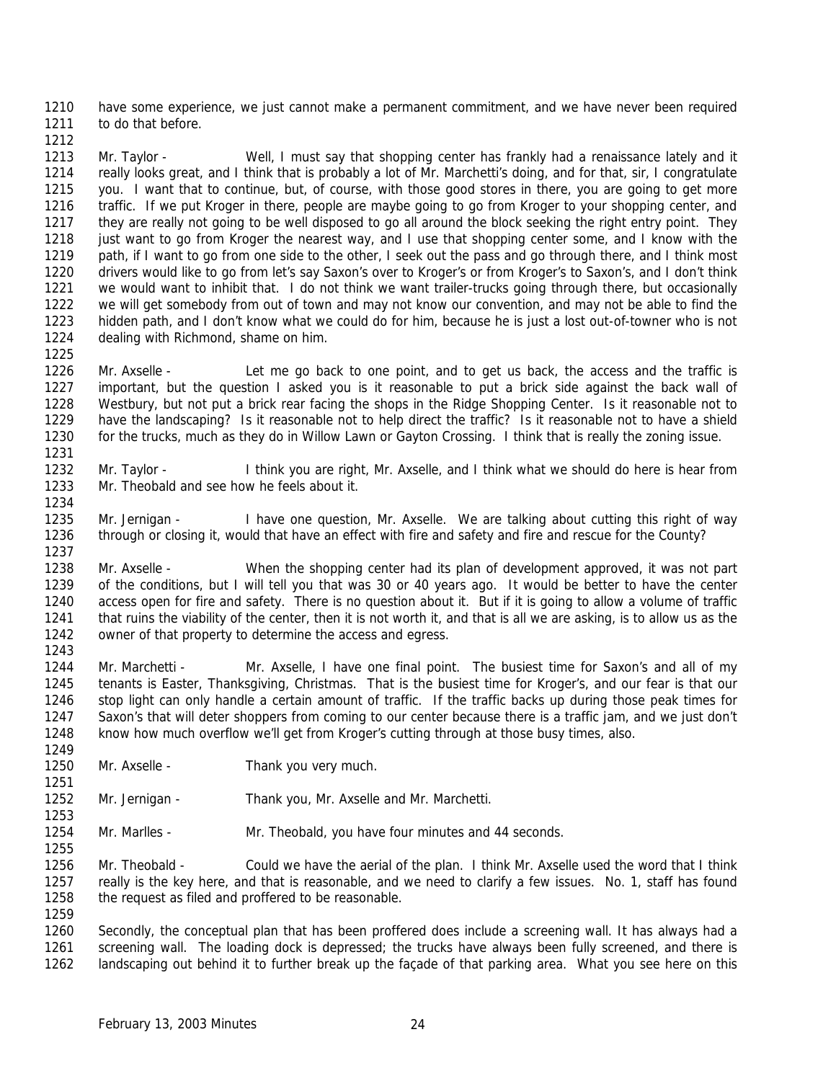have some experience, we just cannot make a permanent commitment, and we have never been required 1211 to do that before.

1213 Mr. Taylor - Well, I must say that shopping center has frankly had a renaissance lately and it really looks great, and I think that is probably a lot of Mr. Marchetti's doing, and for that, sir, I congratulate you. I want that to continue, but, of course, with those good stores in there, you are going to get more traffic. If we put Kroger in there, people are maybe going to go from Kroger to your shopping center, and they are really not going to be well disposed to go all around the block seeking the right entry point. They 1218 just want to go from Kroger the nearest way, and I use that shopping center some, and I know with the 1219 path, if I want to go from one side to the other, I seek out the pass and go through there, and I think most drivers would like to go from let's say Saxon's over to Kroger's or from Kroger's to Saxon's, and I don't think we would want to inhibit that. I do not think we want trailer-trucks going through there, but occasionally we will get somebody from out of town and may not know our convention, and may not be able to find the hidden path, and I don't know what we could do for him, because he is just a lost out-of-towner who is not dealing with Richmond, shame on him.

 Mr. Axselle - Let me go back to one point, and to get us back, the access and the traffic is important, but the question I asked you is it reasonable to put a brick side against the back wall of Westbury, but not put a brick rear facing the shops in the Ridge Shopping Center. Is it reasonable not to have the landscaping? Is it reasonable not to help direct the traffic? Is it reasonable not to have a shield for the trucks, much as they do in Willow Lawn or Gayton Crossing. I think that is really the zoning issue. 

 Mr. Taylor - I think you are right, Mr. Axselle, and I think what we should do here is hear from Mr. Theobald and see how he feels about it. 

 Mr. Jernigan - I have one question, Mr. Axselle. We are talking about cutting this right of way through or closing it, would that have an effect with fire and safety and fire and rescue for the County? 

 Mr. Axselle - When the shopping center had its plan of development approved, it was not part of the conditions, but I will tell you that was 30 or 40 years ago. It would be better to have the center access open for fire and safety. There is no question about it. But if it is going to allow a volume of traffic that ruins the viability of the center, then it is not worth it, and that is all we are asking, is to allow us as the owner of that property to determine the access and egress. 

1244 Mr. Marchetti - Mr. Axselle, I have one final point. The busiest time for Saxon's and all of my tenants is Easter, Thanksgiving, Christmas. That is the busiest time for Kroger's, and our fear is that our stop light can only handle a certain amount of traffic. If the traffic backs up during those peak times for Saxon's that will deter shoppers from coming to our center because there is a traffic jam, and we just don't know how much overflow we'll get from Kroger's cutting through at those busy times, also. 

- Mr. Axselle Thank you very much.
- Mr. Jernigan Thank you, Mr. Axselle and Mr. Marchetti.

Mr. Marlles - Mr. Theobald, you have four minutes and 44 seconds.

 Mr. Theobald - Could we have the aerial of the plan. I think Mr. Axselle used the word that I think really is the key here, and that is reasonable, and we need to clarify a few issues. No. 1, staff has found 1258 the request as filed and proffered to be reasonable. 

 Secondly, the conceptual plan that has been proffered does include a screening wall. It has always had a screening wall. The loading dock is depressed; the trucks have always been fully screened, and there is landscaping out behind it to further break up the façade of that parking area. What you see here on this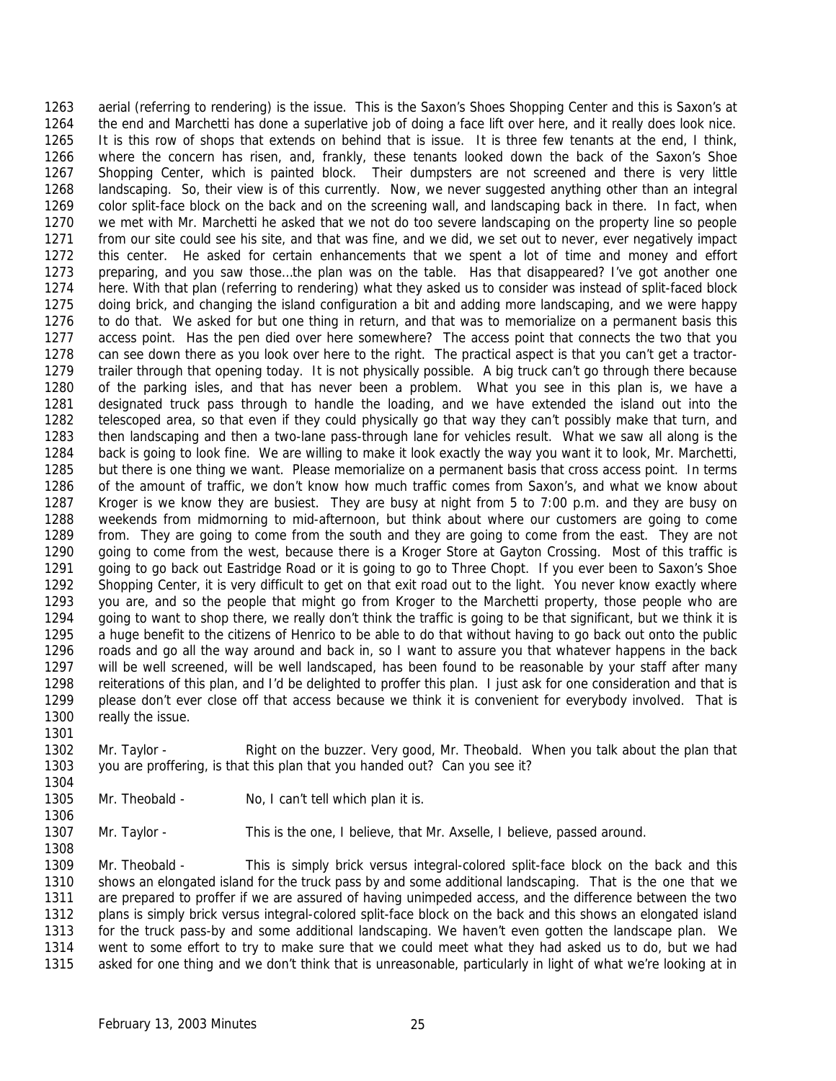aerial (referring to rendering) is the issue. This is the Saxon's Shoes Shopping Center and this is Saxon's at the end and Marchetti has done a superlative job of doing a face lift over here, and it really does look nice. It is this row of shops that extends on behind that is issue. It is three few tenants at the end, I think, where the concern has risen, and, frankly, these tenants looked down the back of the Saxon's Shoe Shopping Center, which is painted block. Their dumpsters are not screened and there is very little landscaping. So, their view is of this currently. Now, we never suggested anything other than an integral color split-face block on the back and on the screening wall, and landscaping back in there. In fact, when we met with Mr. Marchetti he asked that we not do too severe landscaping on the property line so people from our site could see his site, and that was fine, and we did, we set out to never, ever negatively impact this center. He asked for certain enhancements that we spent a lot of time and money and effort preparing, and you saw those…the plan was on the table. Has that disappeared? I've got another one here. With that plan (referring to rendering) what they asked us to consider was instead of split-faced block doing brick, and changing the island configuration a bit and adding more landscaping, and we were happy to do that. We asked for but one thing in return, and that was to memorialize on a permanent basis this access point. Has the pen died over here somewhere? The access point that connects the two that you can see down there as you look over here to the right. The practical aspect is that you can't get a tractor- trailer through that opening today. It is not physically possible. A big truck can't go through there because of the parking isles, and that has never been a problem. What you see in this plan is, we have a designated truck pass through to handle the loading, and we have extended the island out into the telescoped area, so that even if they could physically go that way they can't possibly make that turn, and then landscaping and then a two-lane pass-through lane for vehicles result. What we saw all along is the back is going to look fine. We are willing to make it look exactly the way you want it to look, Mr. Marchetti, but there is one thing we want. Please memorialize on a permanent basis that cross access point. In terms of the amount of traffic, we don't know how much traffic comes from Saxon's, and what we know about Kroger is we know they are busiest. They are busy at night from 5 to 7:00 p.m. and they are busy on weekends from midmorning to mid-afternoon, but think about where our customers are going to come from. They are going to come from the south and they are going to come from the east. They are not going to come from the west, because there is a Kroger Store at Gayton Crossing. Most of this traffic is going to go back out Eastridge Road or it is going to go to Three Chopt. If you ever been to Saxon's Shoe Shopping Center, it is very difficult to get on that exit road out to the light. You never know exactly where you are, and so the people that might go from Kroger to the Marchetti property, those people who are going to want to shop there, we really don't think the traffic is going to be that significant, but we think it is a huge benefit to the citizens of Henrico to be able to do that without having to go back out onto the public roads and go all the way around and back in, so I want to assure you that whatever happens in the back will be well screened, will be well landscaped, has been found to be reasonable by your staff after many reiterations of this plan, and I'd be delighted to proffer this plan. I just ask for one consideration and that is please don't ever close off that access because we think it is convenient for everybody involved. That is really the issue.

 Mr. Taylor - Right on the buzzer. Very good, Mr. Theobald. When you talk about the plan that you are proffering, is that this plan that you handed out? Can you see it? 

1305 Mr. Theobald - No, I can't tell which plan it is.

1307 Mr. Taylor - This is the one, I believe, that Mr. Axselle, I believe, passed around. 

 Mr. Theobald - This is simply brick versus integral-colored split-face block on the back and this shows an elongated island for the truck pass by and some additional landscaping. That is the one that we are prepared to proffer if we are assured of having unimpeded access, and the difference between the two plans is simply brick versus integral-colored split-face block on the back and this shows an elongated island for the truck pass-by and some additional landscaping. We haven't even gotten the landscape plan. We went to some effort to try to make sure that we could meet what they had asked us to do, but we had asked for one thing and we don't think that is unreasonable, particularly in light of what we're looking at in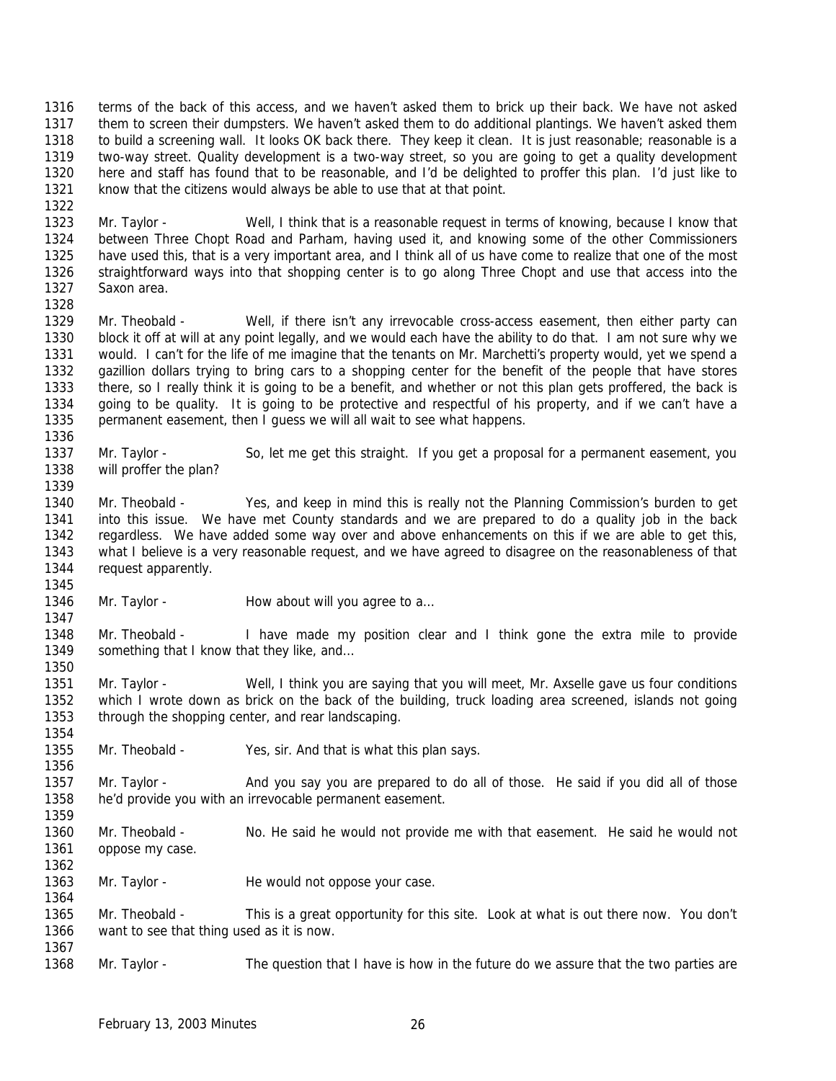terms of the back of this access, and we haven't asked them to brick up their back. We have not asked them to screen their dumpsters. We haven't asked them to do additional plantings. We haven't asked them to build a screening wall. It looks OK back there. They keep it clean. It is just reasonable; reasonable is a two-way street. Quality development is a two-way street, so you are going to get a quality development here and staff has found that to be reasonable, and I'd be delighted to proffer this plan. I'd just like to know that the citizens would always be able to use that at that point.

 Mr. Taylor - Well, I think that is a reasonable request in terms of knowing, because I know that between Three Chopt Road and Parham, having used it, and knowing some of the other Commissioners have used this, that is a very important area, and I think all of us have come to realize that one of the most straightforward ways into that shopping center is to go along Three Chopt and use that access into the Saxon area.

 Mr. Theobald - Well, if there isn't any irrevocable cross-access easement, then either party can block it off at will at any point legally, and we would each have the ability to do that. I am not sure why we would. I can't for the life of me imagine that the tenants on Mr. Marchetti's property would, yet we spend a gazillion dollars trying to bring cars to a shopping center for the benefit of the people that have stores there, so I really think it is going to be a benefit, and whether or not this plan gets proffered, the back is going to be quality. It is going to be protective and respectful of his property, and if we can't have a permanent easement, then I guess we will all wait to see what happens.

 Mr. Taylor - So, let me get this straight. If you get a proposal for a permanent easement, you will proffer the plan?

 Mr. Theobald - Yes, and keep in mind this is really not the Planning Commission's burden to get into this issue. We have met County standards and we are prepared to do a quality job in the back regardless. We have added some way over and above enhancements on this if we are able to get this, what I believe is a very reasonable request, and we have agreed to disagree on the reasonableness of that 1344 request apparently. 

1346 Mr. Taylor - How about will you agree to a... 

 Mr. Theobald - I have made my position clear and I think gone the extra mile to provide 1349 something that I know that they like, and...

 Mr. Taylor - Well, I think you are saying that you will meet, Mr. Axselle gave us four conditions which I wrote down as brick on the back of the building, truck loading area screened, islands not going through the shopping center, and rear landscaping.

Mr. Theobald - Yes, sir. And that is what this plan says.

1357 Mr. Taylor - And you say you are prepared to do all of those. He said if you did all of those he'd provide you with an irrevocable permanent easement.

- Mr. Theobald No. He said he would not provide me with that easement. He said he would not oppose my case.
- 1363 Mr. Taylor He would not oppose your case.
- Mr. Theobald This is a great opportunity for this site. Look at what is out there now. You don't want to see that thing used as it is now.

Mr. Taylor - The question that I have is how in the future do we assure that the two parties are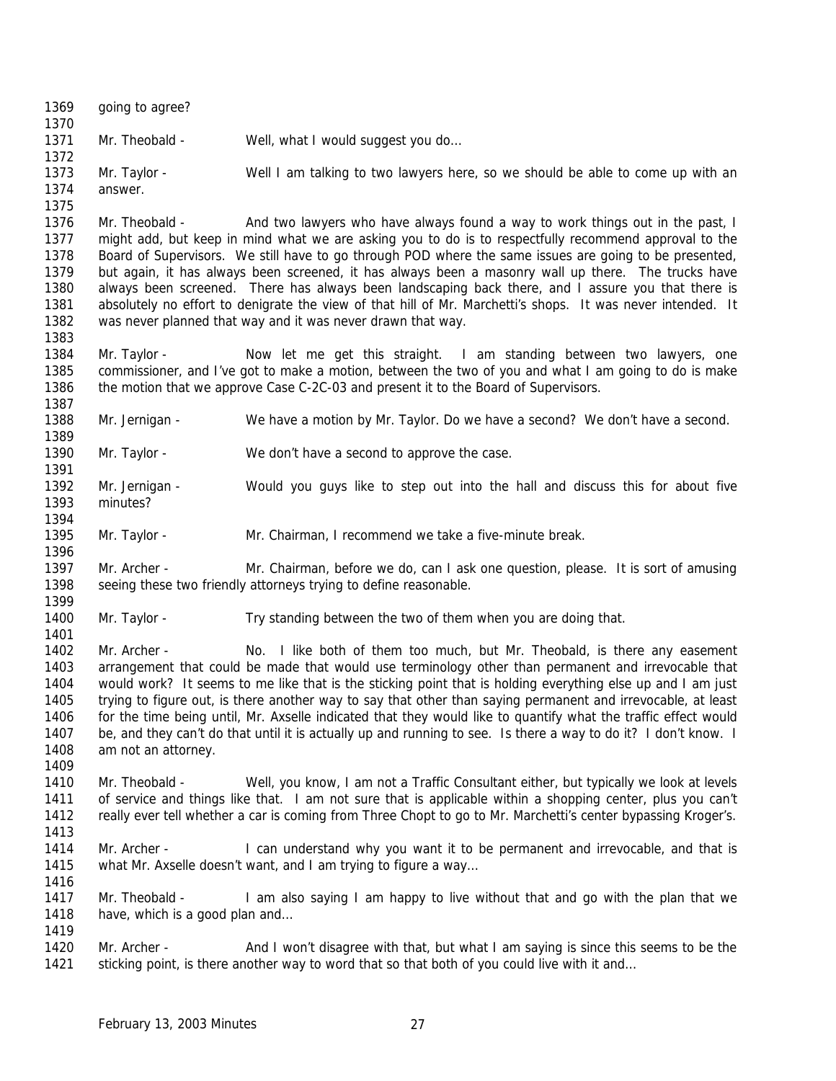| 1369<br>1370 | going to agree?                |                                                                                                                                                                                                     |
|--------------|--------------------------------|-----------------------------------------------------------------------------------------------------------------------------------------------------------------------------------------------------|
| 1371<br>1372 | Mr. Theobald -                 | Well, what I would suggest you do                                                                                                                                                                   |
| 1373         | Mr. Taylor -                   | Well I am talking to two lawyers here, so we should be able to come up with an                                                                                                                      |
| 1374         | answer.                        |                                                                                                                                                                                                     |
| 1375         |                                |                                                                                                                                                                                                     |
| 1376         | Mr. Theobald -                 | And two lawyers who have always found a way to work things out in the past, I                                                                                                                       |
| 1377         |                                | might add, but keep in mind what we are asking you to do is to respectfully recommend approval to the                                                                                               |
| 1378         |                                | Board of Supervisors. We still have to go through POD where the same issues are going to be presented,                                                                                              |
| 1379         |                                | but again, it has always been screened, it has always been a masonry wall up there. The trucks have                                                                                                 |
| 1380         |                                | always been screened. There has always been landscaping back there, and I assure you that there is                                                                                                  |
| 1381         |                                | absolutely no effort to denigrate the view of that hill of Mr. Marchetti's shops. It was never intended. It                                                                                         |
| 1382         |                                | was never planned that way and it was never drawn that way.                                                                                                                                         |
| 1383         |                                |                                                                                                                                                                                                     |
| 1384         | Mr. Taylor -                   | Now let me get this straight. I am standing between two lawyers, one                                                                                                                                |
| 1385         |                                | commissioner, and I've got to make a motion, between the two of you and what I am going to do is make                                                                                               |
| 1386         |                                | the motion that we approve Case C-2C-03 and present it to the Board of Supervisors.                                                                                                                 |
| 1387         |                                |                                                                                                                                                                                                     |
| 1388         | Mr. Jernigan -                 | We have a motion by Mr. Taylor. Do we have a second? We don't have a second.                                                                                                                        |
| 1389         |                                |                                                                                                                                                                                                     |
| 1390         | Mr. Taylor -                   | We don't have a second to approve the case.                                                                                                                                                         |
| 1391<br>1392 |                                |                                                                                                                                                                                                     |
| 1393         | Mr. Jernigan -<br>minutes?     | Would you guys like to step out into the hall and discuss this for about five                                                                                                                       |
| 1394         |                                |                                                                                                                                                                                                     |
| 1395         | Mr. Taylor -                   | Mr. Chairman, I recommend we take a five-minute break.                                                                                                                                              |
| 1396         |                                |                                                                                                                                                                                                     |
| 1397         | Mr. Archer -                   | Mr. Chairman, before we do, can I ask one question, please. It is sort of amusing                                                                                                                   |
| 1398         |                                | seeing these two friendly attorneys trying to define reasonable.                                                                                                                                    |
| 1399         |                                |                                                                                                                                                                                                     |
| 1400         | Mr. Taylor -                   | Try standing between the two of them when you are doing that.                                                                                                                                       |
| 1401         |                                |                                                                                                                                                                                                     |
| 1402         | Mr. Archer -                   | No. I like both of them too much, but Mr. Theobald, is there any easement                                                                                                                           |
| 1403         |                                | arrangement that could be made that would use terminology other than permanent and irrevocable that                                                                                                 |
| 1404         |                                | would work? It seems to me like that is the sticking point that is holding everything else up and I am just                                                                                         |
| 1405         |                                | trying to figure out, is there another way to say that other than saying permanent and irrevocable, at least                                                                                        |
| 1406         |                                | for the time being until, Mr. Axselle indicated that they would like to quantify what the traffic effect would                                                                                      |
| 1407         |                                | be, and they can't do that until it is actually up and running to see. Is there a way to do it? I don't know. I                                                                                     |
| 1408         | am not an attorney.            |                                                                                                                                                                                                     |
| 1409<br>1410 | Mr. Theobald -                 |                                                                                                                                                                                                     |
| 1411         |                                | Well, you know, I am not a Traffic Consultant either, but typically we look at levels<br>of service and things like that. I am not sure that is applicable within a shopping center, plus you can't |
| 1412         |                                | really ever tell whether a car is coming from Three Chopt to go to Mr. Marchetti's center bypassing Kroger's.                                                                                       |
| 1413         |                                |                                                                                                                                                                                                     |
| 1414         | Mr. Archer -                   | I can understand why you want it to be permanent and irrevocable, and that is                                                                                                                       |
| 1415         |                                | what Mr. Axselle doesn't want, and I am trying to figure a way                                                                                                                                      |
| 1416         |                                |                                                                                                                                                                                                     |
| 1417         | Mr. Theobald -                 | I am also saying I am happy to live without that and go with the plan that we                                                                                                                       |
| 1418         | have, which is a good plan and |                                                                                                                                                                                                     |
| 1419         |                                |                                                                                                                                                                                                     |
| 1420         | Mr. Archer -                   | And I won't disagree with that, but what I am saying is since this seems to be the                                                                                                                  |
| 1421         |                                | sticking point, is there another way to word that so that both of you could live with it and                                                                                                        |
|              |                                |                                                                                                                                                                                                     |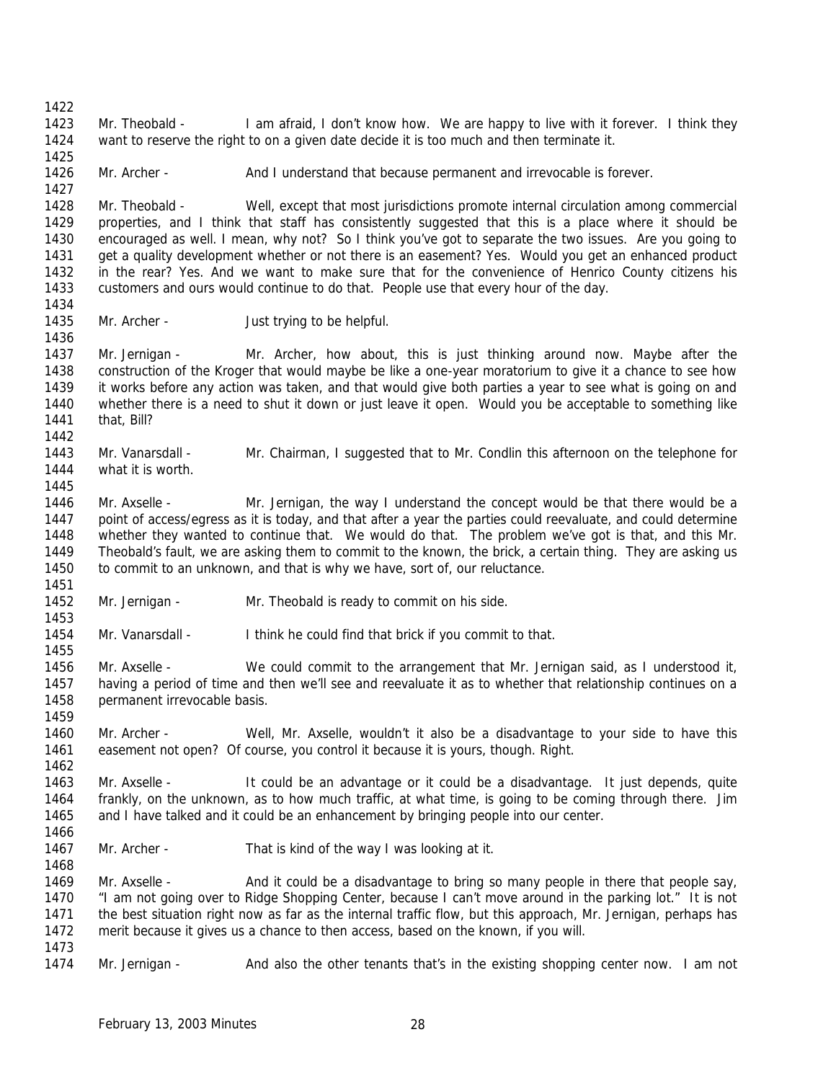Mr. Theobald - I am afraid, I don't know how. We are happy to live with it forever. I think they want to reserve the right to on a given date decide it is too much and then terminate it. 1426 Mr. Archer - And I understand that because permanent and irrevocable is forever. Mr. Theobald - Well, except that most jurisdictions promote internal circulation among commercial properties, and I think that staff has consistently suggested that this is a place where it should be encouraged as well. I mean, why not? So I think you've got to separate the two issues. Are you going to get a quality development whether or not there is an easement? Yes. Would you get an enhanced product in the rear? Yes. And we want to make sure that for the convenience of Henrico County citizens his customers and ours would continue to do that. People use that every hour of the day. 1435 Mr. Archer - Just trying to be helpful. Mr. Jernigan - Mr. Archer, how about, this is just thinking around now. Maybe after the construction of the Kroger that would maybe be like a one-year moratorium to give it a chance to see how it works before any action was taken, and that would give both parties a year to see what is going on and whether there is a need to shut it down or just leave it open. Would you be acceptable to something like that, Bill? Mr. Vanarsdall - Mr. Chairman, I suggested that to Mr. Condlin this afternoon on the telephone for what it is worth. Mr. Axselle - Mr. Jernigan, the way I understand the concept would be that there would be a point of access/egress as it is today, and that after a year the parties could reevaluate, and could determine whether they wanted to continue that. We would do that. The problem we've got is that, and this Mr. Theobald's fault, we are asking them to commit to the known, the brick, a certain thing. They are asking us 1450 to commit to an unknown, and that is why we have, sort of, our reluctance. Mr. Jernigan - Mr. Theobald is ready to commit on his side. Mr. Vanarsdall - I think he could find that brick if you commit to that. Mr. Axselle - We could commit to the arrangement that Mr. Jernigan said, as I understood it, having a period of time and then we'll see and reevaluate it as to whether that relationship continues on a 1458 permanent irrevocable basis. Mr. Archer - Well, Mr. Axselle, wouldn't it also be a disadvantage to your side to have this easement not open? Of course, you control it because it is yours, though. Right. Mr. Axselle - It could be an advantage or it could be a disadvantage. It just depends, quite frankly, on the unknown, as to how much traffic, at what time, is going to be coming through there. Jim and I have talked and it could be an enhancement by bringing people into our center. 1467 Mr. Archer - That is kind of the way I was looking at it. 1469 Mr. Axselle - And it could be a disadvantage to bring so many people in there that people say, "I am not going over to Ridge Shopping Center, because I can't move around in the parking lot." It is not the best situation right now as far as the internal traffic flow, but this approach, Mr. Jernigan, perhaps has merit because it gives us a chance to then access, based on the known, if you will. Mr. Jernigan - And also the other tenants that's in the existing shopping center now. I am not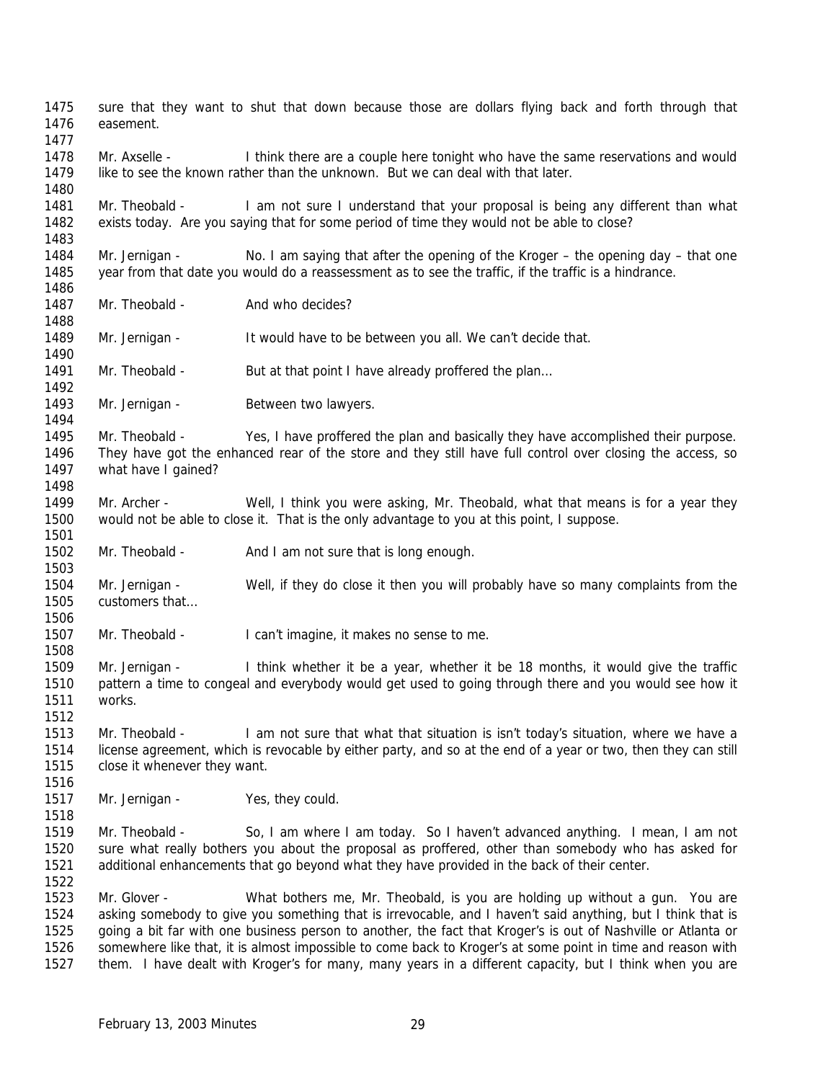sure that they want to shut that down because those are dollars flying back and forth through that easement. 1478 Mr. Axselle - I think there are a couple here tonight who have the same reservations and would like to see the known rather than the unknown. But we can deal with that later. 1481 Mr. Theobald - I am not sure I understand that your proposal is being any different than what exists today. Are you saying that for some period of time they would not be able to close? Mr. Jernigan - No. I am saying that after the opening of the Kroger – the opening day – that one year from that date you would do a reassessment as to see the traffic, if the traffic is a hindrance. 1487 Mr. Theobald - And who decides? 1489 Mr. Jernigan - It would have to be between you all. We can't decide that. 1491 Mr. Theobald - But at that point I have already proffered the plan... 1493 Mr. Jernigan - Between two lawyers. Mr. Theobald - Yes, I have proffered the plan and basically they have accomplished their purpose. They have got the enhanced rear of the store and they still have full control over closing the access, so what have I gained? 1499 Mr. Archer - Well, I think you were asking, Mr. Theobald, what that means is for a year they would not be able to close it. That is the only advantage to you at this point, I suppose. 1502 Mr. Theobald - And I am not sure that is long enough. Mr. Jernigan - Well, if they do close it then you will probably have so many complaints from the customers that… Mr. Theobald - I can't imagine, it makes no sense to me. Mr. Jernigan - I think whether it be a year, whether it be 18 months, it would give the traffic pattern a time to congeal and everybody would get used to going through there and you would see how it works. Mr. Theobald - I am not sure that what that situation is isn't today's situation, where we have a license agreement, which is revocable by either party, and so at the end of a year or two, then they can still close it whenever they want. 1517 Mr. Jernigan - Yes, they could. Mr. Theobald - So, I am where I am today. So I haven't advanced anything. I mean, I am not sure what really bothers you about the proposal as proffered, other than somebody who has asked for additional enhancements that go beyond what they have provided in the back of their center. Mr. Glover - What bothers me, Mr. Theobald, is you are holding up without a gun. You are asking somebody to give you something that is irrevocable, and I haven't said anything, but I think that is going a bit far with one business person to another, the fact that Kroger's is out of Nashville or Atlanta or 1526 somewhere like that, it is almost impossible to come back to Kroger's at some point in time and reason with them. I have dealt with Kroger's for many, many years in a different capacity, but I think when you are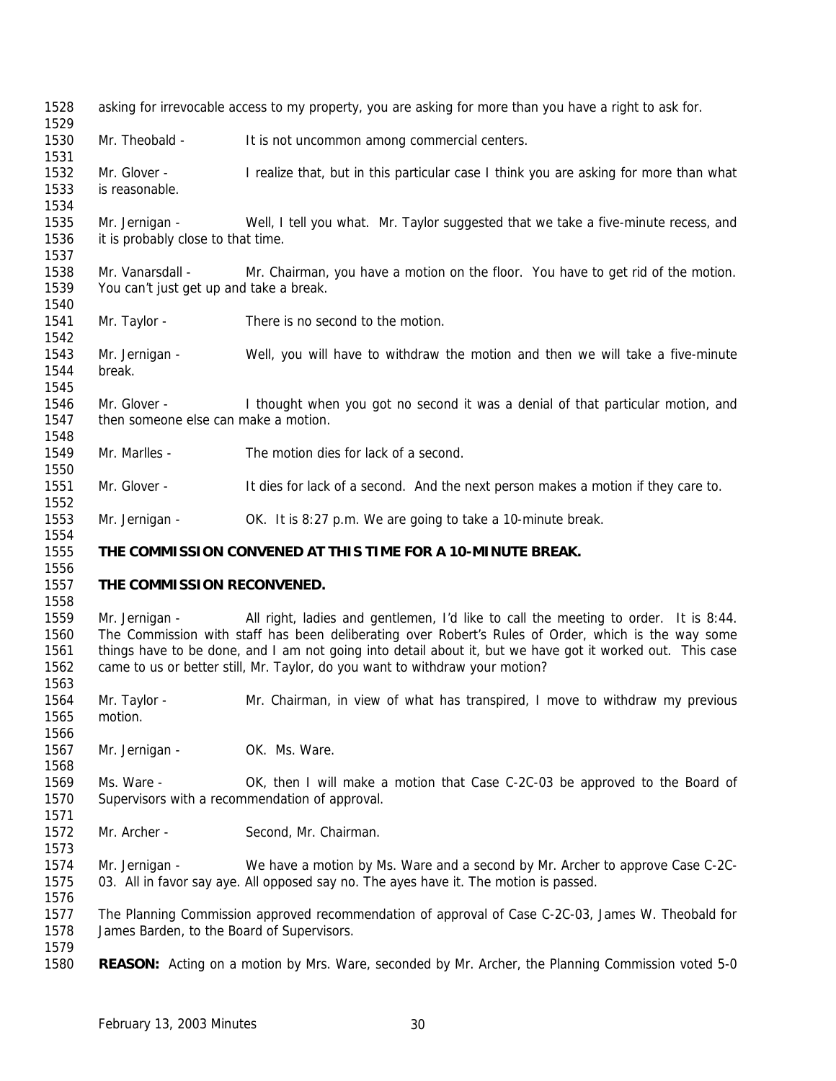| 1528<br>1529 | asking for irrevocable access to my property, you are asking for more than you have a right to ask for. |                                                                                                           |  |
|--------------|---------------------------------------------------------------------------------------------------------|-----------------------------------------------------------------------------------------------------------|--|
| 1530         | Mr. Theobald -                                                                                          | It is not uncommon among commercial centers.                                                              |  |
| 1531         |                                                                                                         |                                                                                                           |  |
| 1532         | Mr. Glover -                                                                                            | I realize that, but in this particular case I think you are asking for more than what                     |  |
| 1533         | is reasonable.                                                                                          |                                                                                                           |  |
| 1534         |                                                                                                         |                                                                                                           |  |
| 1535         | Mr. Jernigan -                                                                                          | Well, I tell you what. Mr. Taylor suggested that we take a five-minute recess, and                        |  |
| 1536         | it is probably close to that time.                                                                      |                                                                                                           |  |
| 1537         |                                                                                                         |                                                                                                           |  |
| 1538         | Mr. Vanarsdall -                                                                                        | Mr. Chairman, you have a motion on the floor. You have to get rid of the motion.                          |  |
| 1539         | You can't just get up and take a break.                                                                 |                                                                                                           |  |
| 1540         |                                                                                                         |                                                                                                           |  |
| 1541         | Mr. Taylor -                                                                                            | There is no second to the motion.                                                                         |  |
| 1542         |                                                                                                         |                                                                                                           |  |
| 1543         | Mr. Jernigan -                                                                                          | Well, you will have to withdraw the motion and then we will take a five-minute                            |  |
| 1544         | break.                                                                                                  |                                                                                                           |  |
| 1545         |                                                                                                         |                                                                                                           |  |
| 1546         | Mr. Glover -                                                                                            | I thought when you got no second it was a denial of that particular motion, and                           |  |
| 1547         | then someone else can make a motion.                                                                    |                                                                                                           |  |
| 1548         |                                                                                                         |                                                                                                           |  |
| 1549         | Mr. Marlles -                                                                                           | The motion dies for lack of a second.                                                                     |  |
| 1550         |                                                                                                         |                                                                                                           |  |
| 1551         | Mr. Glover -                                                                                            | It dies for lack of a second. And the next person makes a motion if they care to.                         |  |
| 1552         |                                                                                                         |                                                                                                           |  |
| 1553         | Mr. Jernigan -                                                                                          | OK. It is 8:27 p.m. We are going to take a 10-minute break.                                               |  |
|              |                                                                                                         |                                                                                                           |  |
| 1554         |                                                                                                         |                                                                                                           |  |
| 1555         |                                                                                                         | THE COMMISSION CONVENED AT THIS TIME FOR A 10-MINUTE BREAK.                                               |  |
| 1556         |                                                                                                         |                                                                                                           |  |
| 1557         | THE COMMISSION RECONVENED.                                                                              |                                                                                                           |  |
| 1558         |                                                                                                         |                                                                                                           |  |
| 1559         | Mr. Jernigan -                                                                                          | All right, ladies and gentlemen, I'd like to call the meeting to order. It is 8:44.                       |  |
| 1560         |                                                                                                         | The Commission with staff has been deliberating over Robert's Rules of Order, which is the way some       |  |
| 1561         |                                                                                                         | things have to be done, and I am not going into detail about it, but we have got it worked out. This case |  |
| 1562         |                                                                                                         | came to us or better still, Mr. Taylor, do you want to withdraw your motion?                              |  |
| 1563         |                                                                                                         |                                                                                                           |  |
| 1564         | Mr. Taylor -                                                                                            | Mr. Chairman, in view of what has transpired, I move to withdraw my previous                              |  |
| 1565         | motion.                                                                                                 |                                                                                                           |  |
| 1566         |                                                                                                         |                                                                                                           |  |
| 1567         | Mr. Jernigan -                                                                                          | OK. Ms. Ware.                                                                                             |  |
| 1568         |                                                                                                         |                                                                                                           |  |
| 1569         | Ms. Ware -                                                                                              | OK, then I will make a motion that Case C-2C-03 be approved to the Board of                               |  |
| 1570         |                                                                                                         | Supervisors with a recommendation of approval.                                                            |  |
| 1571         |                                                                                                         |                                                                                                           |  |
| 1572         | Mr. Archer -                                                                                            | Second, Mr. Chairman.                                                                                     |  |
| 1573         |                                                                                                         |                                                                                                           |  |
| 1574         | Mr. Jernigan -                                                                                          | We have a motion by Ms. Ware and a second by Mr. Archer to approve Case C-2C-                             |  |
| 1575         |                                                                                                         | 03. All in favor say aye. All opposed say no. The ayes have it. The motion is passed.                     |  |
| 1576         |                                                                                                         |                                                                                                           |  |
| 1577         |                                                                                                         | The Planning Commission approved recommendation of approval of Case C-2C-03, James W. Theobald for        |  |
| 1578         | James Barden, to the Board of Supervisors.                                                              |                                                                                                           |  |
| 1579<br>1580 |                                                                                                         | <b>REASON:</b> Acting on a motion by Mrs. Ware, seconded by Mr. Archer, the Planning Commission voted 5-0 |  |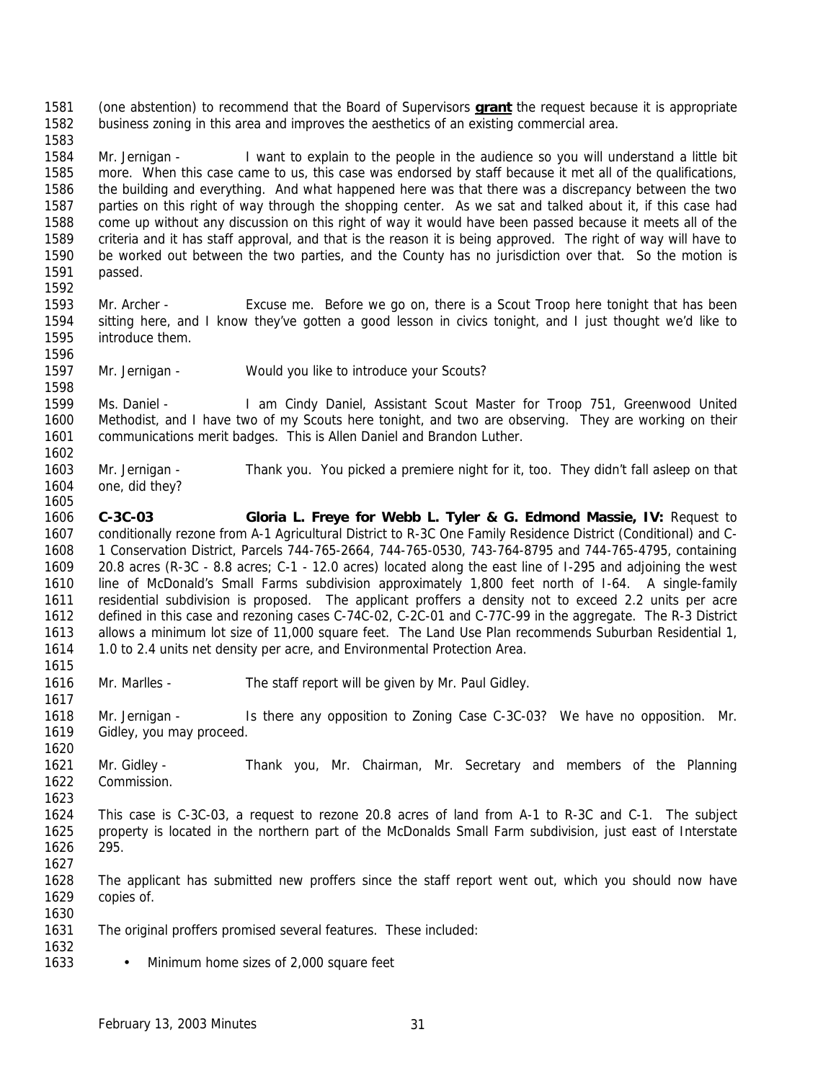(one abstention) to recommend that the Board of Supervisors **grant** the request because it is appropriate business zoning in this area and improves the aesthetics of an existing commercial area.

 Mr. Jernigan - I want to explain to the people in the audience so you will understand a little bit more. When this case came to us, this case was endorsed by staff because it met all of the qualifications, the building and everything. And what happened here was that there was a discrepancy between the two parties on this right of way through the shopping center. As we sat and talked about it, if this case had come up without any discussion on this right of way it would have been passed because it meets all of the criteria and it has staff approval, and that is the reason it is being approved. The right of way will have to be worked out between the two parties, and the County has no jurisdiction over that. So the motion is passed. 

- Mr. Archer Excuse me. Before we go on, there is a Scout Troop here tonight that has been sitting here, and I know they've gotten a good lesson in civics tonight, and I just thought we'd like to introduce them.
- Mr. Jernigan Would you like to introduce your Scouts?

 Ms. Daniel - I am Cindy Daniel, Assistant Scout Master for Troop 751, Greenwood United Methodist, and I have two of my Scouts here tonight, and two are observing. They are working on their communications merit badges. This is Allen Daniel and Brandon Luther.

- Mr. Jernigan Thank you. You picked a premiere night for it, too. They didn't fall asleep on that one, did they?
- **C-3C-03 Gloria L. Freye for Webb L. Tyler & G. Edmond Massie, IV:** Request to conditionally rezone from A-1 Agricultural District to R-3C One Family Residence District (Conditional) and C- 1 Conservation District, Parcels 744-765-2664, 744-765-0530, 743-764-8795 and 744-765-4795, containing 20.8 acres (R-3C - 8.8 acres; C-1 - 12.0 acres) located along the east line of I-295 and adjoining the west line of McDonald's Small Farms subdivision approximately 1,800 feet north of I-64. A single-family residential subdivision is proposed. The applicant proffers a density not to exceed 2.2 units per acre defined in this case and rezoning cases C-74C-02, C-2C-01 and C-77C-99 in the aggregate. The R-3 District allows a minimum lot size of 11,000 square feet. The Land Use Plan recommends Suburban Residential 1, 1.0 to 2.4 units net density per acre, and Environmental Protection Area.
- Mr. Marlles The staff report will be given by Mr. Paul Gidley.

 Mr. Jernigan - Is there any opposition to Zoning Case C-3C-03? We have no opposition. Mr. Gidley, you may proceed.

- Mr. Gidley Thank you, Mr. Chairman, Mr. Secretary and members of the Planning Commission.
- 

- This case is C-3C-03, a request to rezone 20.8 acres of land from A-1 to R-3C and C-1. The subject property is located in the northern part of the McDonalds Small Farm subdivision, just east of Interstate 295.
- The applicant has submitted new proffers since the staff report went out, which you should now have copies of.
- The original proffers promised several features. These included:
- Minimum home sizes of 2,000 square feet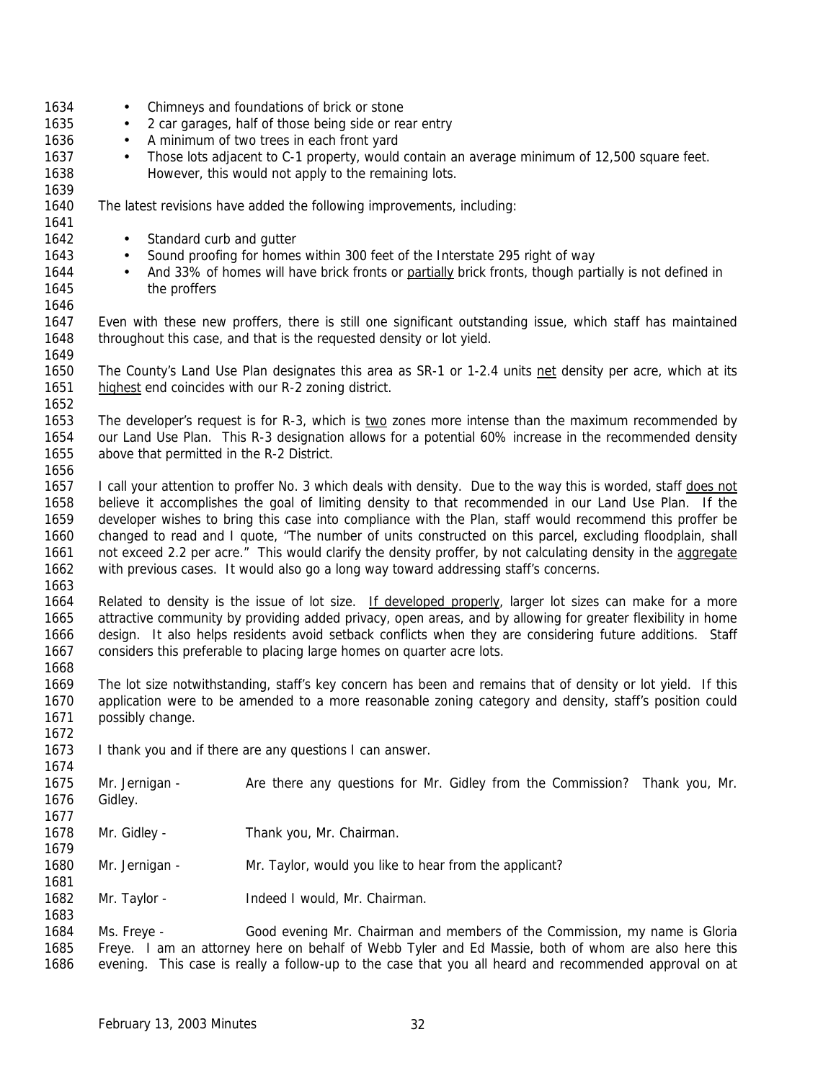| 1634 | $\bullet$      |                          | Chimneys and foundations of brick or stone                                                                     |
|------|----------------|--------------------------|----------------------------------------------------------------------------------------------------------------|
| 1635 | $\bullet$      |                          | 2 car garages, half of those being side or rear entry                                                          |
| 1636 | $\bullet$      |                          | A minimum of two trees in each front yard                                                                      |
| 1637 | $\bullet$      |                          | Those lots adjacent to C-1 property, would contain an average minimum of 12,500 square feet.                   |
| 1638 |                |                          | However, this would not apply to the remaining lots.                                                           |
|      |                |                          |                                                                                                                |
| 1639 |                |                          |                                                                                                                |
| 1640 |                |                          | The latest revisions have added the following improvements, including:                                         |
| 1641 |                |                          |                                                                                                                |
| 1642 | $\bullet$      | Standard curb and gutter |                                                                                                                |
| 1643 | $\bullet$      |                          | Sound proofing for homes within 300 feet of the Interstate 295 right of way                                    |
| 1644 |                |                          | And 33% of homes will have brick fronts or partially brick fronts, though partially is not defined in          |
| 1645 |                | the proffers             |                                                                                                                |
| 1646 |                |                          |                                                                                                                |
|      |                |                          |                                                                                                                |
| 1647 |                |                          | Even with these new proffers, there is still one significant outstanding issue, which staff has maintained     |
| 1648 |                |                          | throughout this case, and that is the requested density or lot yield.                                          |
| 1649 |                |                          |                                                                                                                |
| 1650 |                |                          | The County's Land Use Plan designates this area as SR-1 or 1-2.4 units net density per acre, which at its      |
| 1651 |                |                          | highest end coincides with our R-2 zoning district.                                                            |
| 1652 |                |                          |                                                                                                                |
| 1653 |                |                          | The developer's request is for R-3, which is two zones more intense than the maximum recommended by            |
|      |                |                          |                                                                                                                |
| 1654 |                |                          | our Land Use Plan. This R-3 designation allows for a potential 60% increase in the recommended density         |
| 1655 |                |                          | above that permitted in the R-2 District.                                                                      |
| 1656 |                |                          |                                                                                                                |
| 1657 |                |                          | I call your attention to proffer No. 3 which deals with density. Due to the way this is worded, staff does not |
| 1658 |                |                          | believe it accomplishes the goal of limiting density to that recommended in our Land Use Plan. If the          |
| 1659 |                |                          | developer wishes to bring this case into compliance with the Plan, staff would recommend this proffer be       |
| 1660 |                |                          | changed to read and I quote, "The number of units constructed on this parcel, excluding floodplain, shall      |
| 1661 |                |                          | not exceed 2.2 per acre." This would clarify the density proffer, by not calculating density in the aggregate  |
| 1662 |                |                          |                                                                                                                |
|      |                |                          | with previous cases. It would also go a long way toward addressing staff's concerns.                           |
| 1663 |                |                          |                                                                                                                |
| 1664 |                |                          | Related to density is the issue of lot size. If developed properly, larger lot sizes can make for a more       |
| 1665 |                |                          | attractive community by providing added privacy, open areas, and by allowing for greater flexibility in home   |
| 1666 |                |                          | design. It also helps residents avoid setback conflicts when they are considering future additions. Staff      |
| 1667 |                |                          | considers this preferable to placing large homes on quarter acre lots.                                         |
| 1668 |                |                          |                                                                                                                |
| 1669 |                |                          | The lot size notwithstanding, staff's key concern has been and remains that of density or lot yield. If this   |
|      |                |                          |                                                                                                                |
| 1670 |                |                          | application were to be amended to a more reasonable zoning category and density, staff's position could        |
| 1671 |                | possibly change.         |                                                                                                                |
| 1672 |                |                          |                                                                                                                |
| 1673 |                |                          | I thank you and if there are any questions I can answer.                                                       |
| 1674 |                |                          |                                                                                                                |
| 1675 | Mr. Jernigan - |                          | Are there any questions for Mr. Gidley from the Commission? Thank you, Mr.                                     |
| 1676 | Gidley.        |                          |                                                                                                                |
| 1677 |                |                          |                                                                                                                |
|      |                |                          |                                                                                                                |
| 1678 | Mr. Gidley -   |                          | Thank you, Mr. Chairman.                                                                                       |
| 1679 |                |                          |                                                                                                                |
| 1680 | Mr. Jernigan - |                          | Mr. Taylor, would you like to hear from the applicant?                                                         |
| 1681 |                |                          |                                                                                                                |
| 1682 | Mr. Taylor -   |                          | Indeed I would, Mr. Chairman.                                                                                  |
| 1683 |                |                          |                                                                                                                |
| 1684 | Ms. Freye -    |                          | Good evening Mr. Chairman and members of the Commission, my name is Gloria                                     |
|      |                |                          |                                                                                                                |
| 1685 |                |                          | Freye. I am an attorney here on behalf of Webb Tyler and Ed Massie, both of whom are also here this            |
| 1686 |                |                          | evening. This case is really a follow-up to the case that you all heard and recommended approval on at         |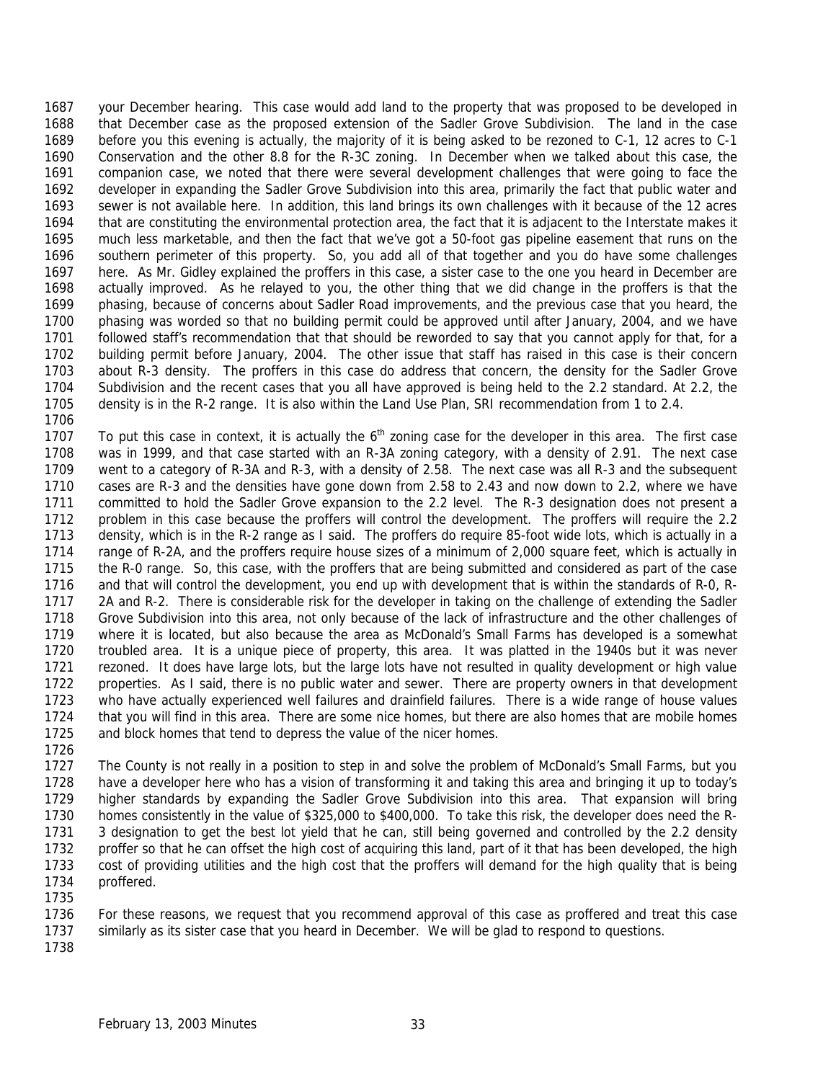your December hearing. This case would add land to the property that was proposed to be developed in that December case as the proposed extension of the Sadler Grove Subdivision. The land in the case before you this evening is actually, the majority of it is being asked to be rezoned to C-1, 12 acres to C-1 Conservation and the other 8.8 for the R-3C zoning. In December when we talked about this case, the companion case, we noted that there were several development challenges that were going to face the developer in expanding the Sadler Grove Subdivision into this area, primarily the fact that public water and sewer is not available here. In addition, this land brings its own challenges with it because of the 12 acres that are constituting the environmental protection area, the fact that it is adjacent to the Interstate makes it much less marketable, and then the fact that we've got a 50-foot gas pipeline easement that runs on the southern perimeter of this property. So, you add all of that together and you do have some challenges here. As Mr. Gidley explained the proffers in this case, a sister case to the one you heard in December are actually improved. As he relayed to you, the other thing that we did change in the proffers is that the phasing, because of concerns about Sadler Road improvements, and the previous case that you heard, the phasing was worded so that no building permit could be approved until after January, 2004, and we have followed staff's recommendation that that should be reworded to say that you cannot apply for that, for a building permit before January, 2004. The other issue that staff has raised in this case is their concern about R-3 density. The proffers in this case do address that concern, the density for the Sadler Grove Subdivision and the recent cases that you all have approved is being held to the 2.2 standard. At 2.2, the density is in the R-2 range. It is also within the Land Use Plan, SRI recommendation from 1 to 2.4.

1707 To put this case in context, it is actually the  $6<sup>th</sup>$  zoning case for the developer in this area. The first case was in 1999, and that case started with an R-3A zoning category, with a density of 2.91. The next case went to a category of R-3A and R-3, with a density of 2.58. The next case was all R-3 and the subsequent cases are R-3 and the densities have gone down from 2.58 to 2.43 and now down to 2.2, where we have committed to hold the Sadler Grove expansion to the 2.2 level. The R-3 designation does not present a problem in this case because the proffers will control the development. The proffers will require the 2.2 density, which is in the R-2 range as I said. The proffers do require 85-foot wide lots, which is actually in a 1714 range of R-2A, and the proffers require house sizes of a minimum of 2,000 square feet, which is actually in the R-0 range. So, this case, with the proffers that are being submitted and considered as part of the case and that will control the development, you end up with development that is within the standards of R-0, R- 2A and R-2. There is considerable risk for the developer in taking on the challenge of extending the Sadler Grove Subdivision into this area, not only because of the lack of infrastructure and the other challenges of where it is located, but also because the area as McDonald's Small Farms has developed is a somewhat troubled area. It is a unique piece of property, this area. It was platted in the 1940s but it was never rezoned. It does have large lots, but the large lots have not resulted in quality development or high value properties. As I said, there is no public water and sewer. There are property owners in that development who have actually experienced well failures and drainfield failures. There is a wide range of house values that you will find in this area. There are some nice homes, but there are also homes that are mobile homes and block homes that tend to depress the value of the nicer homes.

1727 The County is not really in a position to step in and solve the problem of McDonald's Small Farms, but you have a developer here who has a vision of transforming it and taking this area and bringing it up to today's higher standards by expanding the Sadler Grove Subdivision into this area. That expansion will bring homes consistently in the value of \$325,000 to \$400,000. To take this risk, the developer does need the R- 3 designation to get the best lot yield that he can, still being governed and controlled by the 2.2 density proffer so that he can offset the high cost of acquiring this land, part of it that has been developed, the high cost of providing utilities and the high cost that the proffers will demand for the high quality that is being proffered. 

- For these reasons, we request that you recommend approval of this case as proffered and treat this case
- similarly as its sister case that you heard in December. We will be glad to respond to questions.
-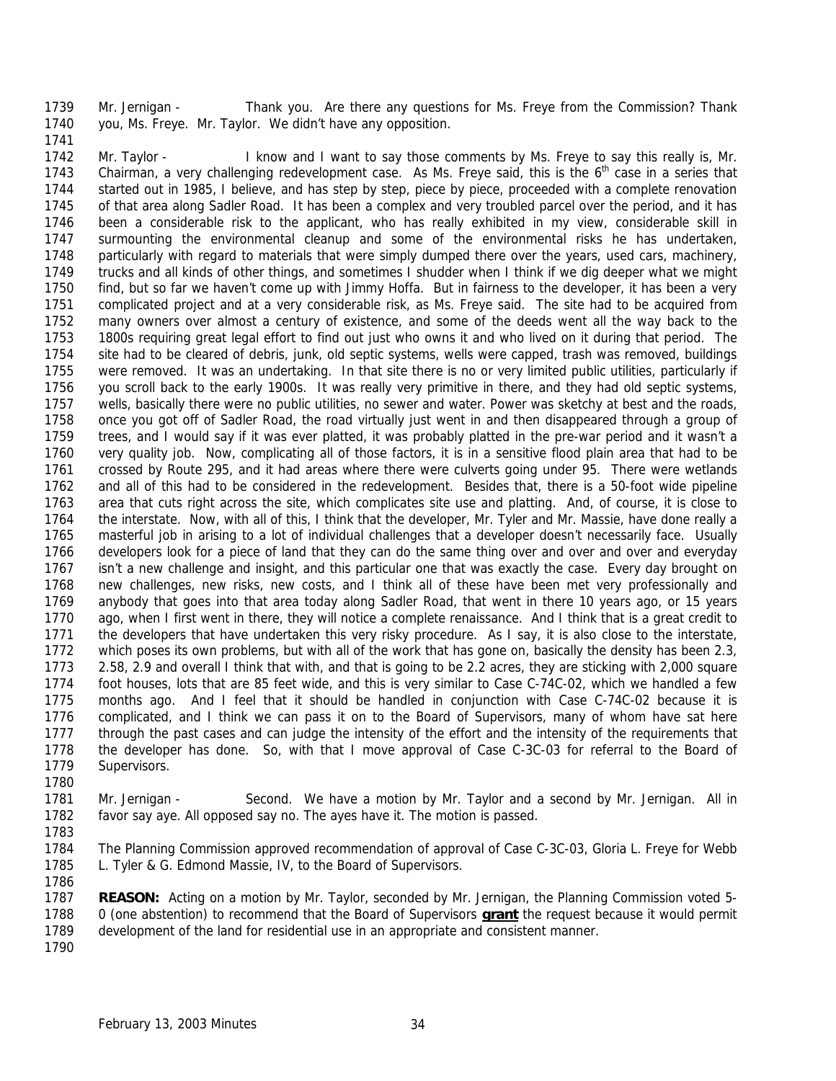Mr. Jernigan - Thank you. Are there any questions for Ms. Freye from the Commission? Thank you, Ms. Freye. Mr. Taylor. We didn't have any opposition.

 Mr. Taylor - I know and I want to say those comments by Ms. Freye to say this really is, Mr. 1743 Chairman, a very challenging redevelopment case. As Ms. Freye said, this is the 6<sup>th</sup> case in a series that started out in 1985, I believe, and has step by step, piece by piece, proceeded with a complete renovation of that area along Sadler Road. It has been a complex and very troubled parcel over the period, and it has been a considerable risk to the applicant, who has really exhibited in my view, considerable skill in surmounting the environmental cleanup and some of the environmental risks he has undertaken, particularly with regard to materials that were simply dumped there over the years, used cars, machinery, trucks and all kinds of other things, and sometimes I shudder when I think if we dig deeper what we might find, but so far we haven't come up with Jimmy Hoffa. But in fairness to the developer, it has been a very complicated project and at a very considerable risk, as Ms. Freye said. The site had to be acquired from many owners over almost a century of existence, and some of the deeds went all the way back to the 1800s requiring great legal effort to find out just who owns it and who lived on it during that period. The site had to be cleared of debris, junk, old septic systems, wells were capped, trash was removed, buildings were removed. It was an undertaking. In that site there is no or very limited public utilities, particularly if you scroll back to the early 1900s. It was really very primitive in there, and they had old septic systems, wells, basically there were no public utilities, no sewer and water. Power was sketchy at best and the roads, once you got off of Sadler Road, the road virtually just went in and then disappeared through a group of trees, and I would say if it was ever platted, it was probably platted in the pre-war period and it wasn't a very quality job. Now, complicating all of those factors, it is in a sensitive flood plain area that had to be crossed by Route 295, and it had areas where there were culverts going under 95. There were wetlands and all of this had to be considered in the redevelopment. Besides that, there is a 50-foot wide pipeline area that cuts right across the site, which complicates site use and platting. And, of course, it is close to the interstate. Now, with all of this, I think that the developer, Mr. Tyler and Mr. Massie, have done really a masterful job in arising to a lot of individual challenges that a developer doesn't necessarily face. Usually developers look for a piece of land that they can do the same thing over and over and over and everyday isn't a new challenge and insight, and this particular one that was exactly the case. Every day brought on new challenges, new risks, new costs, and I think all of these have been met very professionally and anybody that goes into that area today along Sadler Road, that went in there 10 years ago, or 15 years ago, when I first went in there, they will notice a complete renaissance. And I think that is a great credit to the developers that have undertaken this very risky procedure. As I say, it is also close to the interstate, 1772 which poses its own problems, but with all of the work that has gone on, basically the density has been 2.3, 2.58, 2.9 and overall I think that with, and that is going to be 2.2 acres, they are sticking with 2,000 square foot houses, lots that are 85 feet wide, and this is very similar to Case C-74C-02, which we handled a few months ago. And I feel that it should be handled in conjunction with Case C-74C-02 because it is complicated, and I think we can pass it on to the Board of Supervisors, many of whom have sat here through the past cases and can judge the intensity of the effort and the intensity of the requirements that the developer has done. So, with that I move approval of Case C-3C-03 for referral to the Board of Supervisors.

- Mr. Jernigan Second. We have a motion by Mr. Taylor and a second by Mr. Jernigan. All in favor say aye. All opposed say no. The ayes have it. The motion is passed.
- 

 The Planning Commission approved recommendation of approval of Case C-3C-03, Gloria L. Freye for Webb L. Tyler & G. Edmond Massie, IV, to the Board of Supervisors. 

 **REASON:** Acting on a motion by Mr. Taylor, seconded by Mr. Jernigan, the Planning Commission voted 5- 0 (one abstention) to recommend that the Board of Supervisors **grant** the request because it would permit development of the land for residential use in an appropriate and consistent manner.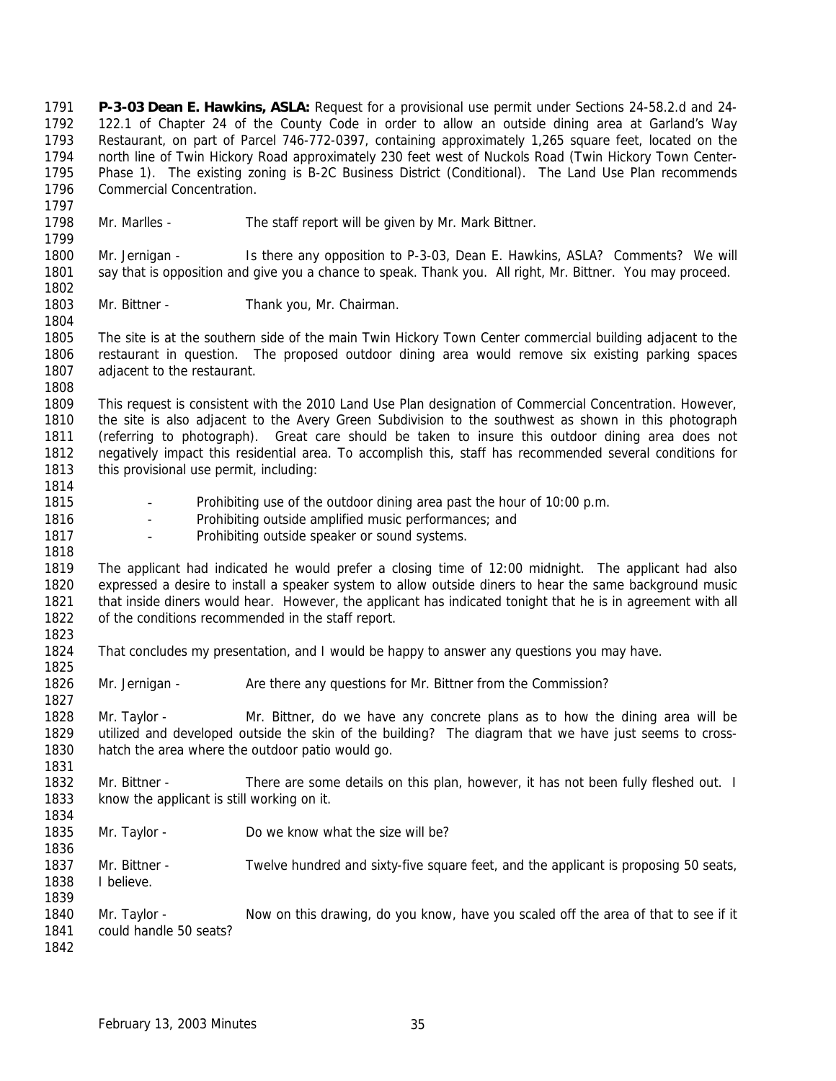**P-3-03 Dean E. Hawkins, ASLA:** Request for a provisional use permit under Sections 24-58.2.d and 24- 122.1 of Chapter 24 of the County Code in order to allow an outside dining area at Garland's Way Restaurant, on part of Parcel 746-772-0397, containing approximately 1,265 square feet, located on the north line of Twin Hickory Road approximately 230 feet west of Nuckols Road (Twin Hickory Town Center- Phase 1). The existing zoning is B-2C Business District (Conditional). The Land Use Plan recommends Commercial Concentration. Mr. Marlles - The staff report will be given by Mr. Mark Bittner. Mr. Jernigan - Is there any opposition to P-3-03, Dean E. Hawkins, ASLA? Comments? We will 1801 say that is opposition and give you a chance to speak. Thank you. All right, Mr. Bittner. You may proceed. Mr. Bittner - Thank you, Mr. Chairman. The site is at the southern side of the main Twin Hickory Town Center commercial building adjacent to the restaurant in question. The proposed outdoor dining area would remove six existing parking spaces 1807 adiacent to the restaurant. This request is consistent with the 2010 Land Use Plan designation of Commercial Concentration. However, the site is also adjacent to the Avery Green Subdivision to the southwest as shown in this photograph (referring to photograph). Great care should be taken to insure this outdoor dining area does not negatively impact this residential area. To accomplish this, staff has recommended several conditions for 1813 this provisional use permit, including: - Prohibiting use of the outdoor dining area past the hour of 10:00 p.m. 1816 - Prohibiting outside amplified music performances; and 1817 - Prohibiting outside speaker or sound systems. The applicant had indicated he would prefer a closing time of 12:00 midnight. The applicant had also expressed a desire to install a speaker system to allow outside diners to hear the same background music 1821 that inside diners would hear. However, the applicant has indicated tonight that he is in agreement with all of the conditions recommended in the staff report. That concludes my presentation, and I would be happy to answer any questions you may have. 1826 Mr. Jernigan - Are there any questions for Mr. Bittner from the Commission? Mr. Taylor - Mr. Bittner, do we have any concrete plans as to how the dining area will be utilized and developed outside the skin of the building? The diagram that we have just seems to cross- hatch the area where the outdoor patio would go. Mr. Bittner - There are some details on this plan, however, it has not been fully fleshed out. I know the applicant is still working on it. Mr. Taylor - Do we know what the size will be? Mr. Bittner - Twelve hundred and sixty-five square feet, and the applicant is proposing 50 seats, I believe. Mr. Taylor - Now on this drawing, do you know, have you scaled off the area of that to see if it could handle 50 seats?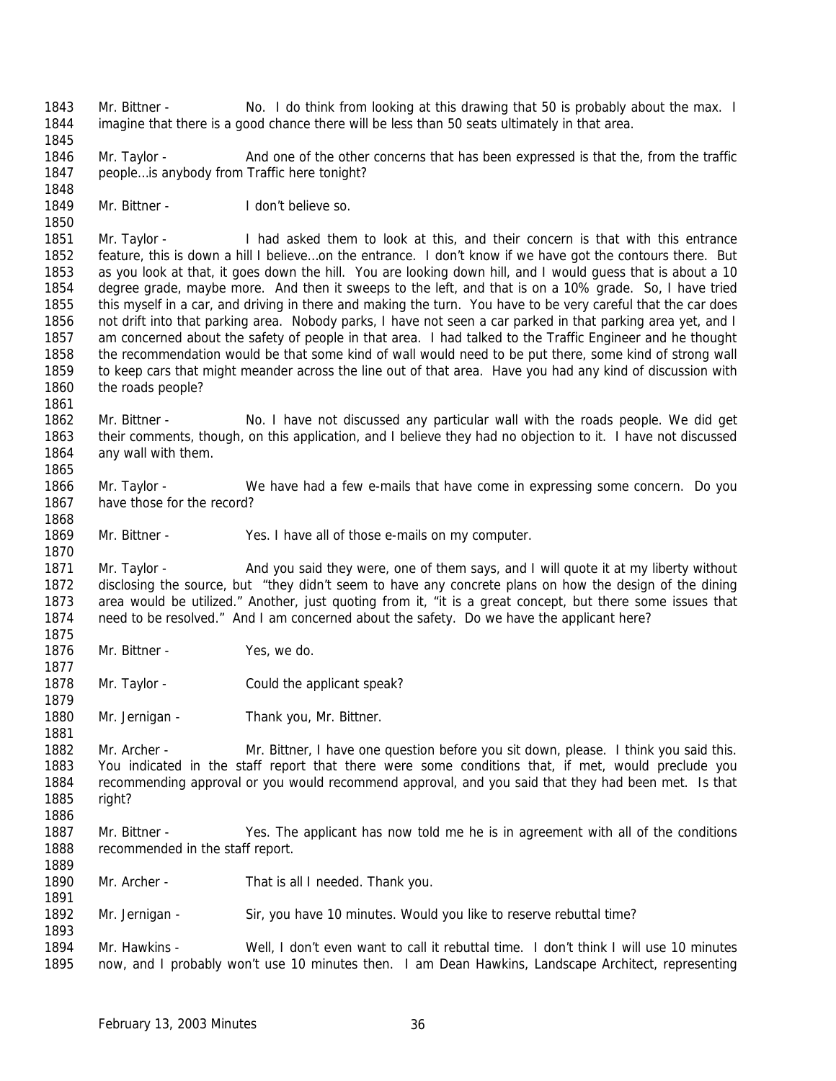Mr. Bittner - No. I do think from looking at this drawing that 50 is probably about the max. I imagine that there is a good chance there will be less than 50 seats ultimately in that area.

1846 Mr. Taylor - And one of the other concerns that has been expressed is that the, from the traffic 1847 people... is anybody from Traffic here tonight? 

Mr. Bittner - I don't believe so.

 Mr. Taylor - I had asked them to look at this, and their concern is that with this entrance feature, this is down a hill I believe…on the entrance. I don't know if we have got the contours there. But as you look at that, it goes down the hill. You are looking down hill, and I would guess that is about a 10 degree grade, maybe more. And then it sweeps to the left, and that is on a 10% grade. So, I have tried this myself in a car, and driving in there and making the turn. You have to be very careful that the car does not drift into that parking area. Nobody parks, I have not seen a car parked in that parking area yet, and I am concerned about the safety of people in that area. I had talked to the Traffic Engineer and he thought the recommendation would be that some kind of wall would need to be put there, some kind of strong wall to keep cars that might meander across the line out of that area. Have you had any kind of discussion with the roads people?

1862 Mr. Bittner - No. I have not discussed any particular wall with the roads people. We did get their comments, though, on this application, and I believe they had no objection to it. I have not discussed any wall with them.

 Mr. Taylor - We have had a few e-mails that have come in expressing some concern. Do you have those for the record?

Mr. Bittner - Yes. I have all of those e-mails on my computer.

 Mr. Taylor - And you said they were, one of them says, and I will quote it at my liberty without disclosing the source, but "they didn't seem to have any concrete plans on how the design of the dining area would be utilized." Another, just quoting from it, "it is a great concept, but there some issues that need to be resolved." And I am concerned about the safety. Do we have the applicant here?

- Mr. Bittner Yes, we do.
- Mr. Taylor Could the applicant speak?
- 1880 Mr. Jernigan Thank you, Mr. Bittner.

 Mr. Archer - Mr. Bittner, I have one question before you sit down, please. I think you said this. You indicated in the staff report that there were some conditions that, if met, would preclude you recommending approval or you would recommend approval, and you said that they had been met. Is that right? 

- 1887 Mr. Bittner Yes. The applicant has now told me he is in agreement with all of the conditions recommended in the staff report.
- Mr. Archer That is all I needed. Thank you.
- Mr. Jernigan Sir, you have 10 minutes. Would you like to reserve rebuttal time?

 Mr. Hawkins - Well, I don't even want to call it rebuttal time. I don't think I will use 10 minutes now, and I probably won't use 10 minutes then. I am Dean Hawkins, Landscape Architect, representing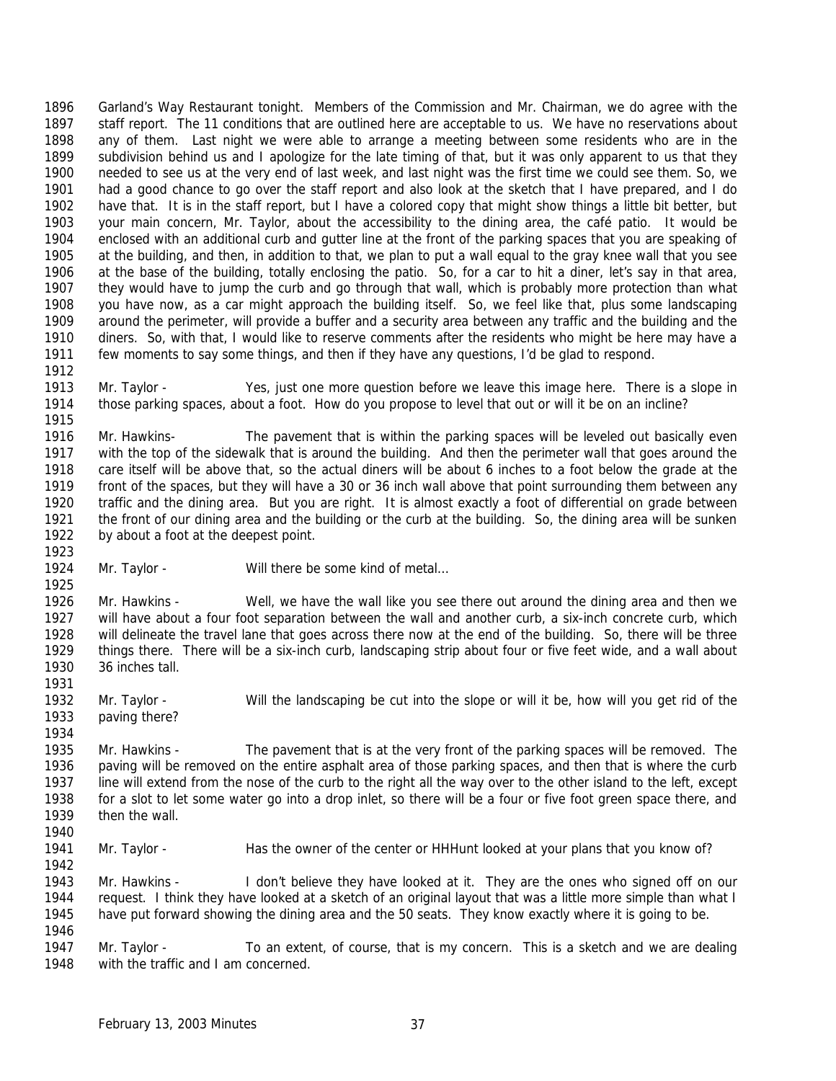Garland's Way Restaurant tonight. Members of the Commission and Mr. Chairman, we do agree with the staff report. The 11 conditions that are outlined here are acceptable to us. We have no reservations about any of them. Last night we were able to arrange a meeting between some residents who are in the subdivision behind us and I apologize for the late timing of that, but it was only apparent to us that they needed to see us at the very end of last week, and last night was the first time we could see them. So, we had a good chance to go over the staff report and also look at the sketch that I have prepared, and I do have that. It is in the staff report, but I have a colored copy that might show things a little bit better, but your main concern, Mr. Taylor, about the accessibility to the dining area, the café patio. It would be enclosed with an additional curb and gutter line at the front of the parking spaces that you are speaking of at the building, and then, in addition to that, we plan to put a wall equal to the gray knee wall that you see at the base of the building, totally enclosing the patio. So, for a car to hit a diner, let's say in that area, they would have to jump the curb and go through that wall, which is probably more protection than what you have now, as a car might approach the building itself. So, we feel like that, plus some landscaping around the perimeter, will provide a buffer and a security area between any traffic and the building and the diners. So, with that, I would like to reserve comments after the residents who might be here may have a few moments to say some things, and then if they have any questions, I'd be glad to respond. 

 Mr. Taylor - Yes, just one more question before we leave this image here. There is a slope in those parking spaces, about a foot. How do you propose to level that out or will it be on an incline? 

 Mr. Hawkins- The pavement that is within the parking spaces will be leveled out basically even with the top of the sidewalk that is around the building. And then the perimeter wall that goes around the care itself will be above that, so the actual diners will be about 6 inches to a foot below the grade at the front of the spaces, but they will have a 30 or 36 inch wall above that point surrounding them between any traffic and the dining area. But you are right. It is almost exactly a foot of differential on grade between the front of our dining area and the building or the curb at the building. So, the dining area will be sunken by about a foot at the deepest point.

1924 Mr. Taylor - Will there be some kind of metal... 

 Mr. Hawkins - Well, we have the wall like you see there out around the dining area and then we will have about a four foot separation between the wall and another curb, a six-inch concrete curb, which will delineate the travel lane that goes across there now at the end of the building. So, there will be three things there. There will be a six-inch curb, landscaping strip about four or five feet wide, and a wall about 36 inches tall.

 Mr. Taylor - Will the landscaping be cut into the slope or will it be, how will you get rid of the paving there?

 Mr. Hawkins - The pavement that is at the very front of the parking spaces will be removed. The paving will be removed on the entire asphalt area of those parking spaces, and then that is where the curb line will extend from the nose of the curb to the right all the way over to the other island to the left, except for a slot to let some water go into a drop inlet, so there will be a four or five foot green space there, and then the wall. 

1941 Mr. Taylor - Has the owner of the center or HHHunt looked at your plans that you know of?

 Mr. Hawkins - I don't believe they have looked at it. They are the ones who signed off on our request. I think they have looked at a sketch of an original layout that was a little more simple than what I have put forward showing the dining area and the 50 seats. They know exactly where it is going to be. 

 Mr. Taylor - To an extent, of course, that is my concern. This is a sketch and we are dealing with the traffic and I am concerned.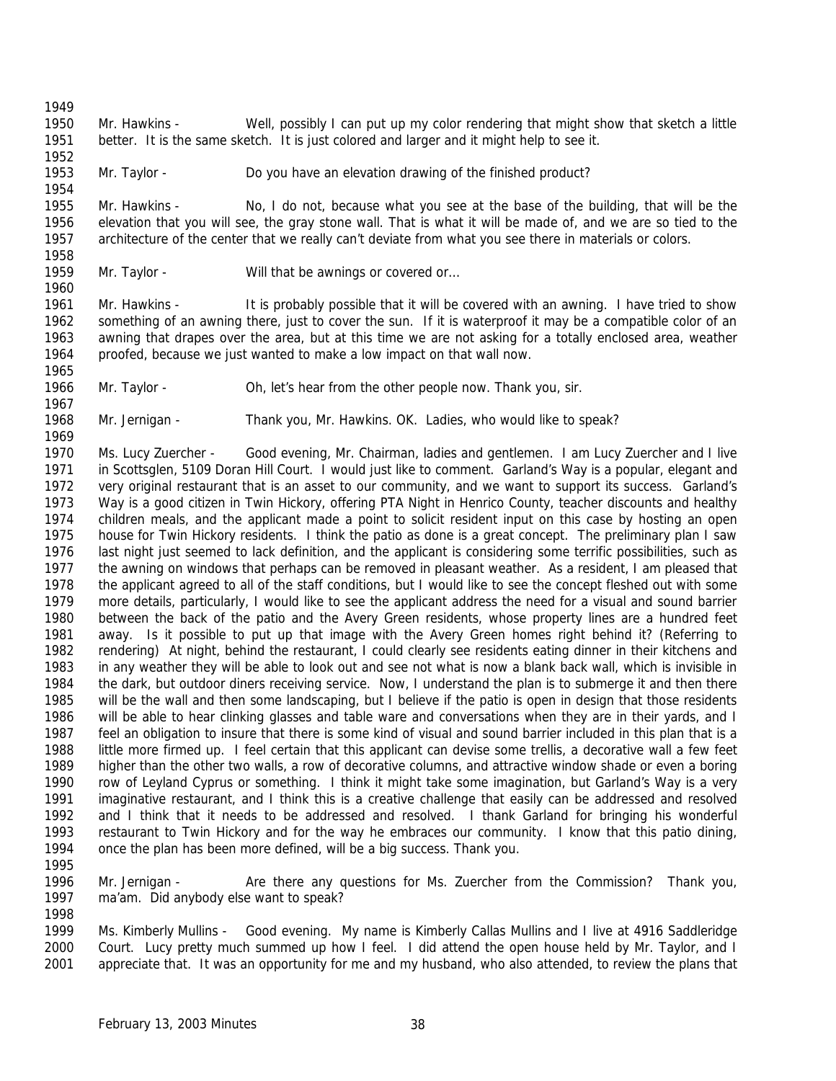Mr. Hawkins - Well, possibly I can put up my color rendering that might show that sketch a little better. It is the same sketch. It is just colored and larger and it might help to see it.

Mr. Taylor - Do you have an elevation drawing of the finished product?

 Mr. Hawkins - No, I do not, because what you see at the base of the building, that will be the elevation that you will see, the gray stone wall. That is what it will be made of, and we are so tied to the architecture of the center that we really can't deviate from what you see there in materials or colors.

 

1959 Mr. Taylor - Will that be awnings or covered or...

 Mr. Hawkins - It is probably possible that it will be covered with an awning. I have tried to show something of an awning there, just to cover the sun. If it is waterproof it may be a compatible color of an awning that drapes over the area, but at this time we are not asking for a totally enclosed area, weather proofed, because we just wanted to make a low impact on that wall now. 

Mr. Taylor - Oh, let's hear from the other people now. Thank you, sir.

Mr. Jernigan - Thank you, Mr. Hawkins. OK. Ladies, who would like to speak?

 Ms. Lucy Zuercher - Good evening, Mr. Chairman, ladies and gentlemen. I am Lucy Zuercher and I live in Scottsglen, 5109 Doran Hill Court. I would just like to comment. Garland's Way is a popular, elegant and very original restaurant that is an asset to our community, and we want to support its success. Garland's Way is a good citizen in Twin Hickory, offering PTA Night in Henrico County, teacher discounts and healthy children meals, and the applicant made a point to solicit resident input on this case by hosting an open house for Twin Hickory residents. I think the patio as done is a great concept. The preliminary plan I saw last night just seemed to lack definition, and the applicant is considering some terrific possibilities, such as the awning on windows that perhaps can be removed in pleasant weather. As a resident, I am pleased that the applicant agreed to all of the staff conditions, but I would like to see the concept fleshed out with some more details, particularly, I would like to see the applicant address the need for a visual and sound barrier between the back of the patio and the Avery Green residents, whose property lines are a hundred feet away. Is it possible to put up that image with the Avery Green homes right behind it? (Referring to rendering) At night, behind the restaurant, I could clearly see residents eating dinner in their kitchens and in any weather they will be able to look out and see not what is now a blank back wall, which is invisible in the dark, but outdoor diners receiving service. Now, I understand the plan is to submerge it and then there will be the wall and then some landscaping, but I believe if the patio is open in design that those residents will be able to hear clinking glasses and table ware and conversations when they are in their yards, and I feel an obligation to insure that there is some kind of visual and sound barrier included in this plan that is a little more firmed up. I feel certain that this applicant can devise some trellis, a decorative wall a few feet higher than the other two walls, a row of decorative columns, and attractive window shade or even a boring row of Leyland Cyprus or something. I think it might take some imagination, but Garland's Way is a very imaginative restaurant, and I think this is a creative challenge that easily can be addressed and resolved and I think that it needs to be addressed and resolved. I thank Garland for bringing his wonderful restaurant to Twin Hickory and for the way he embraces our community. I know that this patio dining, once the plan has been more defined, will be a big success. Thank you.

 Mr. Jernigan - Are there any questions for Ms. Zuercher from the Commission? Thank you, ma'am. Did anybody else want to speak? 

 Ms. Kimberly Mullins - Good evening. My name is Kimberly Callas Mullins and I live at 4916 Saddleridge Court. Lucy pretty much summed up how I feel. I did attend the open house held by Mr. Taylor, and I appreciate that. It was an opportunity for me and my husband, who also attended, to review the plans that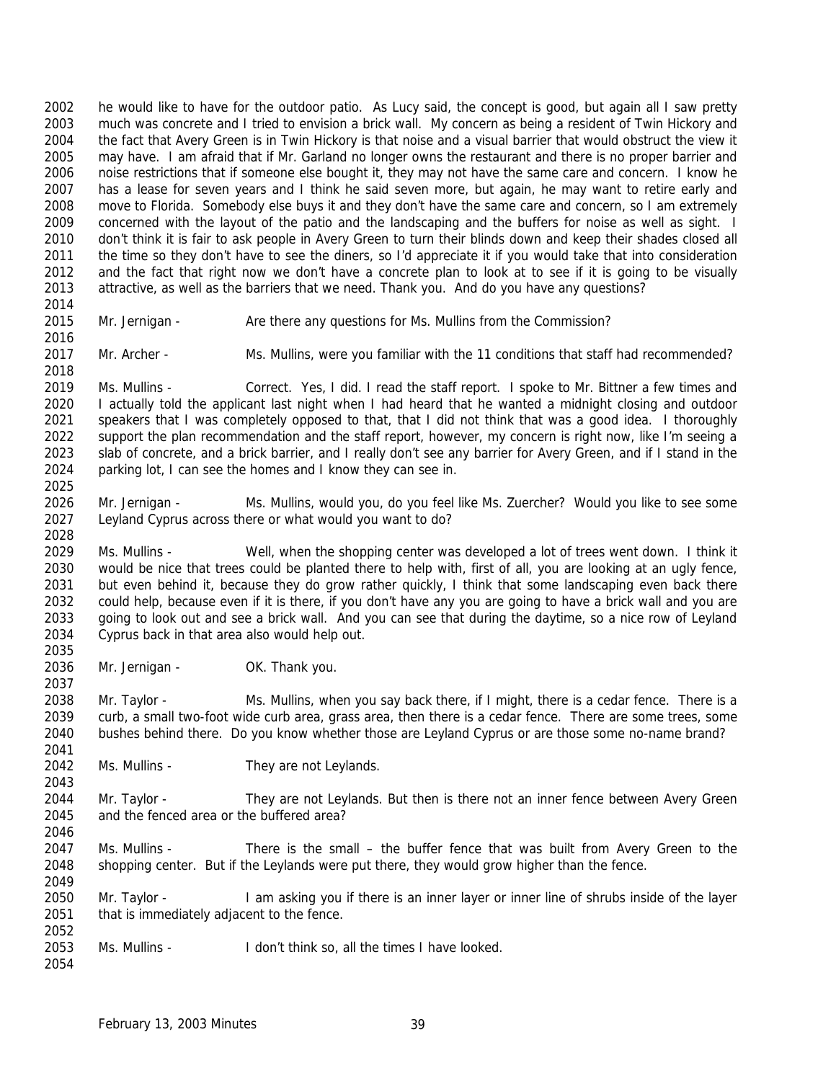he would like to have for the outdoor patio. As Lucy said, the concept is good, but again all I saw pretty much was concrete and I tried to envision a brick wall. My concern as being a resident of Twin Hickory and the fact that Avery Green is in Twin Hickory is that noise and a visual barrier that would obstruct the view it may have. I am afraid that if Mr. Garland no longer owns the restaurant and there is no proper barrier and noise restrictions that if someone else bought it, they may not have the same care and concern. I know he has a lease for seven years and I think he said seven more, but again, he may want to retire early and move to Florida. Somebody else buys it and they don't have the same care and concern, so I am extremely 2009 concerned with the layout of the patio and the landscaping and the buffers for noise as well as sight. I don't think it is fair to ask people in Avery Green to turn their blinds down and keep their shades closed all 2011 the time so they don't have to see the diners, so I'd appreciate it if you would take that into consideration and the fact that right now we don't have a concrete plan to look at to see if it is going to be visually attractive, as well as the barriers that we need. Thank you. And do you have any questions? 

- 
- Mr. Jernigan Are there any questions for Ms. Mullins from the Commission?
- 
- Mr. Archer Ms. Mullins, were you familiar with the 11 conditions that staff had recommended?

 Ms. Mullins - Correct. Yes, I did. I read the staff report. I spoke to Mr. Bittner a few times and I actually told the applicant last night when I had heard that he wanted a midnight closing and outdoor speakers that I was completely opposed to that, that I did not think that was a good idea. I thoroughly support the plan recommendation and the staff report, however, my concern is right now, like I'm seeing a 2023 slab of concrete, and a brick barrier, and I really don't see any barrier for Avery Green, and if I stand in the parking lot, I can see the homes and I know they can see in. 

 Mr. Jernigan - Ms. Mullins, would you, do you feel like Ms. Zuercher? Would you like to see some Leyland Cyprus across there or what would you want to do? 

 Ms. Mullins - Well, when the shopping center was developed a lot of trees went down. I think it would be nice that trees could be planted there to help with, first of all, you are looking at an ugly fence, 2031 but even behind it, because they do grow rather quickly, I think that some landscaping even back there could help, because even if it is there, if you don't have any you are going to have a brick wall and you are going to look out and see a brick wall. And you can see that during the daytime, so a nice row of Leyland Cyprus back in that area also would help out. 

2036 Mr. Jernigan - OK. Thank you. 

 Mr. Taylor - Ms. Mullins, when you say back there, if I might, there is a cedar fence. There is a curb, a small two-foot wide curb area, grass area, then there is a cedar fence. There are some trees, some bushes behind there. Do you know whether those are Leyland Cyprus or are those some no-name brand? 

2042 Ms. Mullins - They are not Leylands. 

 Mr. Taylor - They are not Leylands. But then is there not an inner fence between Avery Green and the fenced area or the buffered area? 

2047 Ms. Mullins - There is the small – the buffer fence that was built from Avery Green to the 2048 shopping center. But if the Leylands were put there, they would grow higher than the fence. 

 Mr. Taylor - I am asking you if there is an inner layer or inner line of shrubs inside of the layer 2051 that is immediately adjacent to the fence. 

 Ms. Mullins - I don't think so, all the times I have looked.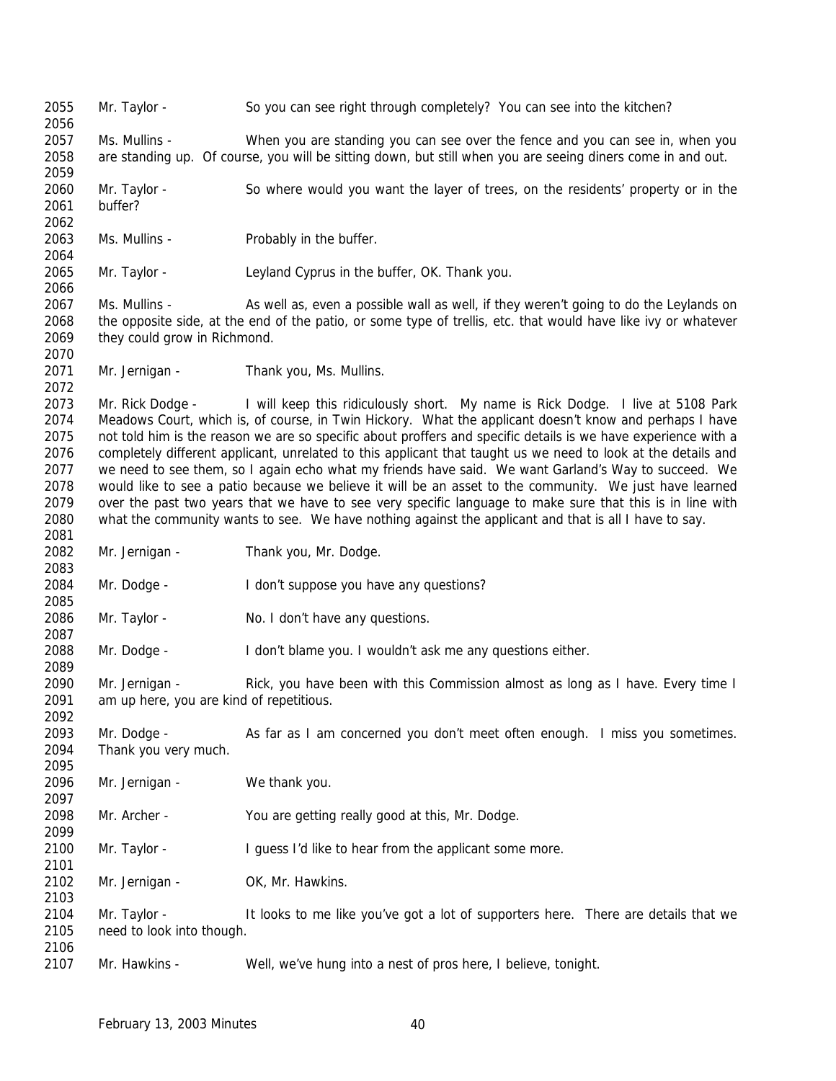Mr. Taylor - So you can see right through completely? You can see into the kitchen? Ms. Mullins - When you are standing you can see over the fence and you can see in, when you are standing up. Of course, you will be sitting down, but still when you are seeing diners come in and out. Mr. Taylor - So where would you want the layer of trees, on the residents' property or in the buffer? 2063 Ms. Mullins - Probably in the buffer. Mr. Taylor - Leyland Cyprus in the buffer, OK. Thank you. Ms. Mullins - As well as, even a possible wall as well, if they weren't going to do the Leylands on the opposite side, at the end of the patio, or some type of trellis, etc. that would have like ivy or whatever they could grow in Richmond. 2071 Mr. Jernigan - Thank you, Ms. Mullins. Mr. Rick Dodge - I will keep this ridiculously short. My name is Rick Dodge. I live at 5108 Park Meadows Court, which is, of course, in Twin Hickory. What the applicant doesn't know and perhaps I have not told him is the reason we are so specific about proffers and specific details is we have experience with a completely different applicant, unrelated to this applicant that taught us we need to look at the details and we need to see them, so I again echo what my friends have said. We want Garland's Way to succeed. We would like to see a patio because we believe it will be an asset to the community. We just have learned over the past two years that we have to see very specific language to make sure that this is in line with what the community wants to see. We have nothing against the applicant and that is all I have to say. Mr. Jernigan - Thank you, Mr. Dodge. Mr. Dodge - I don't suppose you have any questions? 2086 Mr. Taylor - No. I don't have any questions. Mr. Dodge - I don't blame you. I wouldn't ask me any questions either. Mr. Jernigan - Rick, you have been with this Commission almost as long as I have. Every time I am up here, you are kind of repetitious. Mr. Dodge - As far as I am concerned you don't meet often enough. I miss you sometimes. Thank you very much. Mr. Jernigan - We thank you. Mr. Archer - You are getting really good at this, Mr. Dodge. 2100 Mr. Taylor - I guess I'd like to hear from the applicant some more. 2102 Mr. Jernigan - OK, Mr. Hawkins. Mr. Taylor - It looks to me like you've got a lot of supporters here. There are details that we need to look into though. Mr. Hawkins - Well, we've hung into a nest of pros here, I believe, tonight.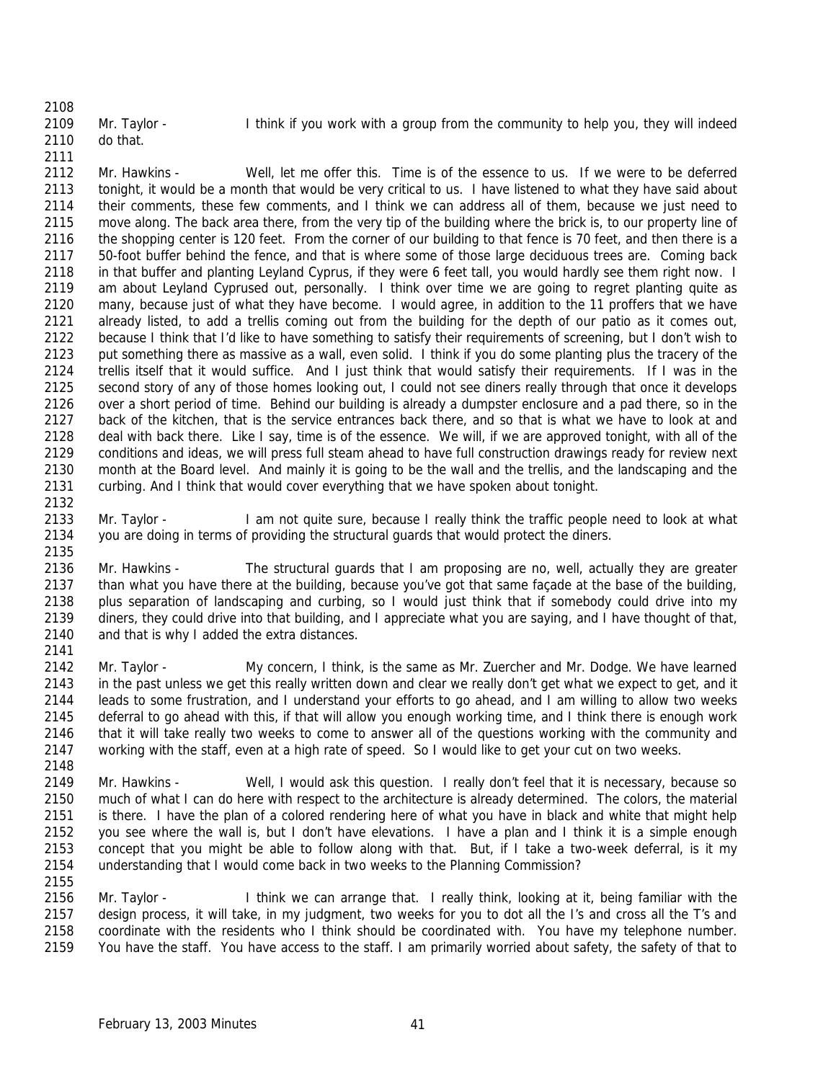Mr. Taylor - I think if you work with a group from the community to help you, they will indeed do that.

 Mr. Hawkins - Well, let me offer this. Time is of the essence to us. If we were to be deferred tonight, it would be a month that would be very critical to us. I have listened to what they have said about their comments, these few comments, and I think we can address all of them, because we just need to move along. The back area there, from the very tip of the building where the brick is, to our property line of 2116 the shopping center is 120 feet. From the corner of our building to that fence is 70 feet, and then there is a 50-foot buffer behind the fence, and that is where some of those large deciduous trees are. Coming back in that buffer and planting Leyland Cyprus, if they were 6 feet tall, you would hardly see them right now. I am about Leyland Cyprused out, personally. I think over time we are going to regret planting quite as many, because just of what they have become. I would agree, in addition to the 11 proffers that we have already listed, to add a trellis coming out from the building for the depth of our patio as it comes out, because I think that I'd like to have something to satisfy their requirements of screening, but I don't wish to put something there as massive as a wall, even solid. I think if you do some planting plus the tracery of the trellis itself that it would suffice. And I just think that would satisfy their requirements. If I was in the second story of any of those homes looking out, I could not see diners really through that once it develops over a short period of time. Behind our building is already a dumpster enclosure and a pad there, so in the back of the kitchen, that is the service entrances back there, and so that is what we have to look at and deal with back there. Like I say, time is of the essence. We will, if we are approved tonight, with all of the conditions and ideas, we will press full steam ahead to have full construction drawings ready for review next month at the Board level. And mainly it is going to be the wall and the trellis, and the landscaping and the curbing. And I think that would cover everything that we have spoken about tonight. 

2133 Mr. Taylor - I am not quite sure, because I really think the traffic people need to look at what you are doing in terms of providing the structural guards that would protect the diners.

 Mr. Hawkins - The structural guards that I am proposing are no, well, actually they are greater than what you have there at the building, because you've got that same façade at the base of the building, plus separation of landscaping and curbing, so I would just think that if somebody could drive into my diners, they could drive into that building, and I appreciate what you are saying, and I have thought of that, and that is why I added the extra distances. 

2142 Mr. Taylor - My concern, I think, is the same as Mr. Zuercher and Mr. Dodge. We have learned in the past unless we get this really written down and clear we really don't get what we expect to get, and it leads to some frustration, and I understand your efforts to go ahead, and I am willing to allow two weeks deferral to go ahead with this, if that will allow you enough working time, and I think there is enough work that it will take really two weeks to come to answer all of the questions working with the community and working with the staff, even at a high rate of speed. So I would like to get your cut on two weeks. 

 Mr. Hawkins - Well, I would ask this question. I really don't feel that it is necessary, because so much of what I can do here with respect to the architecture is already determined. The colors, the material is there. I have the plan of a colored rendering here of what you have in black and white that might help you see where the wall is, but I don't have elevations. I have a plan and I think it is a simple enough concept that you might be able to follow along with that. But, if I take a two-week deferral, is it my understanding that I would come back in two weeks to the Planning Commission?

2156 Mr. Taylor - I think we can arrange that. I really think, looking at it, being familiar with the design process, it will take, in my judgment, two weeks for you to dot all the I's and cross all the T's and coordinate with the residents who I think should be coordinated with. You have my telephone number. You have the staff. You have access to the staff. I am primarily worried about safety, the safety of that to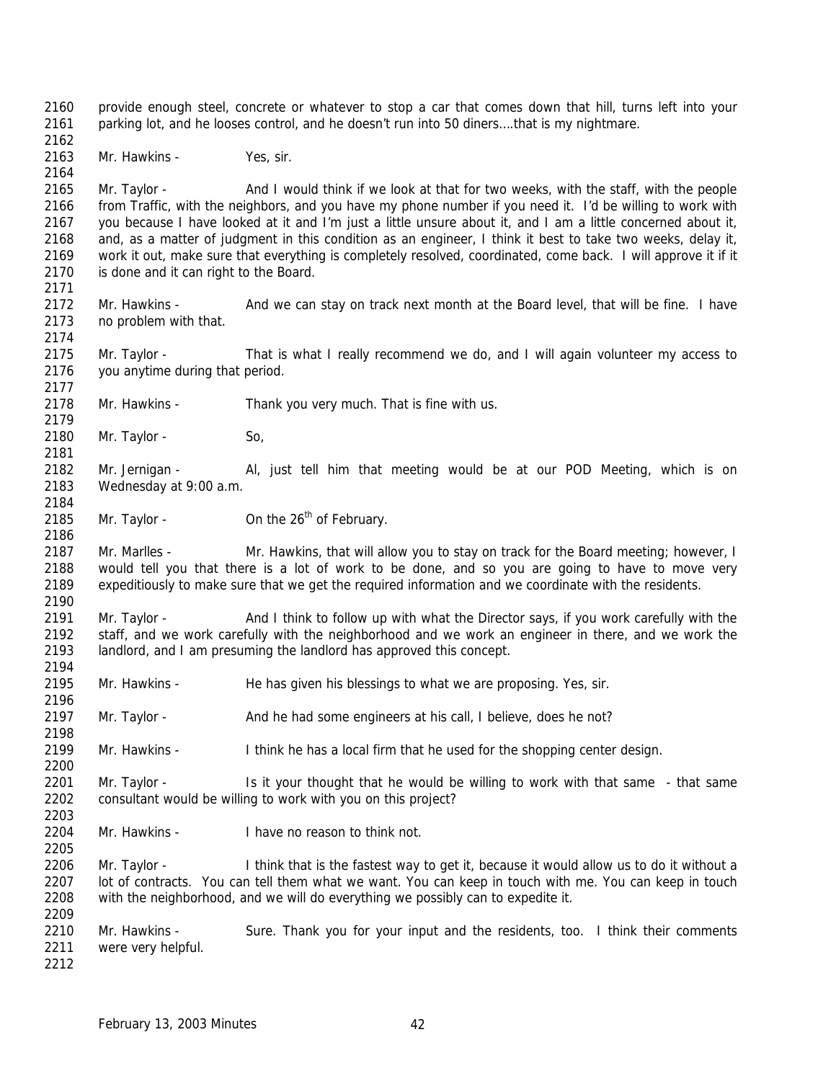provide enough steel, concrete or whatever to stop a car that comes down that hill, turns left into your parking lot, and he looses control, and he doesn't run into 50 diners….that is my nightmare.

Mr. Hawkins - Yes, sir.

 Mr. Taylor - And I would think if we look at that for two weeks, with the staff, with the people from Traffic, with the neighbors, and you have my phone number if you need it. I'd be willing to work with you because I have looked at it and I'm just a little unsure about it, and I am a little concerned about it, and, as a matter of judgment in this condition as an engineer, I think it best to take two weeks, delay it, work it out, make sure that everything is completely resolved, coordinated, come back. I will approve it if it 2170 is done and it can right to the Board.

 Mr. Hawkins - And we can stay on track next month at the Board level, that will be fine. I have no problem with that.

 Mr. Taylor - That is what I really recommend we do, and I will again volunteer my access to you anytime during that period.

- Mr. Hawkins Thank you very much. That is fine with us.
- 2180 Mr. Taylor So,
- Mr. Jernigan Al, just tell him that meeting would be at our POD Meeting, which is on Wednesday at 9:00 a.m.
- 2185 Mr. Taylor  $\mu$  On the 26<sup>th</sup> of February.

 Mr. Marlles - Mr. Hawkins, that will allow you to stay on track for the Board meeting; however, I would tell you that there is a lot of work to be done, and so you are going to have to move very expeditiously to make sure that we get the required information and we coordinate with the residents. 

 Mr. Taylor - And I think to follow up with what the Director says, if you work carefully with the staff, and we work carefully with the neighborhood and we work an engineer in there, and we work the landlord, and I am presuming the landlord has approved this concept.

- Mr. Hawkins He has given his blessings to what we are proposing. Yes, sir.
- Mr. Taylor And he had some engineers at his call, I believe, does he not?
- Mr. Hawkins I think he has a local firm that he used for the shopping center design.

2201 Mr. Taylor - Is it your thought that he would be willing to work with that same - that same consultant would be willing to work with you on this project?

Mr. Hawkins - I have no reason to think not.

 Mr. Taylor - I think that is the fastest way to get it, because it would allow us to do it without a lot of contracts. You can tell them what we want. You can keep in touch with me. You can keep in touch with the neighborhood, and we will do everything we possibly can to expedite it. 

2210 Mr. Hawkins - Sure. Thank you for your input and the residents, too. I think their comments were very helpful.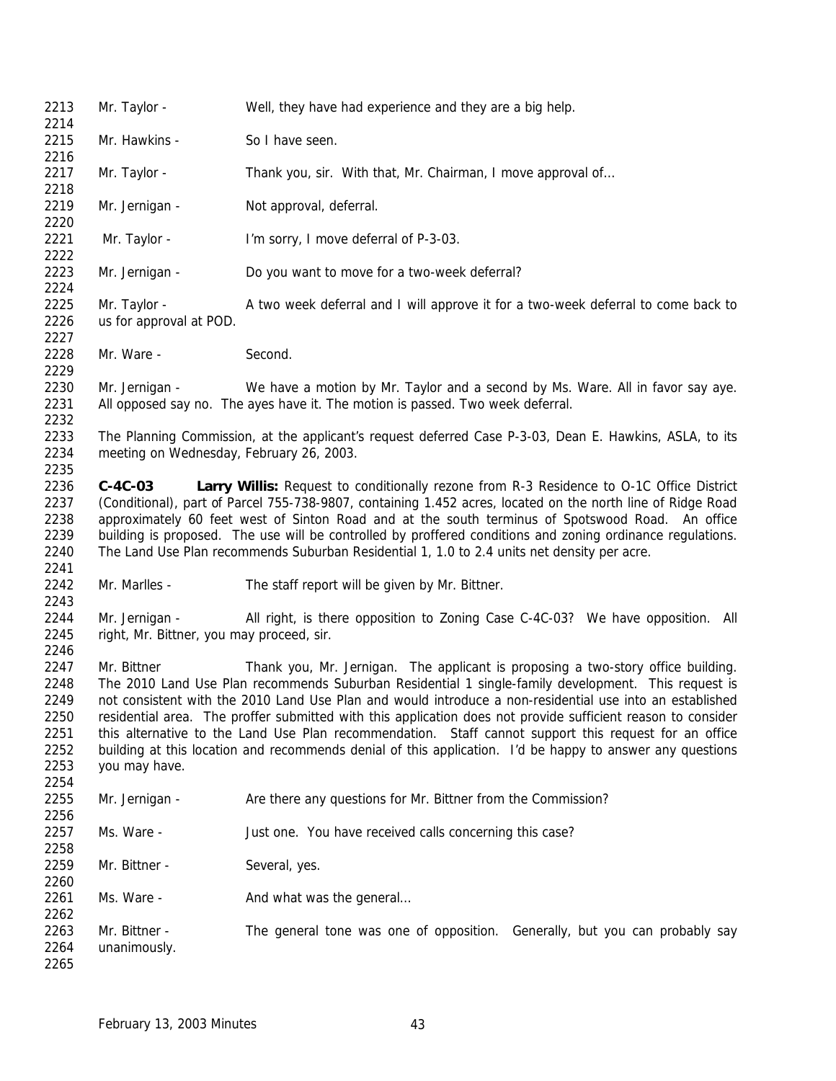| 2213<br>2214                                 | Mr. Taylor -                                                                                                                                                                                                                                                                                                                                                                                                                                                                                                                                                           | Well, they have had experience and they are a big help.                                                                                                                                                                                                                                                                                                                                                                                                                                                                  |
|----------------------------------------------|------------------------------------------------------------------------------------------------------------------------------------------------------------------------------------------------------------------------------------------------------------------------------------------------------------------------------------------------------------------------------------------------------------------------------------------------------------------------------------------------------------------------------------------------------------------------|--------------------------------------------------------------------------------------------------------------------------------------------------------------------------------------------------------------------------------------------------------------------------------------------------------------------------------------------------------------------------------------------------------------------------------------------------------------------------------------------------------------------------|
| 2215<br>2216                                 | Mr. Hawkins -                                                                                                                                                                                                                                                                                                                                                                                                                                                                                                                                                          | So I have seen.                                                                                                                                                                                                                                                                                                                                                                                                                                                                                                          |
| 2217<br>2218                                 | Mr. Taylor -                                                                                                                                                                                                                                                                                                                                                                                                                                                                                                                                                           | Thank you, sir. With that, Mr. Chairman, I move approval of                                                                                                                                                                                                                                                                                                                                                                                                                                                              |
| 2219<br>2220                                 | Mr. Jernigan -                                                                                                                                                                                                                                                                                                                                                                                                                                                                                                                                                         | Not approval, deferral.                                                                                                                                                                                                                                                                                                                                                                                                                                                                                                  |
| 2221<br>2222                                 | Mr. Taylor -                                                                                                                                                                                                                                                                                                                                                                                                                                                                                                                                                           | I'm sorry, I move deferral of P-3-03.                                                                                                                                                                                                                                                                                                                                                                                                                                                                                    |
| 2223<br>2224                                 | Mr. Jernigan -                                                                                                                                                                                                                                                                                                                                                                                                                                                                                                                                                         | Do you want to move for a two-week deferral?                                                                                                                                                                                                                                                                                                                                                                                                                                                                             |
| 2225<br>2226<br>2227                         | Mr. Taylor -<br>us for approval at POD.                                                                                                                                                                                                                                                                                                                                                                                                                                                                                                                                | A two week deferral and I will approve it for a two-week deferral to come back to                                                                                                                                                                                                                                                                                                                                                                                                                                        |
| 2228<br>2229                                 | Mr. Ware -                                                                                                                                                                                                                                                                                                                                                                                                                                                                                                                                                             | Second.                                                                                                                                                                                                                                                                                                                                                                                                                                                                                                                  |
| 2230<br>2231<br>2232                         | Mr. Jernigan -                                                                                                                                                                                                                                                                                                                                                                                                                                                                                                                                                         | We have a motion by Mr. Taylor and a second by Ms. Ware. All in favor say aye.<br>All opposed say no. The ayes have it. The motion is passed. Two week deferral.                                                                                                                                                                                                                                                                                                                                                         |
| 2233<br>2234<br>2235                         | meeting on Wednesday, February 26, 2003.                                                                                                                                                                                                                                                                                                                                                                                                                                                                                                                               | The Planning Commission, at the applicant's request deferred Case P-3-03, Dean E. Hawkins, ASLA, to its                                                                                                                                                                                                                                                                                                                                                                                                                  |
| 2236<br>2237<br>2238<br>2239<br>2240<br>2241 | $C-4C-03$                                                                                                                                                                                                                                                                                                                                                                                                                                                                                                                                                              | Larry Willis: Request to conditionally rezone from R-3 Residence to O-1C Office District<br>(Conditional), part of Parcel 755-738-9807, containing 1.452 acres, located on the north line of Ridge Road<br>approximately 60 feet west of Sinton Road and at the south terminus of Spotswood Road. An office<br>building is proposed. The use will be controlled by proffered conditions and zoning ordinance regulations.<br>The Land Use Plan recommends Suburban Residential 1, 1.0 to 2.4 units net density per acre. |
| 2242<br>2243                                 | Mr. Marlles -                                                                                                                                                                                                                                                                                                                                                                                                                                                                                                                                                          | The staff report will be given by Mr. Bittner.                                                                                                                                                                                                                                                                                                                                                                                                                                                                           |
| 2244<br>2245<br>2246                         | Mr. Jernigan -<br>right, Mr. Bittner, you may proceed, sir.                                                                                                                                                                                                                                                                                                                                                                                                                                                                                                            | All right, is there opposition to Zoning Case C-4C-03? We have opposition. All                                                                                                                                                                                                                                                                                                                                                                                                                                           |
| 2247                                         | Mr. Bittner                                                                                                                                                                                                                                                                                                                                                                                                                                                                                                                                                            | Thank you, Mr. Jernigan. The applicant is proposing a two-story office building.                                                                                                                                                                                                                                                                                                                                                                                                                                         |
| 2248<br>2249<br>2250<br>2251<br>2252<br>2253 | The 2010 Land Use Plan recommends Suburban Residential 1 single-family development. This request is<br>not consistent with the 2010 Land Use Plan and would introduce a non-residential use into an established<br>residential area. The proffer submitted with this application does not provide sufficient reason to consider<br>this alternative to the Land Use Plan recommendation. Staff cannot support this request for an office<br>building at this location and recommends denial of this application. I'd be happy to answer any questions<br>you may have. |                                                                                                                                                                                                                                                                                                                                                                                                                                                                                                                          |
| 2254<br>2255                                 | Mr. Jernigan -                                                                                                                                                                                                                                                                                                                                                                                                                                                                                                                                                         | Are there any questions for Mr. Bittner from the Commission?                                                                                                                                                                                                                                                                                                                                                                                                                                                             |
| 2256<br>2257<br>2258                         | Ms. Ware -                                                                                                                                                                                                                                                                                                                                                                                                                                                                                                                                                             | Just one. You have received calls concerning this case?                                                                                                                                                                                                                                                                                                                                                                                                                                                                  |
| 2259<br>2260                                 | Mr. Bittner -                                                                                                                                                                                                                                                                                                                                                                                                                                                                                                                                                          | Several, yes.                                                                                                                                                                                                                                                                                                                                                                                                                                                                                                            |
| 2261<br>2262                                 | Ms. Ware -                                                                                                                                                                                                                                                                                                                                                                                                                                                                                                                                                             | And what was the general                                                                                                                                                                                                                                                                                                                                                                                                                                                                                                 |
| 2263<br>2264<br>2265                         | Mr. Bittner -<br>unanimously.                                                                                                                                                                                                                                                                                                                                                                                                                                                                                                                                          | The general tone was one of opposition. Generally, but you can probably say                                                                                                                                                                                                                                                                                                                                                                                                                                              |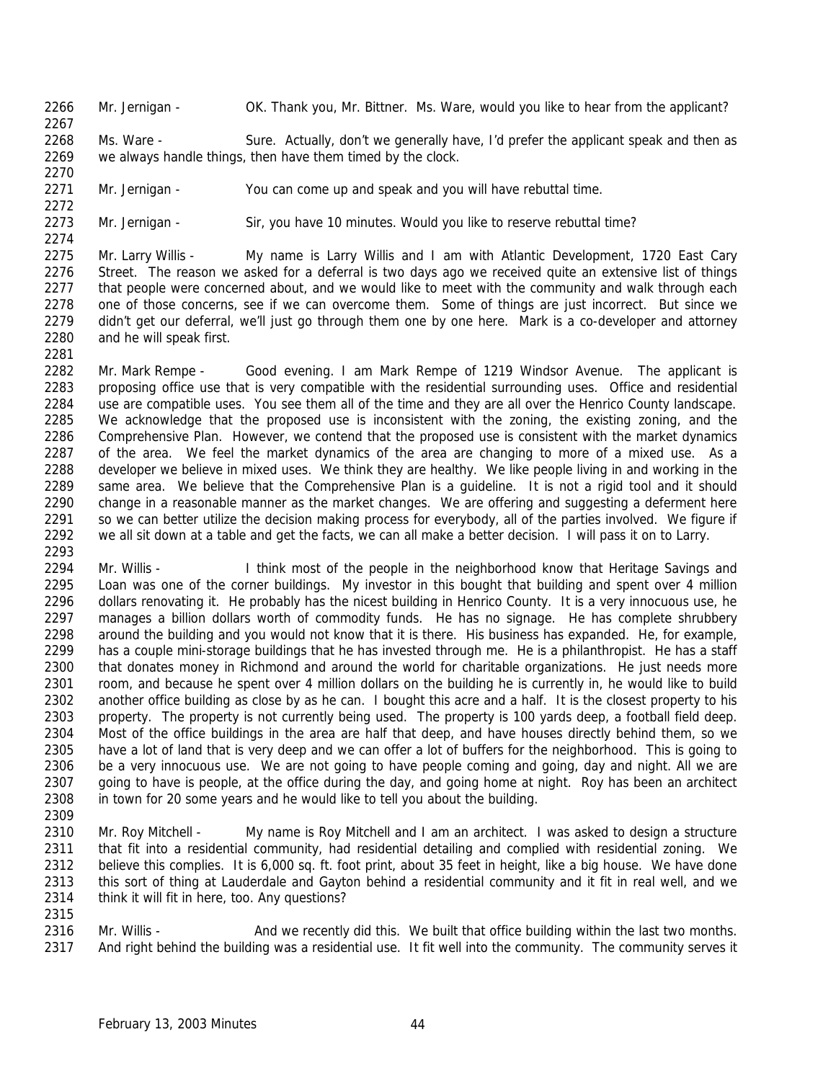Mr. Jernigan - OK. Thank you, Mr. Bittner. Ms. Ware, would you like to hear from the applicant?

2268 Ms. Ware - Sure. Actually, don't we generally have, I'd prefer the applicant speak and then as we always handle things, then have them timed by the clock.

 

Mr. Jernigan - You can come up and speak and you will have rebuttal time.

Mr. Jernigan - Sir, you have 10 minutes. Would you like to reserve rebuttal time?

 Mr. Larry Willis - My name is Larry Willis and I am with Atlantic Development, 1720 East Cary Street. The reason we asked for a deferral is two days ago we received quite an extensive list of things 2277 that people were concerned about, and we would like to meet with the community and walk through each one of those concerns, see if we can overcome them. Some of things are just incorrect. But since we didn't get our deferral, we'll just go through them one by one here. Mark is a co-developer and attorney and he will speak first. 

 Mr. Mark Rempe - Good evening. I am Mark Rempe of 1219 Windsor Avenue. The applicant is proposing office use that is very compatible with the residential surrounding uses. Office and residential use are compatible uses. You see them all of the time and they are all over the Henrico County landscape. We acknowledge that the proposed use is inconsistent with the zoning, the existing zoning, and the Comprehensive Plan. However, we contend that the proposed use is consistent with the market dynamics of the area. We feel the market dynamics of the area are changing to more of a mixed use. As a developer we believe in mixed uses. We think they are healthy. We like people living in and working in the same area. We believe that the Comprehensive Plan is a guideline. It is not a rigid tool and it should change in a reasonable manner as the market changes. We are offering and suggesting a deferment here 2291 so we can better utilize the decision making process for everybody, all of the parties involved. We figure if we all sit down at a table and get the facts, we can all make a better decision. I will pass it on to Larry. 

2294 Mr. Willis - I think most of the people in the neighborhood know that Heritage Savings and 2295 Loan was one of the corner buildings. My investor in this bought that building and spent over 4 million<br>2296 dollars renovating it. He probably has the nicest building in Henrico County. It is a very innocuous use, he dollars renovating it. He probably has the nicest building in Henrico County. It is a very innocuous use, he manages a billion dollars worth of commodity funds. He has no signage. He has complete shrubbery around the building and you would not know that it is there. His business has expanded. He, for example, has a couple mini-storage buildings that he has invested through me. He is a philanthropist. He has a staff that donates money in Richmond and around the world for charitable organizations. He just needs more room, and because he spent over 4 million dollars on the building he is currently in, he would like to build another office building as close by as he can. I bought this acre and a half. It is the closest property to his property. The property is not currently being used. The property is 100 yards deep, a football field deep. Most of the office buildings in the area are half that deep, and have houses directly behind them, so we have a lot of land that is very deep and we can offer a lot of buffers for the neighborhood. This is going to 2306 be a very innocuous use. We are not going to have people coming and going, day and night. All we are 2307 going to have is people, at the office during the day, and going home at night. Roy has been an architect in town for 20 some years and he would like to tell you about the building.

 Mr. Roy Mitchell - My name is Roy Mitchell and I am an architect. I was asked to design a structure 2311 that fit into a residential community, had residential detailing and complied with residential zoning. We believe this complies. It is 6,000 sq. ft. foot print, about 35 feet in height, like a big house. We have done this sort of thing at Lauderdale and Gayton behind a residential community and it fit in real well, and we think it will fit in here, too. Any questions?

2316 Mr. Willis - And we recently did this. We built that office building within the last two months. And right behind the building was a residential use. It fit well into the community. The community serves it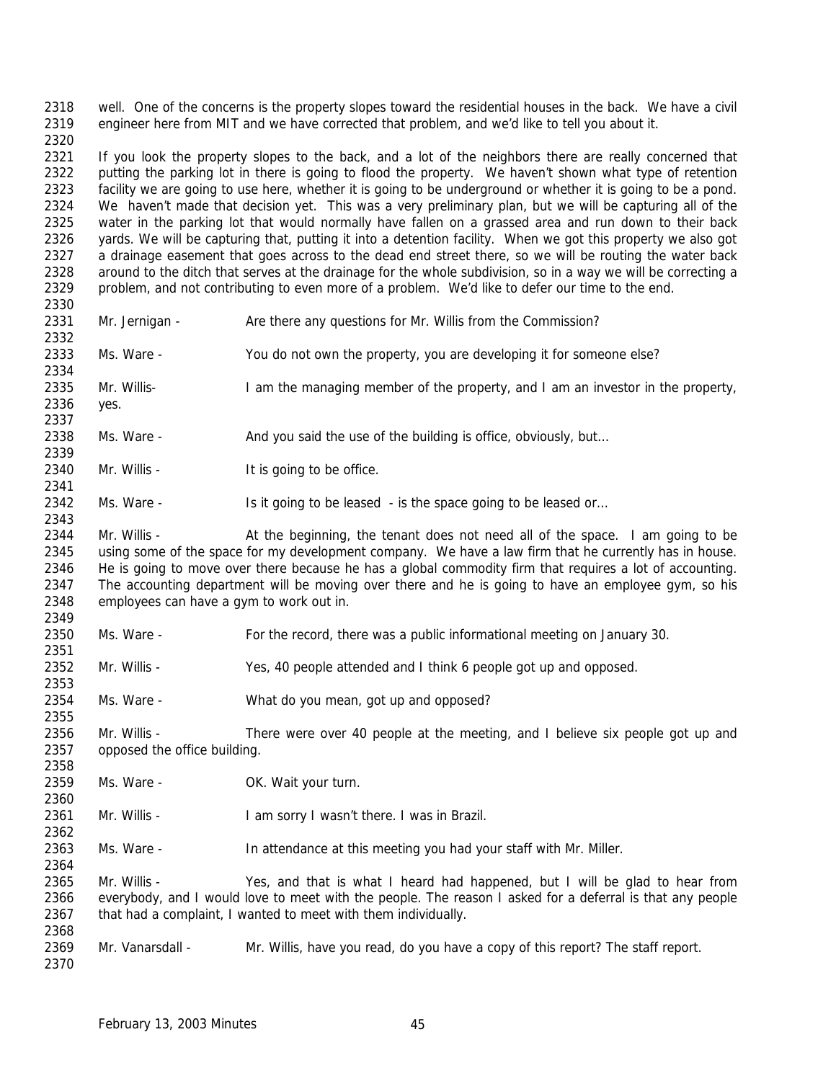well. One of the concerns is the property slopes toward the residential houses in the back. We have a civil engineer here from MIT and we have corrected that problem, and we'd like to tell you about it.

 2321 If you look the property slopes to the back, and a lot of the neighbors there are really concerned that putting the parking lot in there is going to flood the property. We haven't shown what type of retention facility we are going to use here, whether it is going to be underground or whether it is going to be a pond. We haven't made that decision yet. This was a very preliminary plan, but we will be capturing all of the water in the parking lot that would normally have fallen on a grassed area and run down to their back 2326 yards. We will be capturing that, putting it into a detention facility. When we got this property we also got a drainage easement that goes across to the dead end street there, so we will be routing the water back around to the ditch that serves at the drainage for the whole subdivision, so in a way we will be correcting a problem, and not contributing to even more of a problem. We'd like to defer our time to the end.

 

- 2331 Mr. Jernigan Are there any questions for Mr. Willis from the Commission?
- Ms. Ware You do not own the property, you are developing it for someone else?
- Mr. Willis- I am the managing member of the property, and I am an investor in the property, yes.
- Ms. Ware And you said the use of the building is office, obviously, but…
- 2340 Mr. Willis It is going to be office.
- 2342 Ms. Ware Is it going to be leased is the space going to be leased or...

2344 Mr. Willis - At the beginning, the tenant does not need all of the space. I am going to be using some of the space for my development company. We have a law firm that he currently has in house. He is going to move over there because he has a global commodity firm that requires a lot of accounting. The accounting department will be moving over there and he is going to have an employee gym, so his employees can have a gym to work out in. 

- Ms. Ware For the record, there was a public informational meeting on January 30.
- Mr. Willis Yes, 40 people attended and I think 6 people got up and opposed.
- 2353<br>2354 Ms. Ware - What do you mean, got up and opposed?
- 2356 Mr. Willis There were over 40 people at the meeting, and I believe six people got up and opposed the office building.
- Ms. Ware OK. Wait your turn.
- Mr. Willis I am sorry I wasn't there. I was in Brazil.
- Ms. Ware In attendance at this meeting you had your staff with Mr. Miller.

 Mr. Willis - Yes, and that is what I heard had happened, but I will be glad to hear from everybody, and I would love to meet with the people. The reason I asked for a deferral is that any people that had a complaint, I wanted to meet with them individually. 

 Mr. Vanarsdall - Mr. Willis, have you read, do you have a copy of this report? The staff report.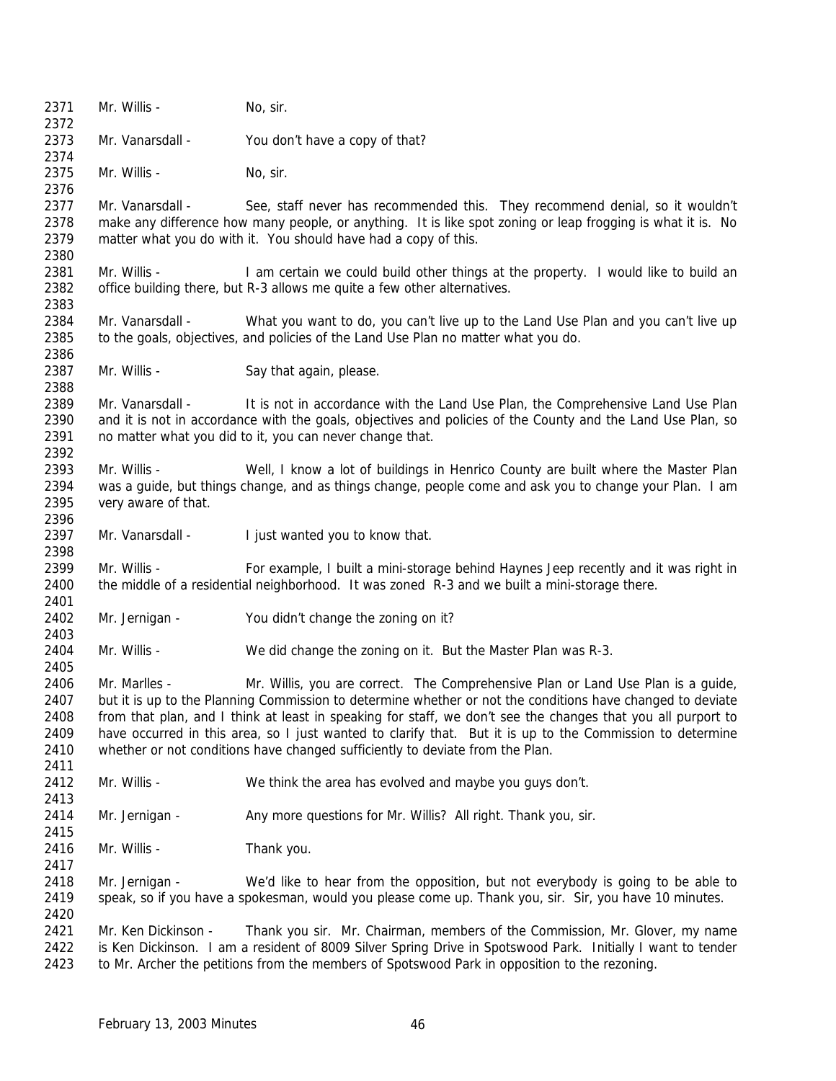2371 Mr. Willis - No, sir. Mr. Vanarsdall - You don't have a copy of that? 2375 Mr. Willis - No. sir. Mr. Vanarsdall - See, staff never has recommended this. They recommend denial, so it wouldn't make any difference how many people, or anything. It is like spot zoning or leap frogging is what it is. No matter what you do with it. You should have had a copy of this. 2381 Mr. Willis - I am certain we could build other things at the property. I would like to build an office building there, but R-3 allows me quite a few other alternatives. Mr. Vanarsdall - What you want to do, you can't live up to the Land Use Plan and you can't live up to the goals, objectives, and policies of the Land Use Plan no matter what you do. 2387 Mr. Willis - Say that again, please. 2389 Mr. Vanarsdall - It is not in accordance with the Land Use Plan, the Comprehensive Land Use Plan 2390 and it is not in accordance with the goals, objectives and policies of the County and the Land Use Plan, so 2391 no matter what you did to it, you can never change that. 2393 Mr. Willis - Well, I know a lot of buildings in Henrico County are built where the Master Plan was a guide, but things change, and as things change, people come and ask you to change your Plan. I am very aware of that. 2397 Mr. Vanarsdall - I just wanted you to know that. Mr. Willis - For example, I built a mini-storage behind Haynes Jeep recently and it was right in the middle of a residential neighborhood. It was zoned R-3 and we built a mini-storage there. Mr. Jernigan - You didn't change the zoning on it? Mr. Willis - We did change the zoning on it. But the Master Plan was R-3. Mr. Marlles - Mr. Willis, you are correct. The Comprehensive Plan or Land Use Plan is a guide, but it is up to the Planning Commission to determine whether or not the conditions have changed to deviate from that plan, and I think at least in speaking for staff, we don't see the changes that you all purport to have occurred in this area, so I just wanted to clarify that. But it is up to the Commission to determine whether or not conditions have changed sufficiently to deviate from the Plan. Mr. Willis - We think the area has evolved and maybe you guys don't. 2414 Mr. Jernigan - Any more questions for Mr. Willis? All right. Thank you, sir. Mr. Willis - Thank you. Mr. Jernigan - We'd like to hear from the opposition, but not everybody is going to be able to speak, so if you have a spokesman, would you please come up. Thank you, sir. Sir, you have 10 minutes. 2421 Mr. Ken Dickinson - Thank you sir. Mr. Chairman, members of the Commission, Mr. Glover, my name is Ken Dickinson. I am a resident of 8009 Silver Spring Drive in Spotswood Park. Initially I want to tender to Mr. Archer the petitions from the members of Spotswood Park in opposition to the rezoning.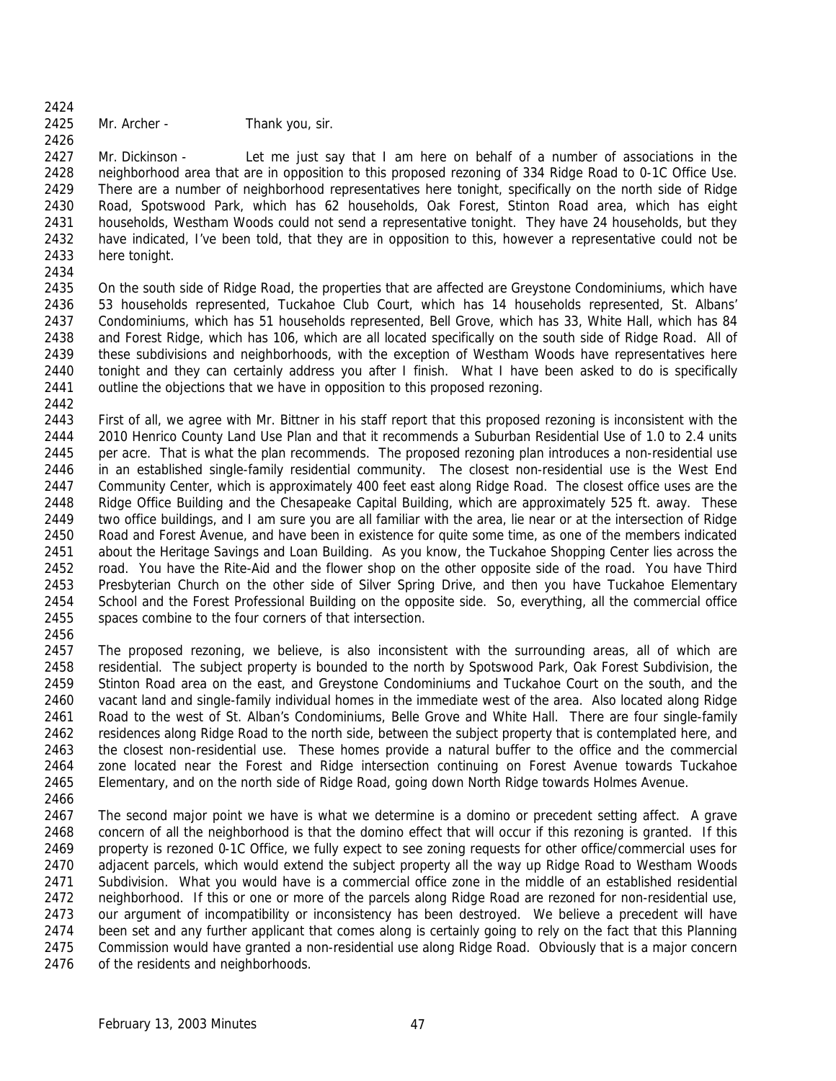Mr. Archer - Thank you, sir.

 Mr. Dickinson - Let me just say that I am here on behalf of a number of associations in the neighborhood area that are in opposition to this proposed rezoning of 334 Ridge Road to 0-1C Office Use. There are a number of neighborhood representatives here tonight, specifically on the north side of Ridge Road, Spotswood Park, which has 62 households, Oak Forest, Stinton Road area, which has eight households, Westham Woods could not send a representative tonight. They have 24 households, but they have indicated, I've been told, that they are in opposition to this, however a representative could not be here tonight.

 On the south side of Ridge Road, the properties that are affected are Greystone Condominiums, which have 53 households represented, Tuckahoe Club Court, which has 14 households represented, St. Albans' Condominiums, which has 51 households represented, Bell Grove, which has 33, White Hall, which has 84 and Forest Ridge, which has 106, which are all located specifically on the south side of Ridge Road. All of these subdivisions and neighborhoods, with the exception of Westham Woods have representatives here tonight and they can certainly address you after I finish. What I have been asked to do is specifically outline the objections that we have in opposition to this proposed rezoning. 

 First of all, we agree with Mr. Bittner in his staff report that this proposed rezoning is inconsistent with the 2010 Henrico County Land Use Plan and that it recommends a Suburban Residential Use of 1.0 to 2.4 units per acre. That is what the plan recommends. The proposed rezoning plan introduces a non-residential use in an established single-family residential community. The closest non-residential use is the West End Community Center, which is approximately 400 feet east along Ridge Road. The closest office uses are the Ridge Office Building and the Chesapeake Capital Building, which are approximately 525 ft. away. These two office buildings, and I am sure you are all familiar with the area, lie near or at the intersection of Ridge Road and Forest Avenue, and have been in existence for quite some time, as one of the members indicated about the Heritage Savings and Loan Building. As you know, the Tuckahoe Shopping Center lies across the road. You have the Rite-Aid and the flower shop on the other opposite side of the road. You have Third Presbyterian Church on the other side of Silver Spring Drive, and then you have Tuckahoe Elementary School and the Forest Professional Building on the opposite side. So, everything, all the commercial office spaces combine to the four corners of that intersection.

2457 The proposed rezoning, we believe, is also inconsistent with the surrounding areas, all of which are residential. The subject property is bounded to the north by Spotswood Park, Oak Forest Subdivision, the Stinton Road area on the east, and Greystone Condominiums and Tuckahoe Court on the south, and the vacant land and single-family individual homes in the immediate west of the area. Also located along Ridge Road to the west of St. Alban's Condominiums, Belle Grove and White Hall. There are four single-family residences along Ridge Road to the north side, between the subject property that is contemplated here, and the closest non-residential use. These homes provide a natural buffer to the office and the commercial zone located near the Forest and Ridge intersection continuing on Forest Avenue towards Tuckahoe Elementary, and on the north side of Ridge Road, going down North Ridge towards Holmes Avenue.

 The second major point we have is what we determine is a domino or precedent setting affect. A grave concern of all the neighborhood is that the domino effect that will occur if this rezoning is granted. If this property is rezoned 0-1C Office, we fully expect to see zoning requests for other office/commercial uses for adjacent parcels, which would extend the subject property all the way up Ridge Road to Westham Woods Subdivision. What you would have is a commercial office zone in the middle of an established residential neighborhood. If this or one or more of the parcels along Ridge Road are rezoned for non-residential use, our argument of incompatibility or inconsistency has been destroyed. We believe a precedent will have 2474 been set and any further applicant that comes along is certainly going to rely on the fact that this Planning Commission would have granted a non-residential use along Ridge Road. Obviously that is a major concern of the residents and neighborhoods.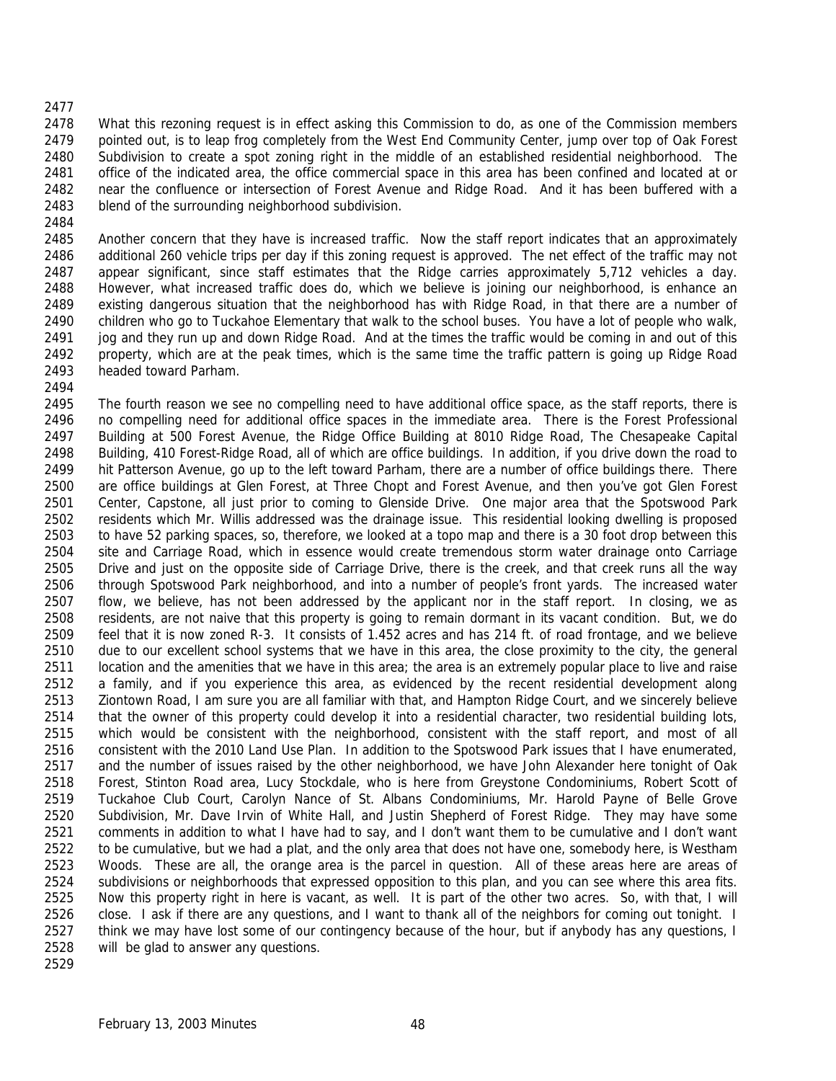- What this rezoning request is in effect asking this Commission to do, as one of the Commission members pointed out, is to leap frog completely from the West End Community Center, jump over top of Oak Forest Subdivision to create a spot zoning right in the middle of an established residential neighborhood. The office of the indicated area, the office commercial space in this area has been confined and located at or near the confluence or intersection of Forest Avenue and Ridge Road. And it has been buffered with a blend of the surrounding neighborhood subdivision.
- 

 Another concern that they have is increased traffic. Now the staff report indicates that an approximately additional 260 vehicle trips per day if this zoning request is approved. The net effect of the traffic may not appear significant, since staff estimates that the Ridge carries approximately 5,712 vehicles a day. However, what increased traffic does do, which we believe is joining our neighborhood, is enhance an existing dangerous situation that the neighborhood has with Ridge Road, in that there are a number of children who go to Tuckahoe Elementary that walk to the school buses. You have a lot of people who walk, jog and they run up and down Ridge Road. And at the times the traffic would be coming in and out of this property, which are at the peak times, which is the same time the traffic pattern is going up Ridge Road headed toward Parham.

 The fourth reason we see no compelling need to have additional office space, as the staff reports, there is no compelling need for additional office spaces in the immediate area. There is the Forest Professional Building at 500 Forest Avenue, the Ridge Office Building at 8010 Ridge Road, The Chesapeake Capital Building, 410 Forest-Ridge Road, all of which are office buildings. In addition, if you drive down the road to hit Patterson Avenue, go up to the left toward Parham, there are a number of office buildings there. There are office buildings at Glen Forest, at Three Chopt and Forest Avenue, and then you've got Glen Forest Center, Capstone, all just prior to coming to Glenside Drive. One major area that the Spotswood Park residents which Mr. Willis addressed was the drainage issue. This residential looking dwelling is proposed to have 52 parking spaces, so, therefore, we looked at a topo map and there is a 30 foot drop between this site and Carriage Road, which in essence would create tremendous storm water drainage onto Carriage Drive and just on the opposite side of Carriage Drive, there is the creek, and that creek runs all the way through Spotswood Park neighborhood, and into a number of people's front yards. The increased water flow, we believe, has not been addressed by the applicant nor in the staff report. In closing, we as residents, are not naive that this property is going to remain dormant in its vacant condition. But, we do feel that it is now zoned R-3. It consists of 1.452 acres and has 214 ft. of road frontage, and we believe due to our excellent school systems that we have in this area, the close proximity to the city, the general location and the amenities that we have in this area; the area is an extremely popular place to live and raise a family, and if you experience this area, as evidenced by the recent residential development along Ziontown Road, I am sure you are all familiar with that, and Hampton Ridge Court, and we sincerely believe that the owner of this property could develop it into a residential character, two residential building lots, which would be consistent with the neighborhood, consistent with the staff report, and most of all consistent with the 2010 Land Use Plan. In addition to the Spotswood Park issues that I have enumerated, 2517 and the number of issues raised by the other neighborhood, we have John Alexander here tonight of Oak Forest, Stinton Road area, Lucy Stockdale, who is here from Greystone Condominiums, Robert Scott of Tuckahoe Club Court, Carolyn Nance of St. Albans Condominiums, Mr. Harold Payne of Belle Grove Subdivision, Mr. Dave Irvin of White Hall, and Justin Shepherd of Forest Ridge. They may have some comments in addition to what I have had to say, and I don't want them to be cumulative and I don't want 2522 to be cumulative, but we had a plat, and the only area that does not have one, somebody here, is Westham Woods. These are all, the orange area is the parcel in question. All of these areas here are areas of subdivisions or neighborhoods that expressed opposition to this plan, and you can see where this area fits. Now this property right in here is vacant, as well. It is part of the other two acres. So, with that, I will close. I ask if there are any questions, and I want to thank all of the neighbors for coming out tonight. I 2527 think we may have lost some of our contingency because of the hour, but if anybody has any questions, I will be glad to answer any questions.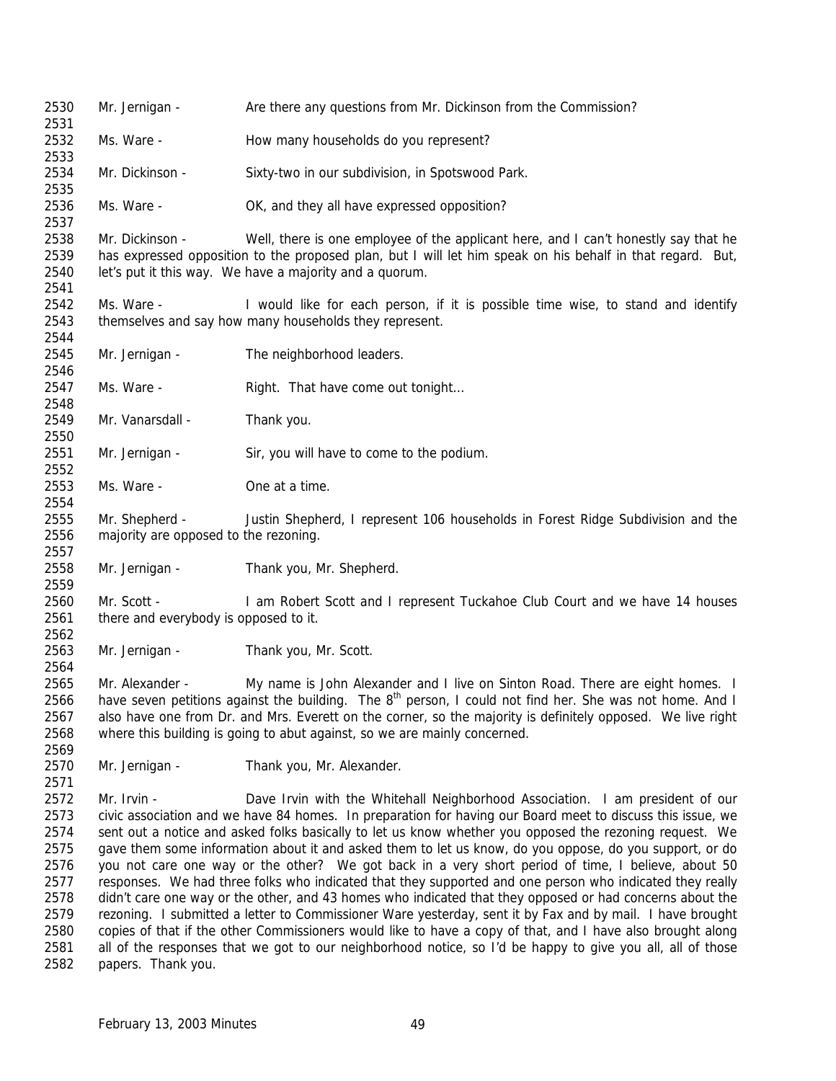Mr. Jernigan - Are there any questions from Mr. Dickinson from the Commission? Ms. Ware - How many households do you represent? Mr. Dickinson - Sixty-two in our subdivision, in Spotswood Park. Ms. Ware - OK, and they all have expressed opposition? Mr. Dickinson - Well, there is one employee of the applicant here, and I can't honestly say that he has expressed opposition to the proposed plan, but I will let him speak on his behalf in that regard. But, 2540 let's put it this way. We have a majority and a quorum. Ms. Ware - I would like for each person, if it is possible time wise, to stand and identify themselves and say how many households they represent. Mr. Jernigan - The neighborhood leaders. 2547 Ms. Ware - Right. That have come out tonight... 2549 Mr. Vanarsdall - Thank you. Mr. Jernigan - Sir, you will have to come to the podium. Ms. Ware - One at a time. Mr. Shepherd - Justin Shepherd, I represent 106 households in Forest Ridge Subdivision and the majority are opposed to the rezoning. Mr. Jernigan - Thank you, Mr. Shepherd. 2560 Mr. Scott - I am Robert Scott and I represent Tuckahoe Club Court and we have 14 houses 2561 there and everybody is opposed to it. Mr. Jernigan - Thank you, Mr. Scott. Mr. Alexander - My name is John Alexander and I live on Sinton Road. There are eight homes. I 2566 have seven petitions against the building. The  $8<sup>th</sup>$  person, I could not find her. She was not home. And I also have one from Dr. and Mrs. Everett on the corner, so the majority is definitely opposed. We live right where this building is going to abut against, so we are mainly concerned. Mr. Jernigan - Thank you, Mr. Alexander. Mr. Irvin - Dave Irvin with the Whitehall Neighborhood Association. I am president of our civic association and we have 84 homes. In preparation for having our Board meet to discuss this issue, we sent out a notice and asked folks basically to let us know whether you opposed the rezoning request. We gave them some information about it and asked them to let us know, do you oppose, do you support, or do you not care one way or the other? We got back in a very short period of time, I believe, about 50 responses. We had three folks who indicated that they supported and one person who indicated they really didn't care one way or the other, and 43 homes who indicated that they opposed or had concerns about the rezoning. I submitted a letter to Commissioner Ware yesterday, sent it by Fax and by mail. I have brought copies of that if the other Commissioners would like to have a copy of that, and I have also brought along all of the responses that we got to our neighborhood notice, so I'd be happy to give you all, all of those papers. Thank you.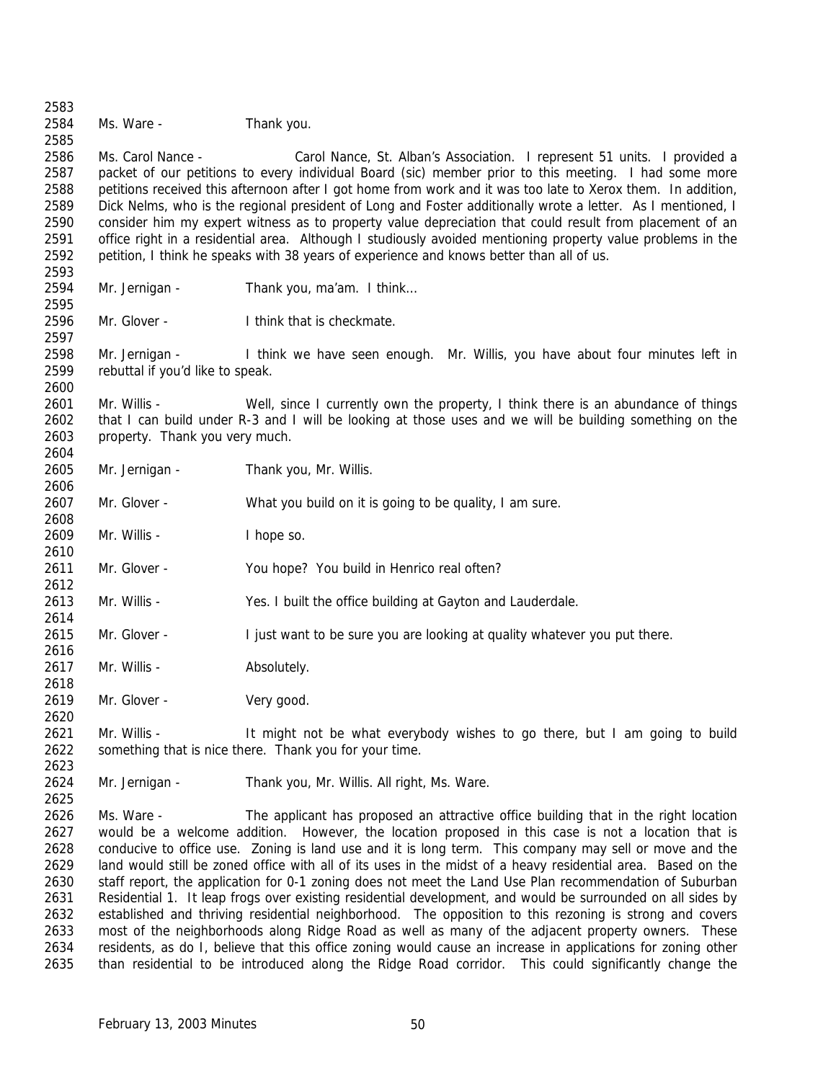Ms. Ware - Thank you.

 Ms. Carol Nance - Carol Nance, St. Alban's Association. I represent 51 units. I provided a packet of our petitions to every individual Board (sic) member prior to this meeting. I had some more petitions received this afternoon after I got home from work and it was too late to Xerox them. In addition, Dick Nelms, who is the regional president of Long and Foster additionally wrote a letter. As I mentioned, I consider him my expert witness as to property value depreciation that could result from placement of an office right in a residential area. Although I studiously avoided mentioning property value problems in the petition, I think he speaks with 38 years of experience and knows better than all of us.

 

- Mr. Jernigan Thank you, ma'am. I think…
- Mr. Glover I think that is checkmate.

 Mr. Jernigan - I think we have seen enough. Mr. Willis, you have about four minutes left in rebuttal if you'd like to speak.

2601 Mr. Willis - Well, since I currently own the property, I think there is an abundance of things that I can build under R-3 and I will be looking at those uses and we will be building something on the property. Thank you very much. 

- Mr. Jernigan Thank you, Mr. Willis.
- 2607 Mr. Glover What you build on it is going to be quality, I am sure.

2609 Mr. Willis - I hope so.

- Mr. Glover You hope? You build in Henrico real often?
- Mr. Willis Yes. I built the office building at Gayton and Lauderdale.
- Mr. Glover I just want to be sure you are looking at quality whatever you put there.
- 2617 Mr. Willis Absolutely.
- 2619 Mr. Glover Very good.

 Mr. Willis - It might not be what everybody wishes to go there, but I am going to build something that is nice there. Thank you for your time. 

Mr. Jernigan - Thank you, Mr. Willis. All right, Ms. Ware.

 Ms. Ware - The applicant has proposed an attractive office building that in the right location would be a welcome addition. However, the location proposed in this case is not a location that is conducive to office use. Zoning is land use and it is long term. This company may sell or move and the land would still be zoned office with all of its uses in the midst of a heavy residential area. Based on the staff report, the application for 0-1 zoning does not meet the Land Use Plan recommendation of Suburban Residential 1. It leap frogs over existing residential development, and would be surrounded on all sides by established and thriving residential neighborhood. The opposition to this rezoning is strong and covers most of the neighborhoods along Ridge Road as well as many of the adjacent property owners. These residents, as do I, believe that this office zoning would cause an increase in applications for zoning other than residential to be introduced along the Ridge Road corridor. This could significantly change the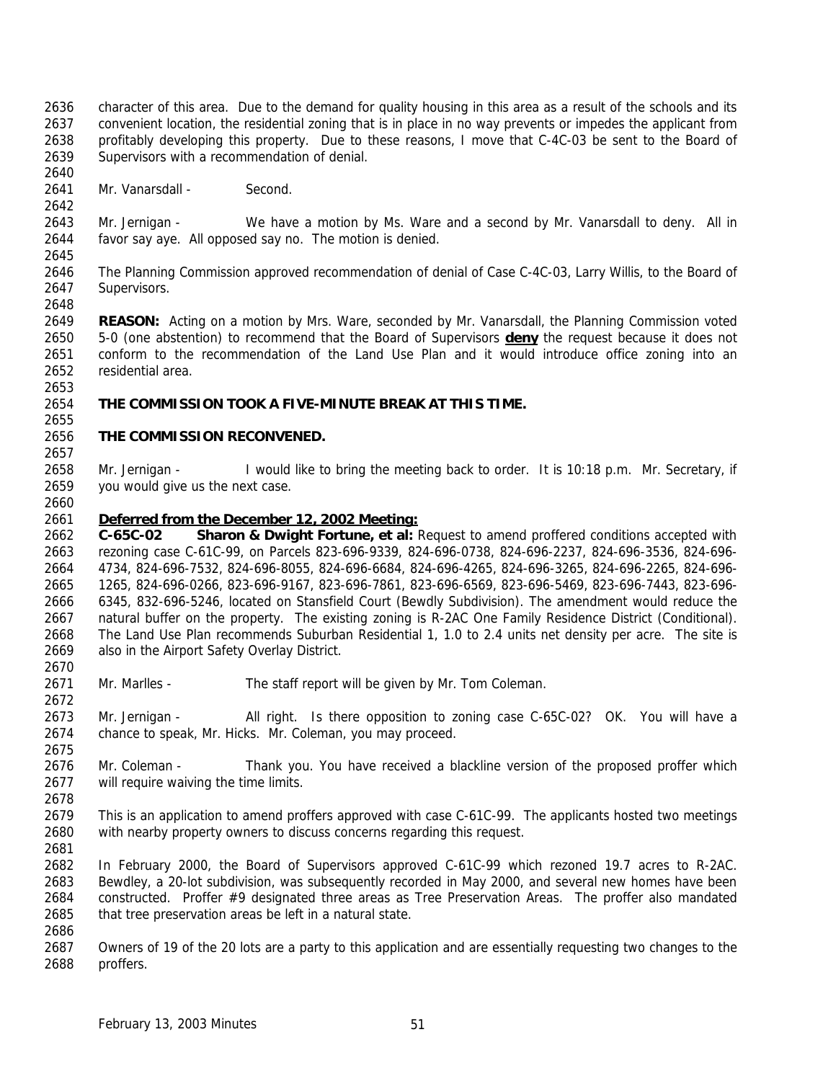- character of this area. Due to the demand for quality housing in this area as a result of the schools and its convenient location, the residential zoning that is in place in no way prevents or impedes the applicant from profitably developing this property. Due to these reasons, I move that C-4C-03 be sent to the Board of Supervisors with a recommendation of denial.
- 2641 Mr. Vanarsdall Second.

 Mr. Jernigan - We have a motion by Ms. Ware and a second by Mr. Vanarsdall to deny. All in favor say aye. All opposed say no. The motion is denied. 

- The Planning Commission approved recommendation of denial of Case C-4C-03, Larry Willis, to the Board of Supervisors.
- **REASON:** Acting on a motion by Mrs. Ware, seconded by Mr. Vanarsdall, the Planning Commission voted 5-0 (one abstention) to recommend that the Board of Supervisors **deny** the request because it does not conform to the recommendation of the Land Use Plan and it would introduce office zoning into an residential area.
- **THE COMMISSION TOOK A FIVE-MINUTE BREAK AT THIS TIME.**

### **THE COMMISSION RECONVENED.**

 Mr. Jernigan - I would like to bring the meeting back to order. It is 10:18 p.m. Mr. Secretary, if you would give us the next case. 

### *Deferred from the December 12, 2002 Meeting:*

 **C-65C-02 Sharon & Dwight Fortune, et al:** Request to amend proffered conditions accepted with rezoning case C-61C-99, on Parcels 823-696-9339, 824-696-0738, 824-696-2237, 824-696-3536, 824-696- 4734, 824-696-7532, 824-696-8055, 824-696-6684, 824-696-4265, 824-696-3265, 824-696-2265, 824-696- 1265, 824-696-0266, 823-696-9167, 823-696-7861, 823-696-6569, 823-696-5469, 823-696-7443, 823-696- 6345, 832-696-5246, located on Stansfield Court (Bewdly Subdivision). The amendment would reduce the natural buffer on the property. The existing zoning is R-2AC One Family Residence District (Conditional). The Land Use Plan recommends Suburban Residential 1, 1.0 to 2.4 units net density per acre. The site is also in the Airport Safety Overlay District.

2671 Mr. Marlles - The staff report will be given by Mr. Tom Coleman.

 Mr. Jernigan - All right. Is there opposition to zoning case C-65C-02? OK. You will have a chance to speak, Mr. Hicks. Mr. Coleman, you may proceed.

- 2676 Mr. Coleman Thank you. You have received a blackline version of the proposed proffer which 2677 will require waiving the time limits.
- This is an application to amend proffers approved with case C-61C-99. The applicants hosted two meetings with nearby property owners to discuss concerns regarding this request.
- In February 2000, the Board of Supervisors approved C-61C-99 which rezoned 19.7 acres to R-2AC. Bewdley, a 20-lot subdivision, was subsequently recorded in May 2000, and several new homes have been constructed. Proffer #9 designated three areas as Tree Preservation Areas. The proffer also mandated 2685 that tree preservation areas be left in a natural state.
- 

 Owners of 19 of the 20 lots are a party to this application and are essentially requesting two changes to the proffers.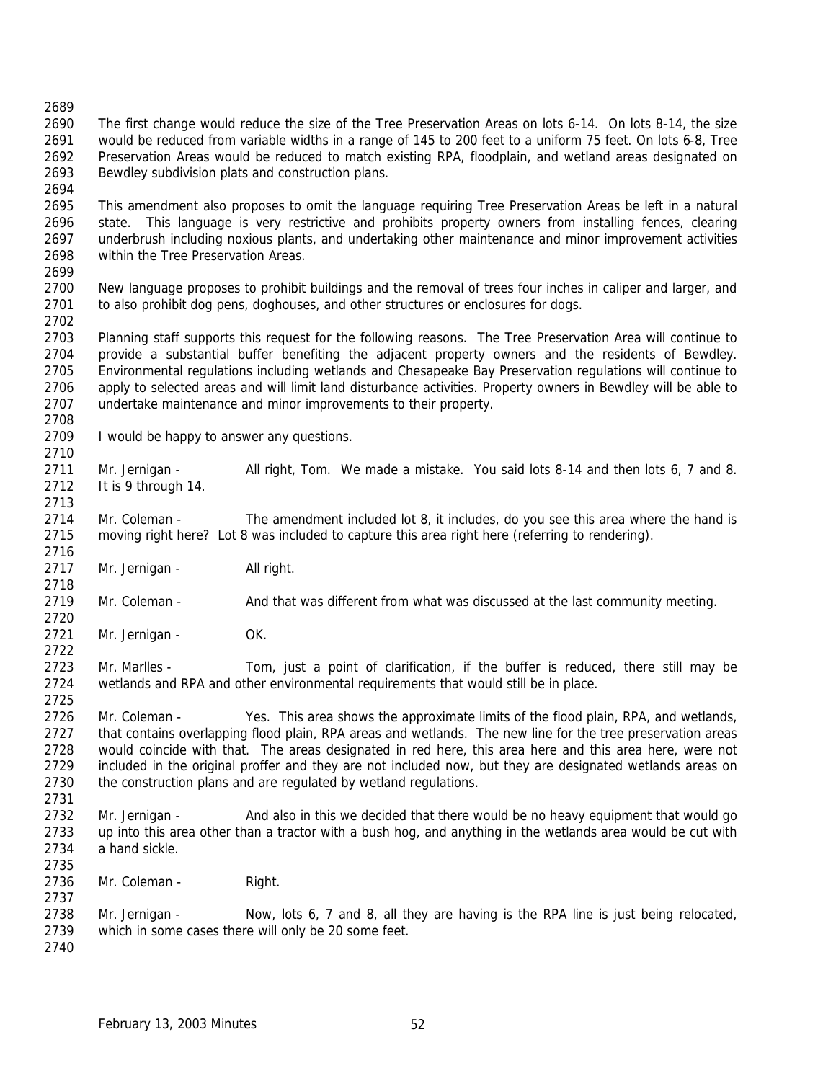The first change would reduce the size of the Tree Preservation Areas on lots 6-14. On lots 8-14, the size would be reduced from variable widths in a range of 145 to 200 feet to a uniform 75 feet. On lots 6-8, Tree Preservation Areas would be reduced to match existing RPA, floodplain, and wetland areas designated on Bewdley subdivision plats and construction plans.

 This amendment also proposes to omit the language requiring Tree Preservation Areas be left in a natural state. This language is very restrictive and prohibits property owners from installing fences, clearing underbrush including noxious plants, and undertaking other maintenance and minor improvement activities within the Tree Preservation Areas. 

 New language proposes to prohibit buildings and the removal of trees four inches in caliper and larger, and to also prohibit dog pens, doghouses, and other structures or enclosures for dogs. 

 Planning staff supports this request for the following reasons. The Tree Preservation Area will continue to provide a substantial buffer benefiting the adjacent property owners and the residents of Bewdley. Environmental regulations including wetlands and Chesapeake Bay Preservation regulations will continue to apply to selected areas and will limit land disturbance activities. Property owners in Bewdley will be able to undertake maintenance and minor improvements to their property. 

- 2709 I would be happy to answer any questions.
- Mr. Jernigan All right, Tom. We made a mistake. You said lots 8-14 and then lots 6, 7 and 8. It is 9 through 14.

 Mr. Coleman - The amendment included lot 8, it includes, do you see this area where the hand is 2715 moving right here? Lot 8 was included to capture this area right here (referring to rendering).

2717 Mr. Jernigan - All right.

Mr. Coleman - And that was different from what was discussed at the last community meeting.

2721 Mr. Jernigan - OK.

2723 Mr. Marlles - Tom, just a point of clarification, if the buffer is reduced, there still may be wetlands and RPA and other environmental requirements that would still be in place.

 Mr. Coleman - Yes. This area shows the approximate limits of the flood plain, RPA, and wetlands, that contains overlapping flood plain, RPA areas and wetlands. The new line for the tree preservation areas would coincide with that. The areas designated in red here, this area here and this area here, were not included in the original proffer and they are not included now, but they are designated wetlands areas on 2730 the construction plans and are regulated by wetland regulations. 

- 2732 Mr. Jernigan And also in this we decided that there would be no heavy equipment that would go up into this area other than a tractor with a bush hog, and anything in the wetlands area would be cut with a hand sickle.
- 2736 Mr. Coleman Right.

 Mr. Jernigan - Now, lots 6, 7 and 8, all they are having is the RPA line is just being relocated, which in some cases there will only be 20 some feet.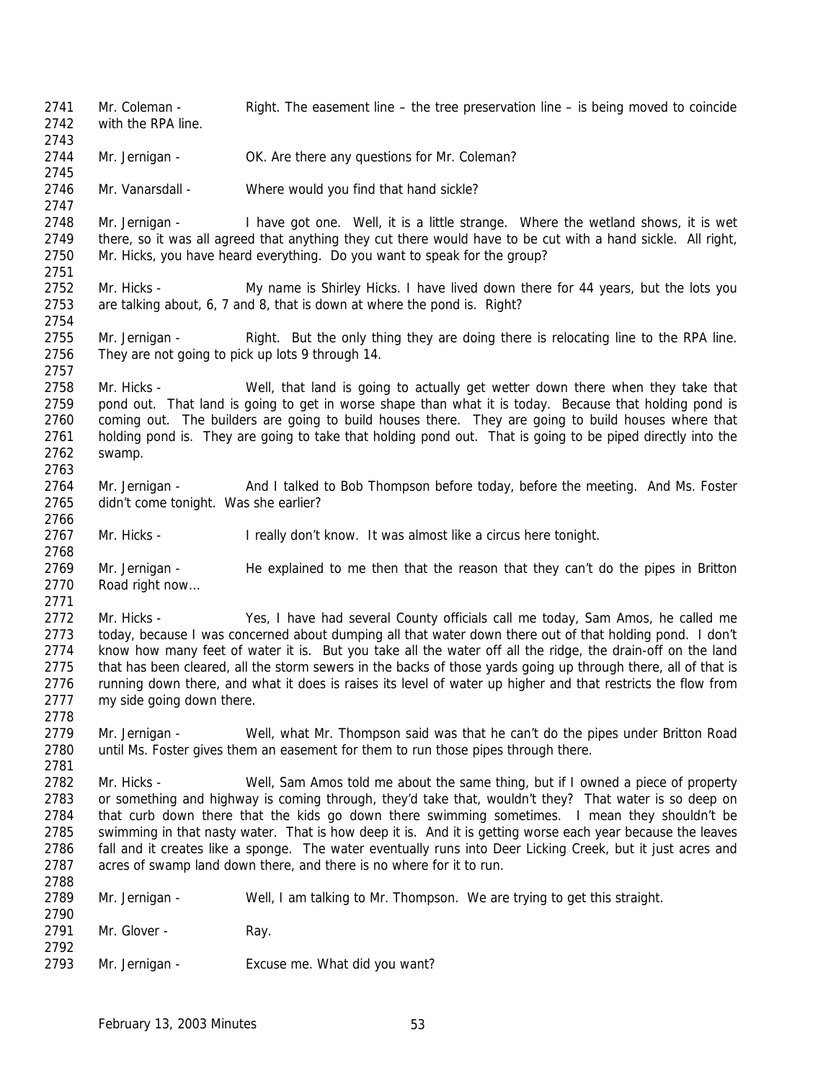Mr. Coleman - Right. The easement line – the tree preservation line – is being moved to coincide with the RPA line. 2744 Mr. Jernigan - OK. Are there any questions for Mr. Coleman? Mr. Vanarsdall - Where would you find that hand sickle? Mr. Jernigan - I have got one. Well, it is a little strange. Where the wetland shows, it is wet there, so it was all agreed that anything they cut there would have to be cut with a hand sickle. All right, Mr. Hicks, you have heard everything. Do you want to speak for the group? Mr. Hicks - My name is Shirley Hicks. I have lived down there for 44 years, but the lots you are talking about, 6, 7 and 8, that is down at where the pond is. Right? Mr. Jernigan - Right. But the only thing they are doing there is relocating line to the RPA line. They are not going to pick up lots 9 through 14. 2758 Mr. Hicks - Well, that land is going to actually get wetter down there when they take that pond out. That land is going to get in worse shape than what it is today. Because that holding pond is coming out. The builders are going to build houses there. They are going to build houses where that holding pond is. They are going to take that holding pond out. That is going to be piped directly into the swamp. Mr. Jernigan - And I talked to Bob Thompson before today, before the meeting. And Ms. Foster didn't come tonight. Was she earlier? Mr. Hicks - I really don't know. It was almost like a circus here tonight. 2768<br>2769 Mr. Jernigan - He explained to me then that the reason that they can't do the pipes in Britton Road right now… Mr. Hicks - Yes, I have had several County officials call me today, Sam Amos, he called me today, because I was concerned about dumping all that water down there out of that holding pond. I don't know how many feet of water it is. But you take all the water off all the ridge, the drain-off on the land that has been cleared, all the storm sewers in the backs of those yards going up through there, all of that is running down there, and what it does is raises its level of water up higher and that restricts the flow from my side going down there. Mr. Jernigan - Well, what Mr. Thompson said was that he can't do the pipes under Britton Road until Ms. Foster gives them an easement for them to run those pipes through there. Mr. Hicks - Well, Sam Amos told me about the same thing, but if I owned a piece of property or something and highway is coming through, they'd take that, wouldn't they? That water is so deep on 2784 that curb down there that the kids go down there swimming sometimes. I mean they shouldn't be swimming in that nasty water. That is how deep it is. And it is getting worse each year because the leaves fall and it creates like a sponge. The water eventually runs into Deer Licking Creek, but it just acres and acres of swamp land down there, and there is no where for it to run. Mr. Jernigan - Well, I am talking to Mr. Thompson. We are trying to get this straight. 2791 Mr. Glover - Ray. Mr. Jernigan - Excuse me. What did you want?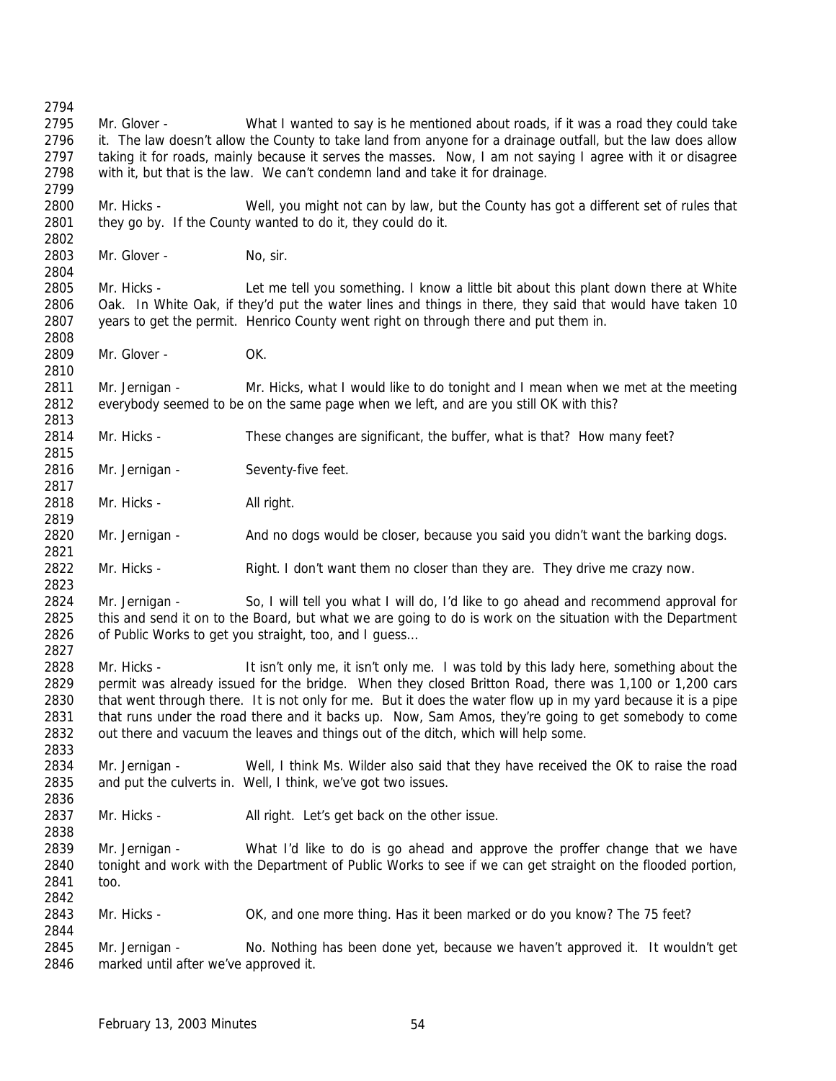Mr. Glover - What I wanted to say is he mentioned about roads, if it was a road they could take 2796 it. The law doesn't allow the County to take land from anyone for a drainage outfall, but the law does allow taking it for roads, mainly because it serves the masses. Now, I am not saying I agree with it or disagree with it, but that is the law. We can't condemn land and take it for drainage. Mr. Hicks - Well, you might not can by law, but the County has got a different set of rules that they go by. If the County wanted to do it, they could do it. 2803 Mr. Glover - No, sir. Mr. Hicks - Let me tell you something. I know a little bit about this plant down there at White Oak. In White Oak, if they'd put the water lines and things in there, they said that would have taken 10 years to get the permit. Henrico County went right on through there and put them in. 2809 Mr. Glover - OK. Mr. Jernigan - Mr. Hicks, what I would like to do tonight and I mean when we met at the meeting everybody seemed to be on the same page when we left, and are you still OK with this? Mr. Hicks - These changes are significant, the buffer, what is that? How many feet? 2816 Mr. Jernigan - Seventy-five feet. Mr. Hicks - All right. Mr. Jernigan - And no dogs would be closer, because you said you didn't want the barking dogs. 2822 Mr. Hicks - Right. I don't want them no closer than they are. They drive me crazy now. Mr. Jernigan - So, I will tell you what I will do, I'd like to go ahead and recommend approval for this and send it on to the Board, but what we are going to do is work on the situation with the Department 2826 of Public Works to get you straight, too, and I guess... 2828 Mr. Hicks - It isn't only me, it isn't only me. I was told by this lady here, something about the permit was already issued for the bridge. When they closed Britton Road, there was 1,100 or 1,200 cars that went through there. It is not only for me. But it does the water flow up in my yard because it is a pipe that runs under the road there and it backs up. Now, Sam Amos, they're going to get somebody to come out there and vacuum the leaves and things out of the ditch, which will help some. 2833<br>2834 Mr. Jernigan - Well, I think Ms. Wilder also said that they have received the OK to raise the road and put the culverts in. Well, I think, we've got two issues. 2837 Mr. Hicks - All right. Let's get back on the other issue. 2839 Mr. Jernigan - What I'd like to do is go ahead and approve the proffer change that we have tonight and work with the Department of Public Works to see if we can get straight on the flooded portion, too. Mr. Hicks - OK, and one more thing. Has it been marked or do you know? The 75 feet? Mr. Jernigan - No. Nothing has been done yet, because we haven't approved it. It wouldn't get marked until after we've approved it.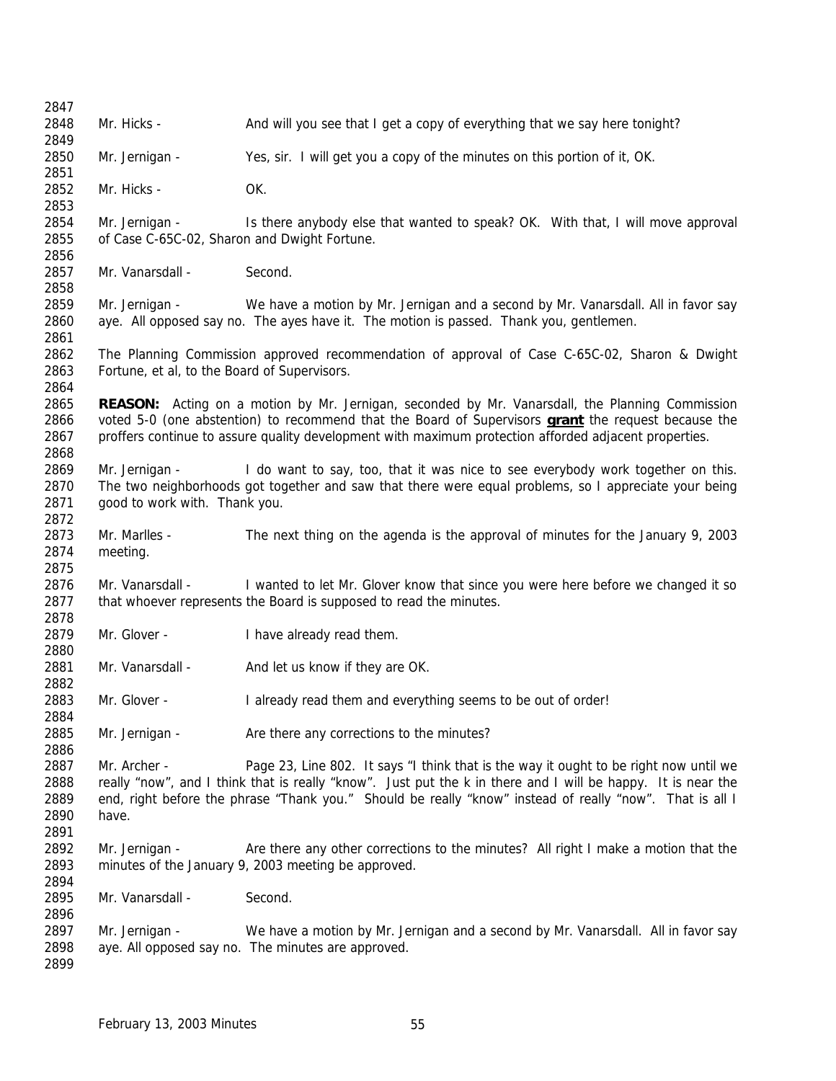| 2847 |                                              |                                                                                                              |
|------|----------------------------------------------|--------------------------------------------------------------------------------------------------------------|
| 2848 | Mr. Hicks -                                  | And will you see that I get a copy of everything that we say here tonight?                                   |
| 2849 |                                              |                                                                                                              |
| 2850 | Mr. Jernigan -                               | Yes, sir. I will get you a copy of the minutes on this portion of it, OK.                                    |
| 2851 |                                              |                                                                                                              |
| 2852 | Mr. Hicks -                                  | OK.                                                                                                          |
| 2853 |                                              |                                                                                                              |
| 2854 | Mr. Jernigan -                               | Is there anybody else that wanted to speak? OK. With that, I will move approval                              |
| 2855 | of Case C-65C-02, Sharon and Dwight Fortune. |                                                                                                              |
| 2856 |                                              |                                                                                                              |
| 2857 | Mr. Vanarsdall -                             | Second.                                                                                                      |
| 2858 |                                              |                                                                                                              |
| 2859 | Mr. Jernigan -                               | We have a motion by Mr. Jernigan and a second by Mr. Vanarsdall. All in favor say                            |
| 2860 |                                              | aye. All opposed say no. The ayes have it. The motion is passed. Thank you, gentlemen.                       |
| 2861 |                                              |                                                                                                              |
| 2862 |                                              | The Planning Commission approved recommendation of approval of Case C-65C-02, Sharon & Dwight                |
| 2863 | Fortune, et al, to the Board of Supervisors. |                                                                                                              |
| 2864 |                                              |                                                                                                              |
| 2865 |                                              | <b>REASON:</b> Acting on a motion by Mr. Jernigan, seconded by Mr. Vanarsdall, the Planning Commission       |
| 2866 |                                              | voted 5-0 (one abstention) to recommend that the Board of Supervisors <b>grant</b> the request because the   |
| 2867 |                                              | proffers continue to assure quality development with maximum protection afforded adjacent properties.        |
| 2868 |                                              |                                                                                                              |
| 2869 | Mr. Jernigan -                               |                                                                                                              |
| 2870 |                                              | I do want to say, too, that it was nice to see everybody work together on this.                              |
|      |                                              | The two neighborhoods got together and saw that there were equal problems, so I appreciate your being        |
| 2871 | good to work with. Thank you.                |                                                                                                              |
| 2872 |                                              |                                                                                                              |
| 2873 | Mr. Marlles -                                | The next thing on the agenda is the approval of minutes for the January 9, 2003                              |
| 2874 | meeting.                                     |                                                                                                              |
| 2875 |                                              |                                                                                                              |
| 2876 | Mr. Vanarsdall -                             | I wanted to let Mr. Glover know that since you were here before we changed it so                             |
| 2877 |                                              | that whoever represents the Board is supposed to read the minutes.                                           |
| 2878 |                                              |                                                                                                              |
| 2879 | Mr. Glover -                                 | I have already read them.                                                                                    |
| 2880 |                                              |                                                                                                              |
| 2881 | Mr. Vanarsdall -                             | And let us know if they are OK.                                                                              |
| 2882 |                                              |                                                                                                              |
| 2883 | Mr. Glover -                                 | I already read them and everything seems to be out of order!                                                 |
| 2884 |                                              |                                                                                                              |
| 2885 | Mr. Jernigan -                               | Are there any corrections to the minutes?                                                                    |
| 2886 |                                              |                                                                                                              |
| 2887 | Mr. Archer -                                 | Page 23, Line 802. It says "I think that is the way it ought to be right now until we                        |
| 2888 |                                              | really "now", and I think that is really "know". Just put the k in there and I will be happy. It is near the |
| 2889 |                                              | end, right before the phrase "Thank you." Should be really "know" instead of really "now". That is all I     |
| 2890 | have.                                        |                                                                                                              |
| 2891 |                                              |                                                                                                              |
| 2892 | Mr. Jernigan -                               | Are there any other corrections to the minutes? All right I make a motion that the                           |
| 2893 |                                              | minutes of the January 9, 2003 meeting be approved.                                                          |
| 2894 |                                              |                                                                                                              |
| 2895 | Mr. Vanarsdall -                             | Second.                                                                                                      |
| 2896 |                                              |                                                                                                              |
| 2897 | Mr. Jernigan -                               | We have a motion by Mr. Jernigan and a second by Mr. Vanarsdall. All in favor say                            |
| 2898 |                                              | aye. All opposed say no. The minutes are approved.                                                           |
| 2899 |                                              |                                                                                                              |